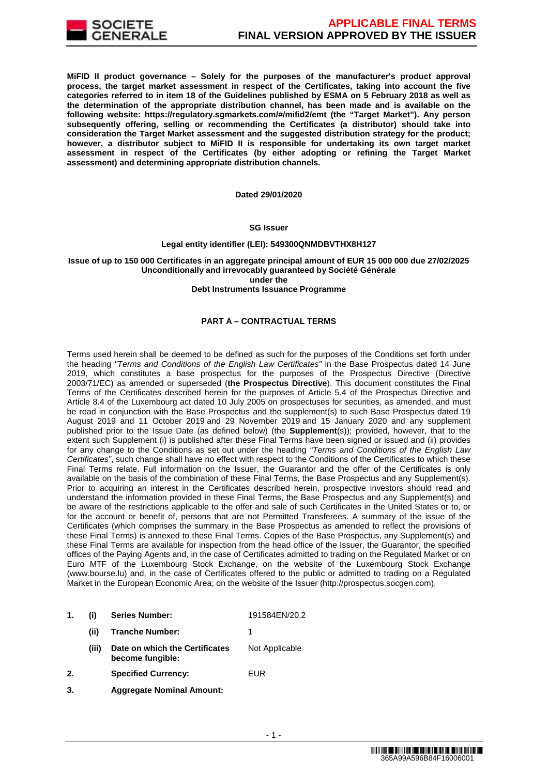

**MiFID II product governance – Solely for the purposes of the manufacturer's product approval process, the target market assessment in respect of the Certificates, taking into account the five categories referred to in item 18 of the Guidelines published by ESMA on 5 February 2018 as well as the determination of the appropriate distribution channel, has been made and is available on the following website: https://regulatory.sgmarkets.com/#/mifid2/emt (the "Target Market"). Any person subsequently offering, selling or recommending the Certificates (a distributor) should take into consideration the Target Market assessment and the suggested distribution strategy for the product; however, a distributor subject to MiFID II is responsible for undertaking its own target market assessment in respect of the Certificates (by either adopting or refining the Target Market assessment) and determining appropriate distribution channels.**

#### **Dated 29/01/2020**

#### **SG Issuer**

#### **Legal entity identifier (LEI): 549300QNMDBVTHX8H127**

### **Issue of up to 150 000 Certificates in an aggregate principal amount of EUR 15 000 000 due 27/02/2025 Unconditionally and irrevocably guaranteed by Société Générale under the**

#### **Debt Instruments Issuance Programme**

## **PART A – CONTRACTUAL TERMS**

Terms used herein shall be deemed to be defined as such for the purposes of the Conditions set forth under the heading "Terms and Conditions of the English Law Certificates" in the Base Prospectus dated 14 June 2019, which constitutes a base prospectus for the purposes of the Prospectus Directive (Directive 2003/71/EC) as amended or superseded (**the Prospectus Directive**). This document constitutes the Final Terms of the Certificates described herein for the purposes of Article 5.4 of the Prospectus Directive and Article 8.4 of the Luxembourg act dated 10 July 2005 on prospectuses for securities, as amended, and must be read in conjunction with the Base Prospectus and the supplement(s) to such Base Prospectus dated 19 August 2019 and 11 October 2019 and 29 November 2019 and 15 January 2020 and any supplement published prior to the Issue Date (as defined below) (the **Supplement**(s)); provided, however, that to the extent such Supplement (i) is published after these Final Terms have been signed or issued and (ii) provides for any change to the Conditions as set out under the heading "Terms and Conditions of the English Law Certificates", such change shall have no effect with respect to the Conditions of the Certificates to which these Final Terms relate. Full information on the Issuer, the Guarantor and the offer of the Certificates is only available on the basis of the combination of these Final Terms, the Base Prospectus and any Supplement(s). Prior to acquiring an interest in the Certificates described herein, prospective investors should read and understand the information provided in these Final Terms, the Base Prospectus and any Supplement(s) and be aware of the restrictions applicable to the offer and sale of such Certificates in the United States or to, or for the account or benefit of, persons that are not Permitted Transferees. A summary of the issue of the Certificates (which comprises the summary in the Base Prospectus as amended to reflect the provisions of these Final Terms) is annexed to these Final Terms. Copies of the Base Prospectus, any Supplement(s) and these Final Terms are available for inspection from the head office of the Issuer, the Guarantor, the specified offices of the Paying Agents and, in the case of Certificates admitted to trading on the Regulated Market or on Euro MTF of the Luxembourg Stock Exchange, on the website of the Luxembourg Stock Exchange (www.bourse.lu) and, in the case of Certificates offered to the public or admitted to trading on a Regulated Market in the European Economic Area; on the website of the Issuer (http://prospectus.socgen.com).

| 1. | (i)   | <b>Series Number:</b>                              | 191584EN/20.2  |
|----|-------|----------------------------------------------------|----------------|
|    | (ii)  | <b>Tranche Number:</b>                             |                |
|    | (iii) | Date on which the Certificates<br>become fungible: | Not Applicable |
| 2. |       | <b>Specified Currency:</b>                         | <b>FUR</b>     |

**3. Aggregate Nominal Amount:**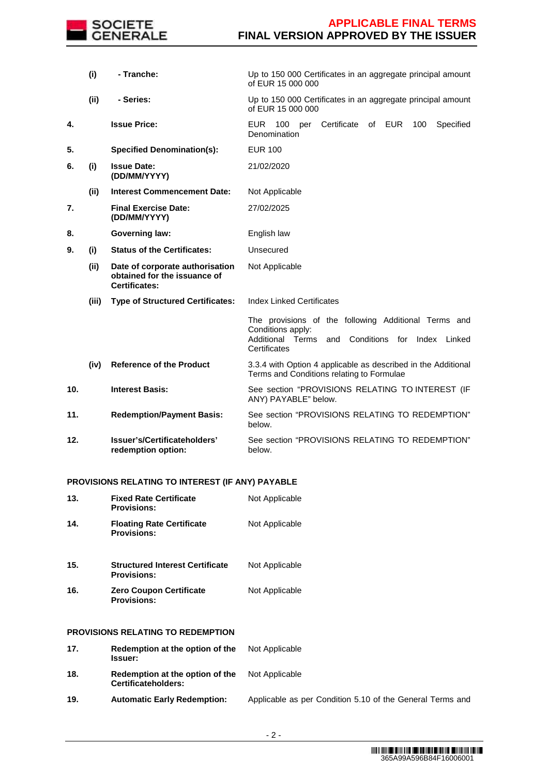

|     | (i)   | - Tranche:                                                                              | Up to 150 000 Certificates in an aggregate principal amount<br>of EUR 15 000 000                                                                    |  |  |
|-----|-------|-----------------------------------------------------------------------------------------|-----------------------------------------------------------------------------------------------------------------------------------------------------|--|--|
|     | (ii)  | - Series:                                                                               | Up to 150 000 Certificates in an aggregate principal amount<br>of EUR 15 000 000                                                                    |  |  |
| 4.  |       | <b>Issue Price:</b>                                                                     | <b>EUR</b><br>Certificate<br>of EUR<br>Specified<br>100<br>100<br>per<br>Denomination                                                               |  |  |
| 5.  |       | <b>Specified Denomination(s):</b>                                                       | <b>EUR 100</b>                                                                                                                                      |  |  |
| 6.  | (i)   | <b>Issue Date:</b><br>(DD/MM/YYYY)                                                      | 21/02/2020                                                                                                                                          |  |  |
|     | (ii)  | <b>Interest Commencement Date:</b>                                                      | Not Applicable                                                                                                                                      |  |  |
| 7.  |       | <b>Final Exercise Date:</b><br>(DD/MM/YYYY)                                             | 27/02/2025                                                                                                                                          |  |  |
| 8.  |       | <b>Governing law:</b>                                                                   | English law                                                                                                                                         |  |  |
| 9.  | (i)   | <b>Status of the Certificates:</b>                                                      | Unsecured                                                                                                                                           |  |  |
|     | (ii)  | Date of corporate authorisation<br>obtained for the issuance of<br><b>Certificates:</b> | Not Applicable                                                                                                                                      |  |  |
|     | (iii) | <b>Type of Structured Certificates:</b>                                                 | <b>Index Linked Certificates</b>                                                                                                                    |  |  |
|     |       |                                                                                         | The provisions of the following Additional Terms and<br>Conditions apply:<br>Conditions for Index Linked<br>Additional Terms<br>and<br>Certificates |  |  |
|     | (iv)  | <b>Reference of the Product</b>                                                         | 3.3.4 with Option 4 applicable as described in the Additional<br>Terms and Conditions relating to Formulae                                          |  |  |
| 10. |       | <b>Interest Basis:</b>                                                                  | See section "PROVISIONS RELATING TO INTEREST (IF<br>ANY) PAYABLE" below.                                                                            |  |  |
| 11. |       | <b>Redemption/Payment Basis:</b>                                                        | See section "PROVISIONS RELATING TO REDEMPTION"<br>below.                                                                                           |  |  |
| 12. |       | Issuer's/Certificateholders'<br>redemption option:                                      | See section "PROVISIONS RELATING TO REDEMPTION"<br>below.                                                                                           |  |  |
|     |       | PROVISIONS RELATING TO INTEREST (IF ANY) PAYABLE                                        |                                                                                                                                                     |  |  |

### **13. Fixed Rate Certificate Provisions:** Not Applicable **14. Floating Rate Certificate Provisions:** Not Applicable **15. Structured Interest Certificate Provisions:** Not Applicable **16. Zero Coupon Certificate Provisions:** Not Applicable

## **PROVISIONS RELATING TO REDEMPTION**

| 17. | Redemption at the option of the<br><b>Issuer:</b>             | Not Applicable |
|-----|---------------------------------------------------------------|----------------|
| 18. | Redemption at the option of the<br><b>Certificateholders:</b> | Not Applicable |

**19. Automatic Early Redemption:** Applicable as per Condition 5.10 of the General Terms and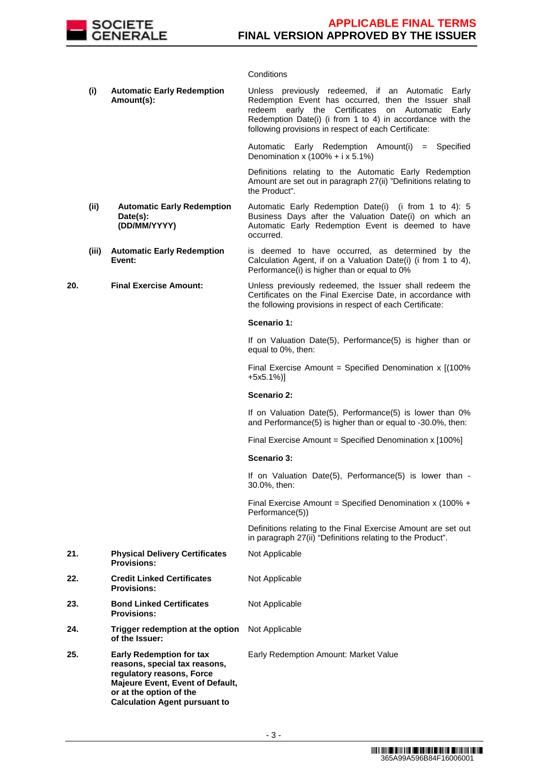

## **Conditions**

|     | (i)   | <b>Automatic Early Redemption</b><br>Amount(s):                                                                                                                                                      | Unless previously redeemed, if an Automatic Early<br>Redemption Event has occurred, then the Issuer shall<br>redeem early the Certificates on Automatic<br>Early<br>Redemption Date(i) (i from 1 to 4) in accordance with the<br>following provisions in respect of each Certificate: |
|-----|-------|------------------------------------------------------------------------------------------------------------------------------------------------------------------------------------------------------|---------------------------------------------------------------------------------------------------------------------------------------------------------------------------------------------------------------------------------------------------------------------------------------|
|     |       |                                                                                                                                                                                                      | Automatic Early Redemption Amount(i) = Specified<br>Denomination x $(100\% + i \times 5.1\%)$                                                                                                                                                                                         |
|     |       |                                                                                                                                                                                                      | Definitions relating to the Automatic Early Redemption<br>Amount are set out in paragraph 27(ii) "Definitions relating to<br>the Product".                                                                                                                                            |
|     | (ii)  | <b>Automatic Early Redemption</b><br>Date(s):<br>(DD/MM/YYYY)                                                                                                                                        | Automatic Early Redemption Date(i) (i from 1 to 4): 5<br>Business Days after the Valuation Date(i) on which an<br>Automatic Early Redemption Event is deemed to have<br>occurred.                                                                                                     |
|     | (iii) | <b>Automatic Early Redemption</b><br>Event:                                                                                                                                                          | is deemed to have occurred, as determined by the<br>Calculation Agent, if on a Valuation Date(i) (i from 1 to 4),<br>Performance(i) is higher than or equal to 0%                                                                                                                     |
| 20. |       | <b>Final Exercise Amount:</b>                                                                                                                                                                        | Unless previously redeemed, the Issuer shall redeem the<br>Certificates on the Final Exercise Date, in accordance with<br>the following provisions in respect of each Certificate:                                                                                                    |
|     |       |                                                                                                                                                                                                      | Scenario 1:                                                                                                                                                                                                                                                                           |
|     |       |                                                                                                                                                                                                      | If on Valuation Date(5), Performance(5) is higher than or<br>equal to 0%, then:                                                                                                                                                                                                       |
|     |       |                                                                                                                                                                                                      | Final Exercise Amount = Specified Denomination $x$ [(100%<br>$+5x5.1\%$ ]                                                                                                                                                                                                             |
|     |       |                                                                                                                                                                                                      | <b>Scenario 2:</b>                                                                                                                                                                                                                                                                    |
|     |       |                                                                                                                                                                                                      | If on Valuation Date(5), Performance(5) is lower than 0%<br>and Performance(5) is higher than or equal to -30.0%, then:                                                                                                                                                               |
|     |       |                                                                                                                                                                                                      | Final Exercise Amount = Specified Denomination x [100%]                                                                                                                                                                                                                               |
|     |       |                                                                                                                                                                                                      | Scenario 3:                                                                                                                                                                                                                                                                           |
|     |       |                                                                                                                                                                                                      | If on Valuation Date(5), Performance(5) is lower than -<br>30.0%, then:                                                                                                                                                                                                               |
|     |       |                                                                                                                                                                                                      | Final Exercise Amount = Specified Denomination x (100% +<br>Performance(5))                                                                                                                                                                                                           |
|     |       |                                                                                                                                                                                                      | Definitions relating to the Final Exercise Amount are set out<br>in paragraph 27(ii) "Definitions relating to the Product".                                                                                                                                                           |
| 21. |       | <b>Physical Delivery Certificates</b><br><b>Provisions:</b>                                                                                                                                          | Not Applicable                                                                                                                                                                                                                                                                        |
| 22. |       | <b>Credit Linked Certificates</b><br><b>Provisions:</b>                                                                                                                                              | Not Applicable                                                                                                                                                                                                                                                                        |
| 23. |       | <b>Bond Linked Certificates</b><br><b>Provisions:</b>                                                                                                                                                | Not Applicable                                                                                                                                                                                                                                                                        |
| 24. |       | Trigger redemption at the option<br>of the Issuer:                                                                                                                                                   | Not Applicable                                                                                                                                                                                                                                                                        |
| 25. |       | <b>Early Redemption for tax</b><br>reasons, special tax reasons,<br>regulatory reasons, Force<br>Majeure Event, Event of Default,<br>or at the option of the<br><b>Calculation Agent pursuant to</b> | Early Redemption Amount: Market Value                                                                                                                                                                                                                                                 |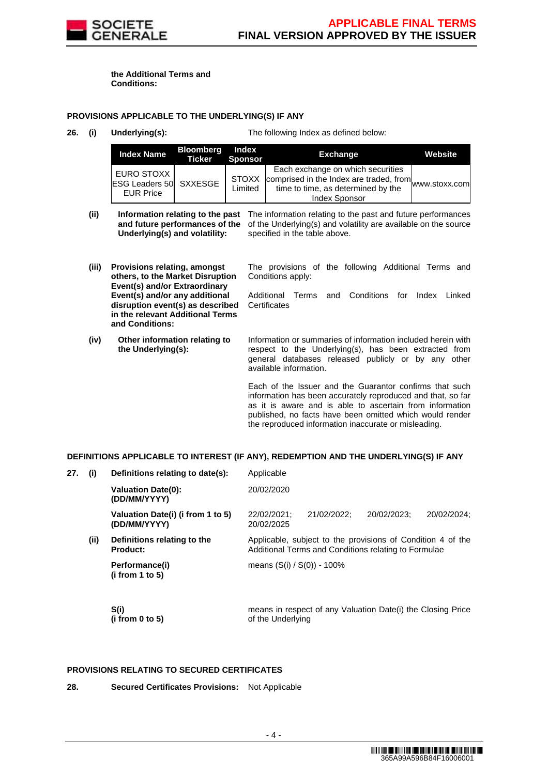

**the Additional Terms and Conditions:**

### **PROVISIONS APPLICABLE TO THE UNDERLYING(S) IF ANY**

**26. (i) Underlying(s):** The following Index as defined below:

| <b>Index Name</b>                                               | <b>Bloomberg</b><br><b>Ticker</b> | Index<br><b>Sponsor</b> | <b>Exchange</b>                                                                                                                                            | Website |
|-----------------------------------------------------------------|-----------------------------------|-------------------------|------------------------------------------------------------------------------------------------------------------------------------------------------------|---------|
| EURO STOXX<br><b>ESG Leaders 50 SXXESGE</b><br><b>EUR Price</b> |                                   | <b>STOXX</b><br>Limited | Each exchange on which securities<br>. comprised in the Index are traded, from www.stoxx.com<br>time to time, as determined by the<br><b>Index Sponsor</b> |         |

- (ii) **Information relating to the past** The information relating to the past and future performances **and future performances of the Underlying(s) and volatility:** of the Underlying(s) and volatility are available on the source specified in the table above.
- **(iii) Provisions relating, amongst others, to the Market Disruption Event(s) and/or Extraordinary Event(s) and/or any additional disruption event(s) as described in the relevant Additional Terms and Conditions:** The provisions of the following Additional Terms and Conditions apply: Additional Terms and Conditions for Index Linked **Certificates (iv) Other information relating to the Underlying(s):** Information or summaries of information included herein with respect to the Underlying(s), has been extracted from general databases released publicly or by any other available information. Each of the Issuer and the Guarantor confirms that such information has been accurately reproduced and that, so far as it is aware and is able to ascertain from information published, no facts have been omitted which would render

the reproduced information inaccurate or misleading.

### **DEFINITIONS APPLICABLE TO INTEREST (IF ANY), REDEMPTION AND THE UNDERLYING(S) IF ANY**

| 27. | $\mathbf{\left( i\right) }$ | Definitions relating to date(s):                                                                                                                                      | Applicable                    |                                                             |             |             |  |
|-----|-----------------------------|-----------------------------------------------------------------------------------------------------------------------------------------------------------------------|-------------------------------|-------------------------------------------------------------|-------------|-------------|--|
|     |                             | <b>Valuation Date(0):</b><br>(DD/MM/YYYY)                                                                                                                             | 20/02/2020                    |                                                             |             |             |  |
|     |                             | Valuation Date(i) (i from 1 to 5)<br>(DD/MM/YYYY)                                                                                                                     | 22/02/2021;<br>20/02/2025     | 21/02/2022:                                                 | 20/02/2023: | 20/02/2024: |  |
|     | (ii)                        | Applicable, subject to the provisions of Condition 4 of the<br>Definitions relating to the<br><b>Product:</b><br>Additional Terms and Conditions relating to Formulae |                               |                                                             |             |             |  |
|     |                             | Performance(i)<br>(i from 1 to 5)                                                                                                                                     | means $(S(i) / S(0)) - 100\%$ |                                                             |             |             |  |
|     |                             | S(i)<br>(i from $0$ to $5$ )                                                                                                                                          | of the Underlying             | means in respect of any Valuation Date(i) the Closing Price |             |             |  |

## **PROVISIONS RELATING TO SECURED CERTIFICATES**

**28. Secured Certificates Provisions:** Not Applicable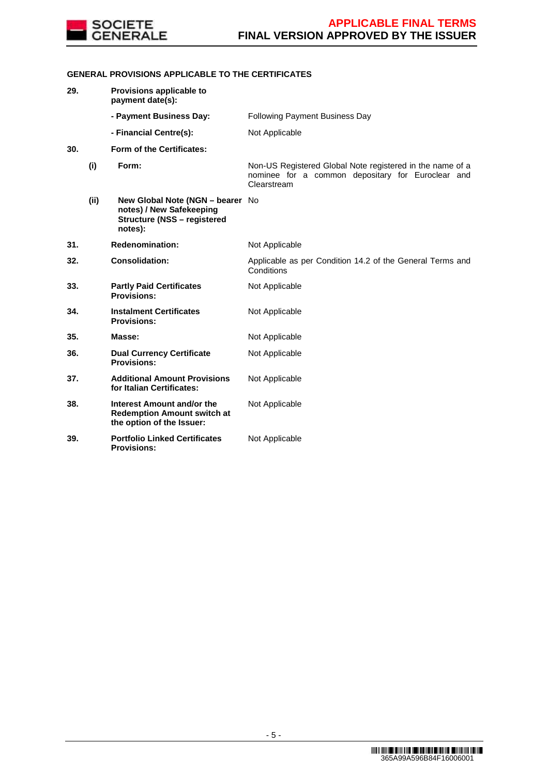

## **GENERAL PROVISIONS APPLICABLE TO THE CERTIFICATES**

| 29. |      | Provisions applicable to<br>payment date(s):                                                                  |                                                                                                                               |
|-----|------|---------------------------------------------------------------------------------------------------------------|-------------------------------------------------------------------------------------------------------------------------------|
|     |      | - Payment Business Day:                                                                                       | <b>Following Payment Business Day</b>                                                                                         |
|     |      | - Financial Centre(s):                                                                                        | Not Applicable                                                                                                                |
| 30. |      | Form of the Certificates:                                                                                     |                                                                                                                               |
|     | (i)  | Form:                                                                                                         | Non-US Registered Global Note registered in the name of a<br>nominee for a common depositary for Euroclear and<br>Clearstream |
|     | (ii) | New Global Note (NGN - bearer No<br>notes) / New Safekeeping<br><b>Structure (NSS - registered</b><br>notes): |                                                                                                                               |
| 31. |      | <b>Redenomination:</b>                                                                                        | Not Applicable                                                                                                                |
| 32. |      | <b>Consolidation:</b>                                                                                         | Applicable as per Condition 14.2 of the General Terms and<br>Conditions                                                       |
| 33. |      | <b>Partly Paid Certificates</b><br><b>Provisions:</b>                                                         | Not Applicable                                                                                                                |
| 34. |      | <b>Instalment Certificates</b><br><b>Provisions:</b>                                                          | Not Applicable                                                                                                                |
| 35. |      | Masse:                                                                                                        | Not Applicable                                                                                                                |
| 36. |      | <b>Dual Currency Certificate</b><br><b>Provisions:</b>                                                        | Not Applicable                                                                                                                |
| 37. |      | <b>Additional Amount Provisions</b><br>for Italian Certificates:                                              | Not Applicable                                                                                                                |
| 38. |      | Interest Amount and/or the<br><b>Redemption Amount switch at</b><br>the option of the Issuer:                 | Not Applicable                                                                                                                |
| 39. |      | <b>Portfolio Linked Certificates</b><br><b>Provisions:</b>                                                    | Not Applicable                                                                                                                |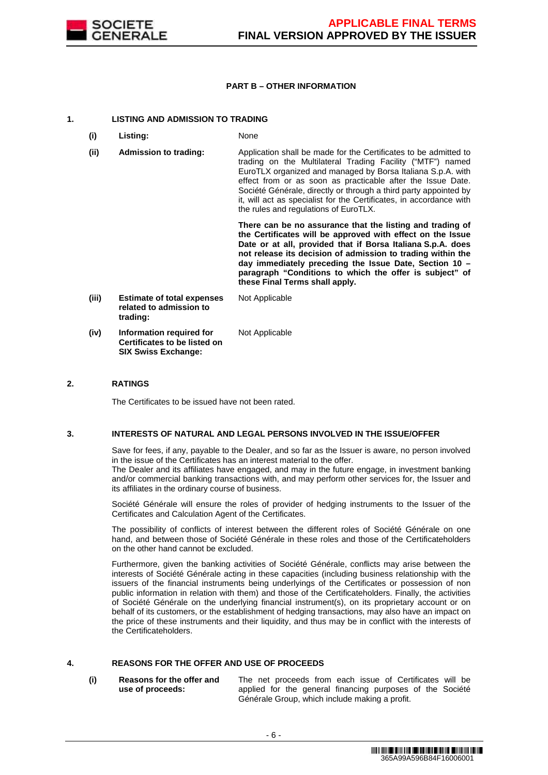

#### **PART B – OTHER INFORMATION**

#### **1. LISTING AND ADMISSION TO TRADING**

- **(i) Listing:** None
- **(ii) Admission to trading:** Application shall be made for the Certificates to be admitted to trading on the Multilateral Trading Facility ("MTF") named EuroTLX organized and managed by Borsa Italiana S.p.A. with effect from or as soon as practicable after the Issue Date. Société Générale, directly or through a third party appointed by it, will act as specialist for the Certificates, in accordance with the rules and regulations of EuroTLX.

 **There can be no assurance that the listing and trading of the Certificates will be approved with effect on the Issue Date or at all, provided that if Borsa Italiana S.p.A. does not release its decision of admission to trading within the day immediately preceding the Issue Date, Section 10 – paragraph "Conditions to which the offer is subject" of these Final Terms shall apply.**

**(iii) Estimate of total expenses related to admission to trading:** Not Applicable **(iv) Information required for Certificates to be listed on SIX Swiss Exchange:** Not Applicable

#### **2. RATINGS**

The Certificates to be issued have not been rated.

#### **3. INTERESTS OF NATURAL AND LEGAL PERSONS INVOLVED IN THE ISSUE/OFFER**

 Save for fees, if any, payable to the Dealer, and so far as the Issuer is aware, no person involved in the issue of the Certificates has an interest material to the offer.

The Dealer and its affiliates have engaged, and may in the future engage, in investment banking and/or commercial banking transactions with, and may perform other services for, the Issuer and its affiliates in the ordinary course of business.

 Société Générale will ensure the roles of provider of hedging instruments to the Issuer of the Certificates and Calculation Agent of the Certificates.

 The possibility of conflicts of interest between the different roles of Société Générale on one hand, and between those of Société Générale in these roles and those of the Certificateholders on the other hand cannot be excluded.

 Furthermore, given the banking activities of Société Générale, conflicts may arise between the interests of Société Générale acting in these capacities (including business relationship with the issuers of the financial instruments being underlyings of the Certificates or possession of non public information in relation with them) and those of the Certificateholders. Finally, the activities of Société Générale on the underlying financial instrument(s), on its proprietary account or on behalf of its customers, or the establishment of hedging transactions, may also have an impact on the price of these instruments and their liquidity, and thus may be in conflict with the interests of the Certificateholders.

## **4. REASONS FOR THE OFFER AND USE OF PROCEEDS**

**(i) Reasons for the offer and use of proceeds:**

The net proceeds from each issue of Certificates will be applied for the general financing purposes of the Société Générale Group, which include making a profit.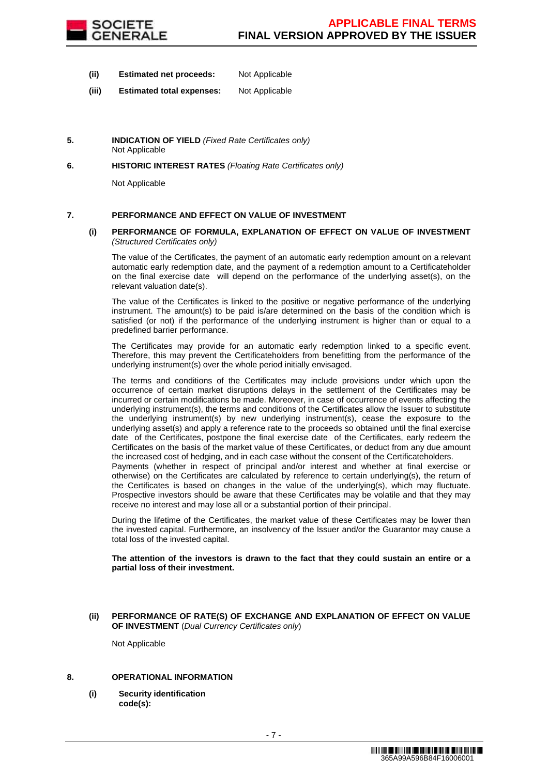

- **(ii) Estimated net proceeds:** Not Applicable
- **(iii) Estimated total expenses:** Not Applicable
- **5. INDICATION OF YIELD** (Fixed Rate Certificates only) Not Applicable
- **6. HISTORIC INTEREST RATES** (Floating Rate Certificates only)

Not Applicable

### **7. PERFORMANCE AND EFFECT ON VALUE OF INVESTMENT**

#### **(i) PERFORMANCE OF FORMULA, EXPLANATION OF EFFECT ON VALUE OF INVESTMENT** (Structured Certificates only)

 The value of the Certificates, the payment of an automatic early redemption amount on a relevant automatic early redemption date, and the payment of a redemption amount to a Certificateholder on the final exercise date will depend on the performance of the underlying asset(s), on the relevant valuation date(s).

 The value of the Certificates is linked to the positive or negative performance of the underlying instrument. The amount(s) to be paid is/are determined on the basis of the condition which is satisfied (or not) if the performance of the underlying instrument is higher than or equal to a predefined barrier performance.

 The Certificates may provide for an automatic early redemption linked to a specific event. Therefore, this may prevent the Certificateholders from benefitting from the performance of the underlying instrument(s) over the whole period initially envisaged.

 The terms and conditions of the Certificates may include provisions under which upon the occurrence of certain market disruptions delays in the settlement of the Certificates may be incurred or certain modifications be made. Moreover, in case of occurrence of events affecting the underlying instrument(s), the terms and conditions of the Certificates allow the Issuer to substitute the underlying instrument(s) by new underlying instrument(s), cease the exposure to the underlying asset(s) and apply a reference rate to the proceeds so obtained until the final exercise date of the Certificates, postpone the final exercise date of the Certificates, early redeem the Certificates on the basis of the market value of these Certificates, or deduct from any due amount the increased cost of hedging, and in each case without the consent of the Certificateholders.

Payments (whether in respect of principal and/or interest and whether at final exercise or otherwise) on the Certificates are calculated by reference to certain underlying(s), the return of the Certificates is based on changes in the value of the underlying(s), which may fluctuate. Prospective investors should be aware that these Certificates may be volatile and that they may receive no interest and may lose all or a substantial portion of their principal.

 During the lifetime of the Certificates, the market value of these Certificates may be lower than the invested capital. Furthermore, an insolvency of the Issuer and/or the Guarantor may cause a total loss of the invested capital.

**The attention of the investors is drawn to the fact that they could sustain an entire or a partial loss of their investment.**

#### **(ii) PERFORMANCE OF RATE(S) OF EXCHANGE AND EXPLANATION OF EFFECT ON VALUE OF INVESTMENT** (Dual Currency Certificates only)

Not Applicable

#### **8. OPERATIONAL INFORMATION**

**(i) Security identification code(s):**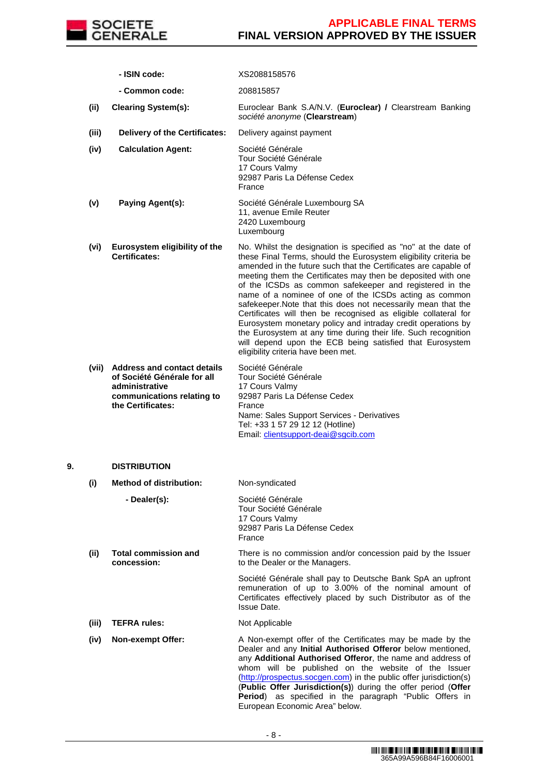

|    |       | - ISIN code:                                                                                                                          | XS2088158576                                                                                                                                                                                                                                                                                                                                                                                                                                                                                                                                                                                                                                                                                                                                                        |
|----|-------|---------------------------------------------------------------------------------------------------------------------------------------|---------------------------------------------------------------------------------------------------------------------------------------------------------------------------------------------------------------------------------------------------------------------------------------------------------------------------------------------------------------------------------------------------------------------------------------------------------------------------------------------------------------------------------------------------------------------------------------------------------------------------------------------------------------------------------------------------------------------------------------------------------------------|
|    |       | - Common code:                                                                                                                        | 208815857                                                                                                                                                                                                                                                                                                                                                                                                                                                                                                                                                                                                                                                                                                                                                           |
|    | (ii)  | <b>Clearing System(s):</b>                                                                                                            | Euroclear Bank S.A/N.V. (Euroclear) / Clearstream Banking<br>société anonyme (Clearstream)                                                                                                                                                                                                                                                                                                                                                                                                                                                                                                                                                                                                                                                                          |
|    | (iii) | <b>Delivery of the Certificates:</b>                                                                                                  | Delivery against payment                                                                                                                                                                                                                                                                                                                                                                                                                                                                                                                                                                                                                                                                                                                                            |
|    | (iv)  | <b>Calculation Agent:</b>                                                                                                             | Société Générale<br>Tour Société Générale<br>17 Cours Valmy<br>92987 Paris La Défense Cedex<br>France                                                                                                                                                                                                                                                                                                                                                                                                                                                                                                                                                                                                                                                               |
|    | (v)   | Paying Agent(s):                                                                                                                      | Société Générale Luxembourg SA<br>11, avenue Emile Reuter<br>2420 Luxembourg<br>Luxembourg                                                                                                                                                                                                                                                                                                                                                                                                                                                                                                                                                                                                                                                                          |
|    | (vi)  | Eurosystem eligibility of the<br>Certificates:                                                                                        | No. Whilst the designation is specified as "no" at the date of<br>these Final Terms, should the Eurosystem eligibility criteria be<br>amended in the future such that the Certificates are capable of<br>meeting them the Certificates may then be deposited with one<br>of the ICSDs as common safekeeper and registered in the<br>name of a nominee of one of the ICSDs acting as common<br>safekeeper. Note that this does not necessarily mean that the<br>Certificates will then be recognised as eligible collateral for<br>Eurosystem monetary policy and intraday credit operations by<br>the Eurosystem at any time during their life. Such recognition<br>will depend upon the ECB being satisfied that Eurosystem<br>eligibility criteria have been met. |
|    |       | (vii) Address and contact details<br>of Société Générale for all<br>administrative<br>communications relating to<br>the Certificates: | Société Générale<br>Tour Société Générale<br>17 Cours Valmy<br>92987 Paris La Défense Cedex<br>France<br>Name: Sales Support Services - Derivatives<br>Tel: +33 1 57 29 12 12 (Hotline)<br>Email: clientsupport-deai@sgcib.com                                                                                                                                                                                                                                                                                                                                                                                                                                                                                                                                      |
| 9. |       | <b>DISTRIBUTION</b>                                                                                                                   |                                                                                                                                                                                                                                                                                                                                                                                                                                                                                                                                                                                                                                                                                                                                                                     |
|    | (i)   | <b>Method of distribution:</b>                                                                                                        | Non-syndicated                                                                                                                                                                                                                                                                                                                                                                                                                                                                                                                                                                                                                                                                                                                                                      |
|    |       | - Dealer(s):                                                                                                                          | Société Générale<br>Tour Société Générale<br>17 Cours Valmy<br>92987 Paris La Défense Cedex<br>France                                                                                                                                                                                                                                                                                                                                                                                                                                                                                                                                                                                                                                                               |
|    | (ii)  | <b>Total commission and</b><br>concession:                                                                                            | There is no commission and/or concession paid by the Issuer<br>to the Dealer or the Managers.                                                                                                                                                                                                                                                                                                                                                                                                                                                                                                                                                                                                                                                                       |
|    |       |                                                                                                                                       | Société Générale shall pay to Deutsche Bank SpA an upfront<br>remuneration of up to 3.00% of the nominal amount of<br>Certificates effectively placed by such Distributor as of the<br>Issue Date.                                                                                                                                                                                                                                                                                                                                                                                                                                                                                                                                                                  |
|    | (iii) | <b>TEFRA rules:</b>                                                                                                                   | Not Applicable                                                                                                                                                                                                                                                                                                                                                                                                                                                                                                                                                                                                                                                                                                                                                      |
|    | (iv)  | <b>Non-exempt Offer:</b>                                                                                                              | A Non-exempt offer of the Certificates may be made by the<br>Dealer and any Initial Authorised Offeror below mentioned,<br>any Additional Authorised Offeror, the name and address of<br>whom will be published on the website of the Issuer<br>(http://prospectus.socgen.com) in the public offer jurisdiction(s)<br>(Public Offer Jurisdiction(s)) during the offer period (Offer<br>Period) as specified in the paragraph "Public Offers in<br>European Economic Area" below.                                                                                                                                                                                                                                                                                    |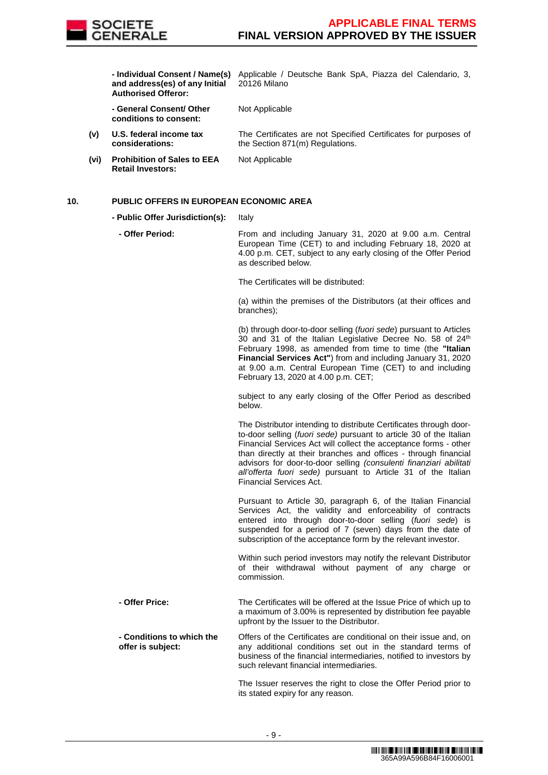

 **- Individual Consent / Name(s)**  Applicable / Deutsche Bank SpA, Piazza del Calendario, 3, **and address(es) of any Initial Authorised Offeror:**

20126 Milano

 **- General Consent/ Other conditions to consent:**

Not Applicable

Not Applicable

The Certificates are not Specified Certificates for purposes of the Section 871(m) Regulations.

**(vi) Prohibition of Sales to EEA Retail Investors:**

**(v) U.S. federal income tax considerations:**

### **10. PUBLIC OFFERS IN EUROPEAN ECONOMIC AREA**

- **Public Offer Jurisdiction(s):** Italy
	- **Offer Period:** From and including January 31, 2020 at 9.00 a.m. Central European Time (CET) to and including February 18, 2020 at 4.00 p.m. CET, subject to any early closing of the Offer Period as described below.

The Certificates will be distributed:

(a) within the premises of the Distributors (at their offices and branches);

(b) through door-to-door selling (fuori sede) pursuant to Articles 30 and 31 of the Italian Legislative Decree No. 58 of 24<sup>th</sup> February 1998, as amended from time to time (the **"Italian Financial Services Act"**) from and including January 31, 2020 at 9.00 a.m. Central European Time (CET) to and including February 13, 2020 at 4.00 p.m. CET;

subject to any early closing of the Offer Period as described below.

The Distributor intending to distribute Certificates through doorto-door selling (fuori sede) pursuant to article 30 of the Italian Financial Services Act will collect the acceptance forms - other than directly at their branches and offices - through financial advisors for door-to-door selling (consulenti finanziari abilitati all'offerta fuori sede) pursuant to Article 31 of the Italian Financial Services Act.

Pursuant to Article 30, paragraph 6, of the Italian Financial Services Act, the validity and enforceability of contracts entered into through door-to-door selling (fuori sede) is suspended for a period of 7 (seven) days from the date of subscription of the acceptance form by the relevant investor.

Within such period investors may notify the relevant Distributor of their withdrawal without payment of any charge or commission.

- **Offer Price:** The Certificates will be offered at the Issue Price of which up to a maximum of 3.00% is represented by distribution fee payable upfront by the Issuer to the Distributor.
- **Conditions to which the offer is subject:** Offers of the Certificates are conditional on their issue and, on any additional conditions set out in the standard terms of business of the financial intermediaries, notified to investors by such relevant financial intermediaries.

The Issuer reserves the right to close the Offer Period prior to its stated expiry for any reason.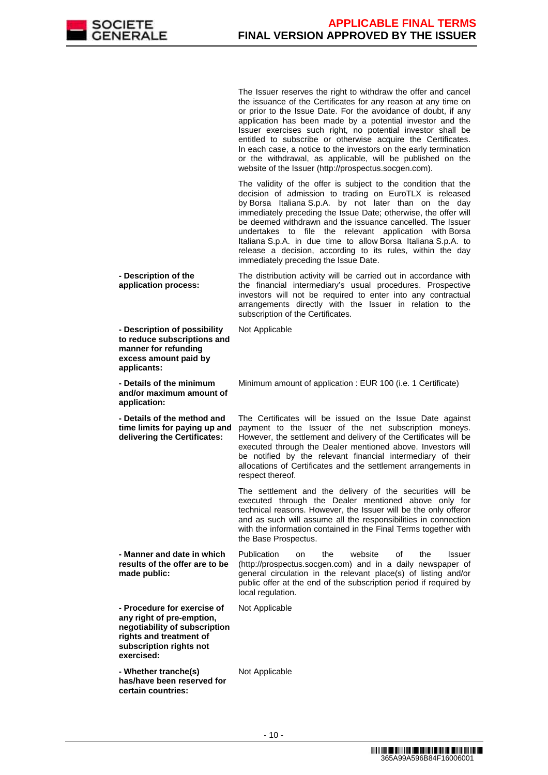

The Issuer reserves the right to withdraw the offer and cancel the issuance of the Certificates for any reason at any time on or prior to the Issue Date. For the avoidance of doubt, if any application has been made by a potential investor and the Issuer exercises such right, no potential investor shall be entitled to subscribe or otherwise acquire the Certificates. In each case, a notice to the investors on the early termination or the withdrawal, as applicable, will be published on the website of the Issuer (http://prospectus.socgen.com).

 The validity of the offer is subject to the condition that the decision of admission to trading on EuroTLX is released by Borsa Italiana S.p.A. by not later than on the day immediately preceding the Issue Date; otherwise, the offer will be deemed withdrawn and the issuance cancelled. The Issuer undertakes to file the relevant application with Borsa Italiana S.p.A. in due time to allow Borsa Italiana S.p.A. to release a decision, according to its rules, within the day immediately preceding the Issue Date.

 **- Description of the application process:** The distribution activity will be carried out in accordance with the financial intermediary's usual procedures. Prospective investors will not be required to enter into any contractual arrangements directly with the Issuer in relation to the subscription of the Certificates.

 **- Description of possibility to reduce subscriptions and manner for refunding excess amount paid by applicants:** Not Applicable **- Details of the minimum and/or maximum amount of application:** Minimum amount of application : EUR 100 (i.e. 1 Certificate) **- Details of the method and time limits for paying up and delivering the Certificates:** The Certificates will be issued on the Issue Date against payment to the Issuer of the net subscription moneys. However, the settlement and delivery of the Certificates will be executed through the Dealer mentioned above. Investors will be notified by the relevant financial intermediary of their allocations of Certificates and the settlement arrangements in respect thereof. The settlement and the delivery of the securities will be executed through the Dealer mentioned above only for technical reasons. However, the Issuer will be the only offeror and as such will assume all the responsibilities in connection with the information contained in the Final Terms together with the Base Prospectus. **- Manner and date in which results of the offer are to be made public:** Publication on the website of the Issuer (http://prospectus.socgen.com) and in a daily newspaper of general circulation in the relevant place(s) of listing and/or public offer at the end of the subscription period if required by local regulation. **- Procedure for exercise of any right of pre-emption, negotiability of subscription rights and treatment of subscription rights not exercised:** Not Applicable **- Whether tranche(s) has/have been reserved for**  Not Applicable

**certain countries:**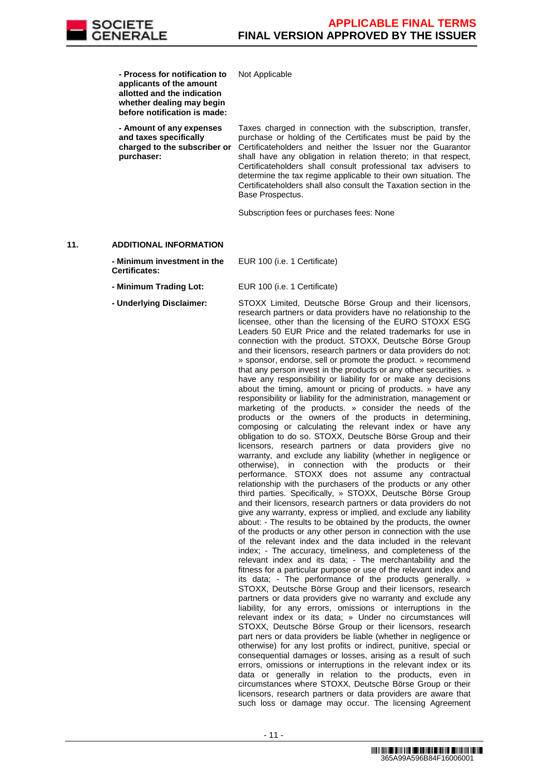

Not Applicable

 **- Process for notification to applicants of the amount allotted and the indication whether dealing may begin before notification is made:**

 **- Amount of any expenses and taxes specifically charged to the subscriber or purchaser:**

Taxes charged in connection with the subscription, transfer, purchase or holding of the Certificates must be paid by the Certificateholders and neither the Issuer nor the Guarantor shall have any obligation in relation thereto; in that respect, Certificateholders shall consult professional tax advisers to determine the tax regime applicable to their own situation. The Certificateholders shall also consult the Taxation section in the Base Prospectus.

Subscription fees or purchases fees: None

#### **11. ADDITIONAL INFORMATION**

 **- Minimum investment in the Certificates:**

**- Minimum Trading Lot:** EUR 100 (i.e. 1 Certificate)

EUR 100 (i.e. 1 Certificate)

 **- Underlying Disclaimer:** STOXX Limited, Deutsche Börse Group and their licensors, research partners or data providers have no relationship to the licensee, other than the licensing of the EURO STOXX ESG Leaders 50 EUR Price and the related trademarks for use in connection with the product. STOXX, Deutsche Börse Group and their licensors, research partners or data providers do not: » sponsor, endorse, sell or promote the product. » recommend that any person invest in the products or any other securities. » have any responsibility or liability for or make any decisions about the timing, amount or pricing of products. » have any responsibility or liability for the administration, management or marketing of the products. » consider the needs of the products or the owners of the products in determining, composing or calculating the relevant index or have any obligation to do so. STOXX, Deutsche Börse Group and their licensors, research partners or data providers give no warranty, and exclude any liability (whether in negligence or otherwise), in connection with the products or their performance. STOXX does not assume any contractual relationship with the purchasers of the products or any other third parties. Specifically, » STOXX, Deutsche Börse Group and their licensors, research partners or data providers do not give any warranty, express or implied, and exclude any liability about: - The results to be obtained by the products, the owner of the products or any other person in connection with the use of the relevant index and the data included in the relevant index; - The accuracy, timeliness, and completeness of the relevant index and its data; - The merchantability and the fitness for a particular purpose or use of the relevant index and its data; - The performance of the products generally. » STOXX, Deutsche Börse Group and their licensors, research partners or data providers give no warranty and exclude any liability, for any errors, omissions or interruptions in the relevant index or its data; » Under no circumstances will STOXX, Deutsche Börse Group or their licensors, research part ners or data providers be liable (whether in negligence or otherwise) for any lost profits or indirect, punitive, special or consequential damages or losses, arising as a result of such errors, omissions or interruptions in the relevant index or its data or generally in relation to the products, even in circumstances where STOXX, Deutsche Börse Group or their licensors, research partners or data providers are aware that such loss or damage may occur. The licensing Agreement

<sup>&</sup>lt;u> 1999 - 1999 - 1999 - 1999 - 1999 - 1999 - 1999 - 1999 - 1999 - 1999 - 1999 - 1999 - 1999 - 1999 - 1999 - 199</u> 365A99A596B84F16006001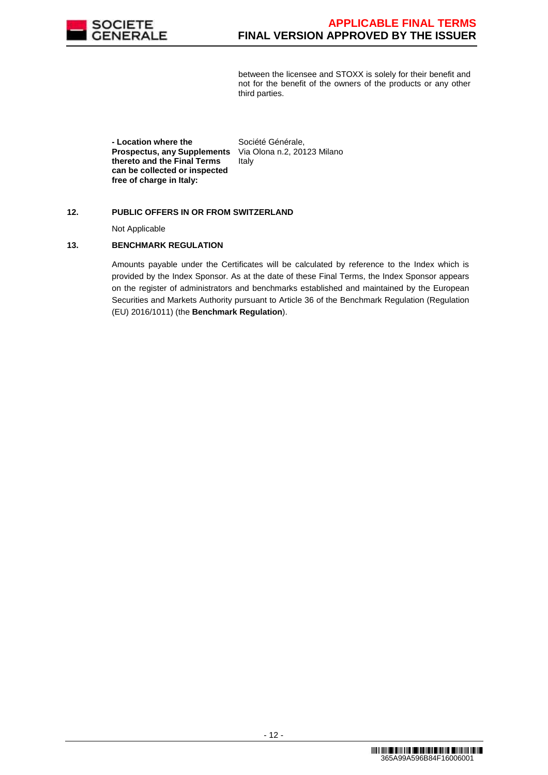

between the licensee and STOXX is solely for their benefit and not for the benefit of the owners of the products or any other third parties.

 **- Location where the Prospectus, any Supplements thereto and the Final Terms can be collected or inspected free of charge in Italy:** Italy

Société Générale, Via Olona n.2, 20123 Milano

### **12. PUBLIC OFFERS IN OR FROM SWITZERLAND**

Not Applicable

### **13. BENCHMARK REGULATION**

 Amounts payable under the Certificates will be calculated by reference to the Index which is provided by the Index Sponsor. As at the date of these Final Terms, the Index Sponsor appears on the register of administrators and benchmarks established and maintained by the European Securities and Markets Authority pursuant to Article 36 of the Benchmark Regulation (Regulation (EU) 2016/1011) (the **Benchmark Regulation**).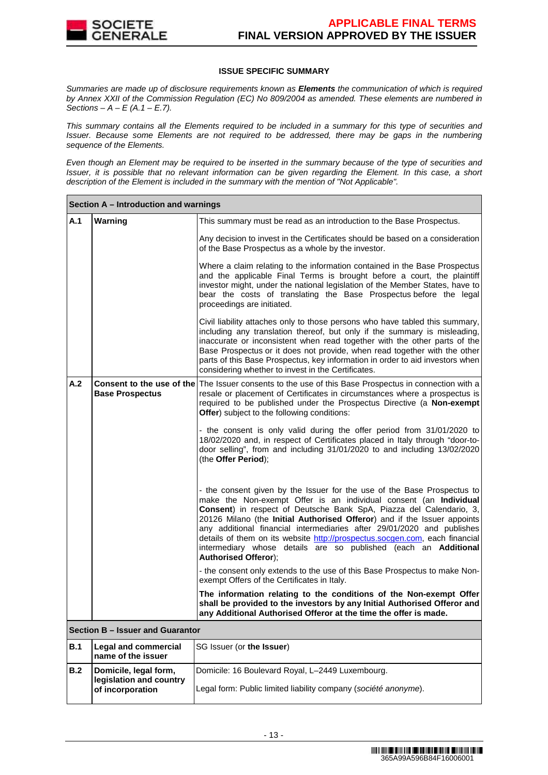

### **ISSUE SPECIFIC SUMMARY**

Summaries are made up of disclosure requirements known as **Elements** the communication of which is required by Annex XXII of the Commission Regulation (EC) No 809/2004 as amended. These elements are numbered in Sections –  $A - E(A.1 - E.7)$ .

This summary contains all the Elements required to be included in a summary for this type of securities and Issuer. Because some Elements are not required to be addressed, there may be gaps in the numbering sequence of the Elements.

Even though an Element may be required to be inserted in the summary because of the type of securities and Issuer, it is possible that no relevant information can be given regarding the Element. In this case, a short description of the Element is included in the summary with the mention of "Not Applicable".

|                               | Section A - Introduction and warnings                                |                                                                                                                                                                                                                                                                                                                                                                                                                                                                                                                                                            |  |  |  |  |
|-------------------------------|----------------------------------------------------------------------|------------------------------------------------------------------------------------------------------------------------------------------------------------------------------------------------------------------------------------------------------------------------------------------------------------------------------------------------------------------------------------------------------------------------------------------------------------------------------------------------------------------------------------------------------------|--|--|--|--|
| A.1                           | Warning                                                              | This summary must be read as an introduction to the Base Prospectus.                                                                                                                                                                                                                                                                                                                                                                                                                                                                                       |  |  |  |  |
|                               |                                                                      | Any decision to invest in the Certificates should be based on a consideration<br>of the Base Prospectus as a whole by the investor.                                                                                                                                                                                                                                                                                                                                                                                                                        |  |  |  |  |
|                               |                                                                      | Where a claim relating to the information contained in the Base Prospectus<br>and the applicable Final Terms is brought before a court, the plaintiff<br>investor might, under the national legislation of the Member States, have to<br>bear the costs of translating the Base Prospectus before the legal<br>proceedings are initiated.                                                                                                                                                                                                                  |  |  |  |  |
|                               |                                                                      | Civil liability attaches only to those persons who have tabled this summary,<br>including any translation thereof, but only if the summary is misleading,<br>inaccurate or inconsistent when read together with the other parts of the<br>Base Prospectus or it does not provide, when read together with the other<br>parts of this Base Prospectus, key information in order to aid investors when<br>considering whether to invest in the Certificates.                                                                                                 |  |  |  |  |
| A.2<br><b>Base Prospectus</b> |                                                                      | <b>Consent to the use of the The Issuer consents to the use of this Base Prospectus in connection with a</b><br>resale or placement of Certificates in circumstances where a prospectus is<br>required to be published under the Prospectus Directive (a Non-exempt<br>Offer) subject to the following conditions:                                                                                                                                                                                                                                         |  |  |  |  |
|                               |                                                                      | - the consent is only valid during the offer period from 31/01/2020 to<br>18/02/2020 and, in respect of Certificates placed in Italy through "door-to-<br>door selling", from and including 31/01/2020 to and including 13/02/2020<br>(the Offer Period);                                                                                                                                                                                                                                                                                                  |  |  |  |  |
|                               |                                                                      | - the consent given by the Issuer for the use of the Base Prospectus to<br>make the Non-exempt Offer is an individual consent (an Individual<br>Consent) in respect of Deutsche Bank SpA, Piazza del Calendario, 3,<br>20126 Milano (the Initial Authorised Offeror) and if the Issuer appoints<br>any additional financial intermediaries after 29/01/2020 and publishes<br>details of them on its website http://prospectus.socgen.com, each financial<br>intermediary whose details are so published (each an Additional<br><b>Authorised Offeror);</b> |  |  |  |  |
|                               |                                                                      | - the consent only extends to the use of this Base Prospectus to make Non-<br>exempt Offers of the Certificates in Italy.                                                                                                                                                                                                                                                                                                                                                                                                                                  |  |  |  |  |
|                               |                                                                      | The information relating to the conditions of the Non-exempt Offer<br>shall be provided to the investors by any Initial Authorised Offeror and<br>any Additional Authorised Offeror at the time the offer is made.                                                                                                                                                                                                                                                                                                                                         |  |  |  |  |
|                               | Section B - Issuer and Guarantor                                     |                                                                                                                                                                                                                                                                                                                                                                                                                                                                                                                                                            |  |  |  |  |
| <b>B.1</b>                    | <b>Legal and commercial</b><br>name of the issuer                    | SG Issuer (or the Issuer)                                                                                                                                                                                                                                                                                                                                                                                                                                                                                                                                  |  |  |  |  |
| B.2                           | Domicile, legal form,<br>legislation and country<br>of incorporation | Domicile: 16 Boulevard Royal, L-2449 Luxembourg.<br>Legal form: Public limited liability company (société anonyme).                                                                                                                                                                                                                                                                                                                                                                                                                                        |  |  |  |  |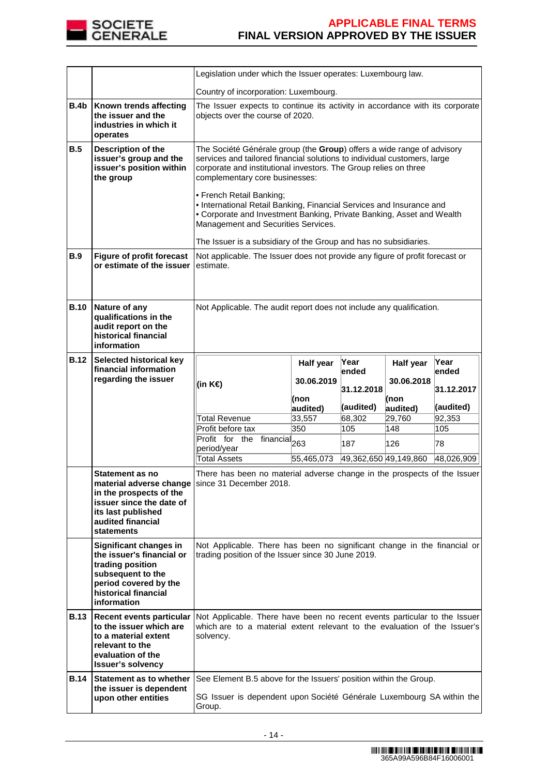

|             |                                                                                                                                                              | Legislation under which the Issuer operates: Luxembourg law.                                                                                                                                                                                                                                                                                                                                                                                                                                                                                     |            |                       |            |               |
|-------------|--------------------------------------------------------------------------------------------------------------------------------------------------------------|--------------------------------------------------------------------------------------------------------------------------------------------------------------------------------------------------------------------------------------------------------------------------------------------------------------------------------------------------------------------------------------------------------------------------------------------------------------------------------------------------------------------------------------------------|------------|-----------------------|------------|---------------|
|             |                                                                                                                                                              | Country of incorporation: Luxembourg.                                                                                                                                                                                                                                                                                                                                                                                                                                                                                                            |            |                       |            |               |
| <b>B.4b</b> | Known trends affecting<br>the issuer and the<br>industries in which it<br>operates                                                                           | The Issuer expects to continue its activity in accordance with its corporate<br>objects over the course of 2020.                                                                                                                                                                                                                                                                                                                                                                                                                                 |            |                       |            |               |
| B.5         | Description of the<br>issuer's group and the<br>issuer's position within<br>the group                                                                        | The Société Générale group (the Group) offers a wide range of advisory<br>services and tailored financial solutions to individual customers, large<br>corporate and institutional investors. The Group relies on three<br>complementary core businesses:<br>• French Retail Banking;<br>• International Retail Banking, Financial Services and Insurance and<br>• Corporate and Investment Banking, Private Banking, Asset and Wealth<br>Management and Securities Services.<br>The Issuer is a subsidiary of the Group and has no subsidiaries. |            |                       |            |               |
| <b>B.9</b>  | <b>Figure of profit forecast</b><br>or estimate of the issuer                                                                                                | Not applicable. The Issuer does not provide any figure of profit forecast or<br>estimate.                                                                                                                                                                                                                                                                                                                                                                                                                                                        |            |                       |            |               |
| <b>B.10</b> | Nature of any<br>qualifications in the<br>audit report on the<br>historical financial<br>information                                                         | Not Applicable. The audit report does not include any qualification.                                                                                                                                                                                                                                                                                                                                                                                                                                                                             |            |                       |            |               |
| <b>B.12</b> | Selected historical key<br>financial information                                                                                                             |                                                                                                                                                                                                                                                                                                                                                                                                                                                                                                                                                  | Half year  | Year                  | Half year  | Year<br>ended |
|             | regarding the issuer                                                                                                                                         | (in K€)                                                                                                                                                                                                                                                                                                                                                                                                                                                                                                                                          | 30.06.2019 | lended                | 30.06.2018 |               |
|             |                                                                                                                                                              |                                                                                                                                                                                                                                                                                                                                                                                                                                                                                                                                                  | (non       | 31.12.2018            | (non       | 31.12.2017    |
|             |                                                                                                                                                              |                                                                                                                                                                                                                                                                                                                                                                                                                                                                                                                                                  | audited)   | (audited)             | audited)   | (audited)     |
|             |                                                                                                                                                              | <b>Total Revenue</b>                                                                                                                                                                                                                                                                                                                                                                                                                                                                                                                             | 33,557     | 68,302                | 29,760     | 92,353        |
|             |                                                                                                                                                              | Profit before tax                                                                                                                                                                                                                                                                                                                                                                                                                                                                                                                                | 350        | 105                   | 148        | 105           |
|             |                                                                                                                                                              | Profit for the financial <sub>263</sub>                                                                                                                                                                                                                                                                                                                                                                                                                                                                                                          |            | 187                   | 126        | 78            |
|             |                                                                                                                                                              | period/year                                                                                                                                                                                                                                                                                                                                                                                                                                                                                                                                      |            |                       |            |               |
|             |                                                                                                                                                              | <b>Total Assets</b>                                                                                                                                                                                                                                                                                                                                                                                                                                                                                                                              | 55,465,073 | 49,362,650 49,149,860 |            | 48,026,909    |
|             | Statement as no<br>in the prospects of the<br>issuer since the date of<br>its last published<br>audited financial<br><b>statements</b>                       | There has been no material adverse change in the prospects of the Issuer<br>material adverse change   since 31 December 2018.                                                                                                                                                                                                                                                                                                                                                                                                                    |            |                       |            |               |
|             | Significant changes in<br>the issuer's financial or<br>trading position<br>subsequent to the<br>period covered by the<br>historical financial<br>information | Not Applicable. There has been no significant change in the financial or<br>trading position of the Issuer since 30 June 2019.                                                                                                                                                                                                                                                                                                                                                                                                                   |            |                       |            |               |
| <b>B.13</b> | <b>Recent events particular</b><br>to the issuer which are<br>to a material extent                                                                           | Not Applicable. There have been no recent events particular to the Issuer<br>which are to a material extent relevant to the evaluation of the Issuer's<br>solvency.                                                                                                                                                                                                                                                                                                                                                                              |            |                       |            |               |
|             | relevant to the<br>evaluation of the<br><b>Issuer's solvency</b>                                                                                             |                                                                                                                                                                                                                                                                                                                                                                                                                                                                                                                                                  |            |                       |            |               |
| <b>B.14</b> | Statement as to whether<br>the issuer is dependent                                                                                                           | See Element B.5 above for the Issuers' position within the Group.                                                                                                                                                                                                                                                                                                                                                                                                                                                                                |            |                       |            |               |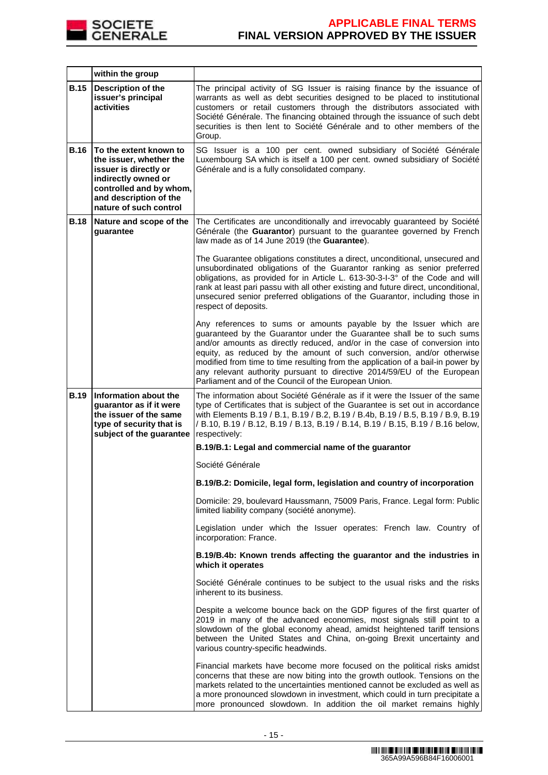

|             | within the group                                                                                                                                                                 |                                                                                                                                                                                                                                                                                                                                                                                                                                                                                                                        |
|-------------|----------------------------------------------------------------------------------------------------------------------------------------------------------------------------------|------------------------------------------------------------------------------------------------------------------------------------------------------------------------------------------------------------------------------------------------------------------------------------------------------------------------------------------------------------------------------------------------------------------------------------------------------------------------------------------------------------------------|
| <b>B.15</b> | <b>Description of the</b><br>issuer's principal<br>activities                                                                                                                    | The principal activity of SG Issuer is raising finance by the issuance of<br>warrants as well as debt securities designed to be placed to institutional<br>customers or retail customers through the distributors associated with<br>Société Générale. The financing obtained through the issuance of such debt<br>securities is then lent to Société Générale and to other members of the<br>Group.                                                                                                                   |
| <b>B.16</b> | To the extent known to<br>the issuer, whether the<br>issuer is directly or<br>indirectly owned or<br>controlled and by whom,<br>and description of the<br>nature of such control | SG Issuer is a 100 per cent. owned subsidiary of Société Générale<br>Luxembourg SA which is itself a 100 per cent. owned subsidiary of Société<br>Générale and is a fully consolidated company.                                                                                                                                                                                                                                                                                                                        |
| <b>B.18</b> | Nature and scope of the<br>guarantee                                                                                                                                             | The Certificates are unconditionally and irrevocably guaranteed by Société<br>Générale (the Guarantor) pursuant to the guarantee governed by French<br>law made as of 14 June 2019 (the Guarantee).                                                                                                                                                                                                                                                                                                                    |
|             |                                                                                                                                                                                  | The Guarantee obligations constitutes a direct, unconditional, unsecured and<br>unsubordinated obligations of the Guarantor ranking as senior preferred<br>obligations, as provided for in Article L. 613-30-3-I-3° of the Code and will<br>rank at least pari passu with all other existing and future direct, unconditional,<br>unsecured senior preferred obligations of the Guarantor, including those in<br>respect of deposits.                                                                                  |
|             |                                                                                                                                                                                  | Any references to sums or amounts payable by the Issuer which are<br>guaranteed by the Guarantor under the Guarantee shall be to such sums<br>and/or amounts as directly reduced, and/or in the case of conversion into<br>equity, as reduced by the amount of such conversion, and/or otherwise<br>modified from time to time resulting from the application of a bail-in power by<br>any relevant authority pursuant to directive 2014/59/EU of the European<br>Parliament and of the Council of the European Union. |
| <b>B.19</b> | Information about the<br>guarantor as if it were<br>the issuer of the same<br>type of security that is<br>subject of the guarantee                                               | The information about Société Générale as if it were the Issuer of the same<br>type of Certificates that is subject of the Guarantee is set out in accordance<br>with Elements B.19 / B.1, B.19 / B.2, B.19 / B.4b, B.19 / B.5, B.19 / B.9, B.19<br>/ B.10, B.19 / B.12, B.19 / B.13, B.19 / B.14, B.19 / B.15, B.19 / B.16 below,<br>respectively:                                                                                                                                                                    |
|             |                                                                                                                                                                                  | B.19/B.1: Legal and commercial name of the guarantor                                                                                                                                                                                                                                                                                                                                                                                                                                                                   |
|             |                                                                                                                                                                                  | Société Générale                                                                                                                                                                                                                                                                                                                                                                                                                                                                                                       |
|             |                                                                                                                                                                                  | B.19/B.2: Domicile, legal form, legislation and country of incorporation                                                                                                                                                                                                                                                                                                                                                                                                                                               |
|             |                                                                                                                                                                                  | Domicile: 29, boulevard Haussmann, 75009 Paris, France. Legal form: Public<br>limited liability company (société anonyme).                                                                                                                                                                                                                                                                                                                                                                                             |
|             |                                                                                                                                                                                  | Legislation under which the Issuer operates: French law. Country of<br>incorporation: France.                                                                                                                                                                                                                                                                                                                                                                                                                          |
|             |                                                                                                                                                                                  | B.19/B.4b: Known trends affecting the guarantor and the industries in<br>which it operates                                                                                                                                                                                                                                                                                                                                                                                                                             |
|             |                                                                                                                                                                                  | Société Générale continues to be subject to the usual risks and the risks<br>inherent to its business.                                                                                                                                                                                                                                                                                                                                                                                                                 |
|             |                                                                                                                                                                                  | Despite a welcome bounce back on the GDP figures of the first quarter of<br>2019 in many of the advanced economies, most signals still point to a<br>slowdown of the global economy ahead, amidst heightened tariff tensions<br>between the United States and China, on-going Brexit uncertainty and<br>various country-specific headwinds.                                                                                                                                                                            |
|             |                                                                                                                                                                                  | Financial markets have become more focused on the political risks amidst<br>concerns that these are now biting into the growth outlook. Tensions on the<br>markets related to the uncertainties mentioned cannot be excluded as well as<br>a more pronounced slowdown in investment, which could in turn precipitate a<br>more pronounced slowdown. In addition the oil market remains highly                                                                                                                          |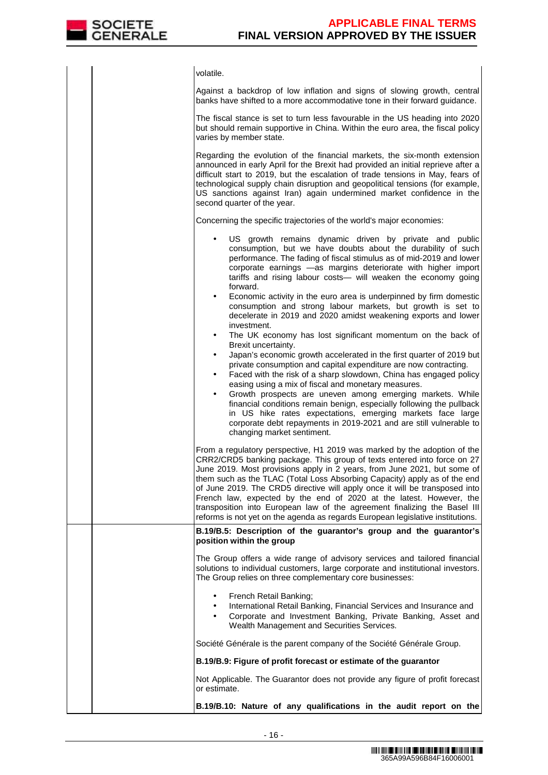

|  | volatile.                                                                                                                                                                                                                                                                                                                                                                                                                                                                                                                                                                                                                         |
|--|-----------------------------------------------------------------------------------------------------------------------------------------------------------------------------------------------------------------------------------------------------------------------------------------------------------------------------------------------------------------------------------------------------------------------------------------------------------------------------------------------------------------------------------------------------------------------------------------------------------------------------------|
|  | Against a backdrop of low inflation and signs of slowing growth, central<br>banks have shifted to a more accommodative tone in their forward guidance.                                                                                                                                                                                                                                                                                                                                                                                                                                                                            |
|  | The fiscal stance is set to turn less favourable in the US heading into 2020<br>but should remain supportive in China. Within the euro area, the fiscal policy<br>varies by member state.                                                                                                                                                                                                                                                                                                                                                                                                                                         |
|  | Regarding the evolution of the financial markets, the six-month extension<br>announced in early April for the Brexit had provided an initial reprieve after a<br>difficult start to 2019, but the escalation of trade tensions in May, fears of<br>technological supply chain disruption and geopolitical tensions (for example,<br>US sanctions against Iran) again undermined market confidence in the<br>second quarter of the year.                                                                                                                                                                                           |
|  | Concerning the specific trajectories of the world's major economies:                                                                                                                                                                                                                                                                                                                                                                                                                                                                                                                                                              |
|  | US growth remains dynamic driven by private and public<br>consumption, but we have doubts about the durability of such<br>performance. The fading of fiscal stimulus as of mid-2019 and lower<br>corporate earnings -as margins deteriorate with higher import<br>tariffs and rising labour costs- will weaken the economy going<br>forward.                                                                                                                                                                                                                                                                                      |
|  | Economic activity in the euro area is underpinned by firm domestic<br>$\bullet$<br>consumption and strong labour markets, but growth is set to<br>decelerate in 2019 and 2020 amidst weakening exports and lower<br>investment.<br>The UK economy has lost significant momentum on the back of<br>$\bullet$                                                                                                                                                                                                                                                                                                                       |
|  | Brexit uncertainty.<br>Japan's economic growth accelerated in the first quarter of 2019 but<br>$\bullet$<br>private consumption and capital expenditure are now contracting.<br>Faced with the risk of a sharp slowdown, China has engaged policy<br>٠<br>easing using a mix of fiscal and monetary measures.<br>Growth prospects are uneven among emerging markets. While<br>$\bullet$<br>financial conditions remain benign, especially following the pullback<br>in US hike rates expectations, emerging markets face large                                                                                                    |
|  | corporate debt repayments in 2019-2021 and are still vulnerable to<br>changing market sentiment.                                                                                                                                                                                                                                                                                                                                                                                                                                                                                                                                  |
|  | From a regulatory perspective, H1 2019 was marked by the adoption of the<br>CRR2/CRD5 banking package. This group of texts entered into force on 27<br>June 2019. Most provisions apply in 2 years, from June 2021, but some of<br>them such as the TLAC (Total Loss Absorbing Capacity) apply as of the end<br>of June 2019. The CRD5 directive will apply once it will be transposed into<br>French law, expected by the end of 2020 at the latest. However, the<br>transposition into European law of the agreement finalizing the Basel III<br>reforms is not yet on the agenda as regards European legislative institutions. |
|  | B.19/B.5: Description of the guarantor's group and the guarantor's<br>position within the group                                                                                                                                                                                                                                                                                                                                                                                                                                                                                                                                   |
|  | The Group offers a wide range of advisory services and tailored financial<br>solutions to individual customers, large corporate and institutional investors.<br>The Group relies on three complementary core businesses:                                                                                                                                                                                                                                                                                                                                                                                                          |
|  | French Retail Banking;<br>International Retail Banking, Financial Services and Insurance and<br>$\bullet$<br>Corporate and Investment Banking, Private Banking, Asset and<br>$\bullet$<br>Wealth Management and Securities Services.                                                                                                                                                                                                                                                                                                                                                                                              |
|  | Société Générale is the parent company of the Société Générale Group.                                                                                                                                                                                                                                                                                                                                                                                                                                                                                                                                                             |
|  | B.19/B.9: Figure of profit forecast or estimate of the guarantor                                                                                                                                                                                                                                                                                                                                                                                                                                                                                                                                                                  |
|  | Not Applicable. The Guarantor does not provide any figure of profit forecast<br>or estimate.                                                                                                                                                                                                                                                                                                                                                                                                                                                                                                                                      |
|  | B.19/B.10: Nature of any qualifications in the audit report on the                                                                                                                                                                                                                                                                                                                                                                                                                                                                                                                                                                |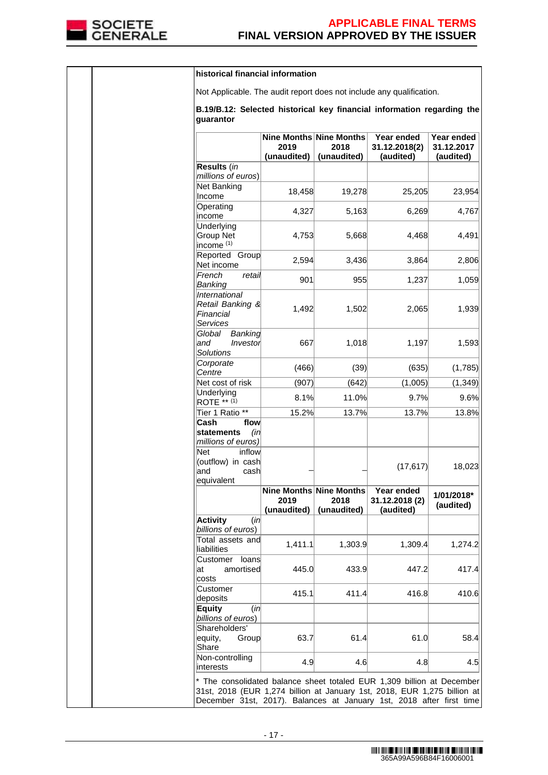

|  | historical financial information                                                                                                                                                                                           |                                                |                     |                                           |                                       |
|--|----------------------------------------------------------------------------------------------------------------------------------------------------------------------------------------------------------------------------|------------------------------------------------|---------------------|-------------------------------------------|---------------------------------------|
|  | Not Applicable. The audit report does not include any qualification.                                                                                                                                                       |                                                |                     |                                           |                                       |
|  | B.19/B.12: Selected historical key financial information regarding the<br>guarantor                                                                                                                                        |                                                |                     |                                           |                                       |
|  |                                                                                                                                                                                                                            | Nine Months Nine Months<br>2019<br>(unaudited) | 2018<br>(unaudited) | Year ended<br>31.12.2018(2)<br>(audited)  | Year ended<br>31.12.2017<br>(audited) |
|  | Results (in<br>millions of euros)                                                                                                                                                                                          |                                                |                     |                                           |                                       |
|  | Net Banking<br>Income                                                                                                                                                                                                      | 18,458                                         | 19,278              | 25,205                                    | 23,954                                |
|  | Operating<br>lincome                                                                                                                                                                                                       | 4,327                                          | 5,163               | 6,269                                     | 4,767                                 |
|  | Underlying<br>Group Net<br>income <sup>(1)</sup>                                                                                                                                                                           | 4,753                                          | 5,668               | 4,468                                     | 4,491                                 |
|  | Reported Group<br>Net income                                                                                                                                                                                               | 2,594                                          | 3,436               | 3,864                                     | 2,806                                 |
|  | French<br>retail<br>Banking                                                                                                                                                                                                | 901                                            | 955                 | 1,237                                     | 1,059                                 |
|  | International<br>Retail Banking &<br>Financial<br><b>Services</b>                                                                                                                                                          | 1,492                                          | 1,502               | 2,065                                     | 1,939                                 |
|  | Banking<br>Global<br>and<br>Investor<br><b>Solutions</b>                                                                                                                                                                   | 667                                            | 1,018               | 1,197                                     | 1,593                                 |
|  | Corporate<br>Centre                                                                                                                                                                                                        | (466)                                          | (39)                | (635)                                     | (1,785)                               |
|  | Net cost of risk                                                                                                                                                                                                           | (907)                                          | (642)               | (1,005)                                   | (1, 349)                              |
|  | Underlying<br>$ROTE$ ** $(1)$                                                                                                                                                                                              | 8.1%                                           | 11.0%               | 9.7%                                      | 9.6%                                  |
|  | Tier 1 Ratio **                                                                                                                                                                                                            | 15.2%                                          | 13.7%               | 13.7%                                     | 13.8%                                 |
|  | Cash<br>flow<br>statements<br>(in<br>millions of euros)                                                                                                                                                                    |                                                |                     |                                           |                                       |
|  | Net<br>inflow<br>(outflow) in cash<br>and<br>cash<br>equivalent                                                                                                                                                            |                                                |                     | (17, 617)                                 | 18,023                                |
|  |                                                                                                                                                                                                                            | Nine Months Nine Months<br>2019<br>(unaudited) | 2018<br>(unaudited) | Year ended<br>31.12.2018 (2)<br>(audited) | 1/01/2018*<br>(audited)               |
|  | <b>Activity</b><br>(in<br>billions of euros)                                                                                                                                                                               |                                                |                     |                                           |                                       |
|  | Total assets and<br>liabilities                                                                                                                                                                                            | 1,411.1                                        | 1,303.9             | 1,309.4                                   | 1,274.2                               |
|  | Customer<br>loans<br>amortised<br>lat<br>costs                                                                                                                                                                             | 445.0                                          | 433.9               | 447.2                                     | 417.4                                 |
|  | Customer<br>deposits                                                                                                                                                                                                       | 415.1                                          | 411.4               | 416.8                                     | 410.6                                 |
|  | <b>Equity</b><br>(in<br>billions of euros)                                                                                                                                                                                 |                                                |                     |                                           |                                       |
|  | Shareholders'<br>equity,<br>Group<br>Share                                                                                                                                                                                 | 63.7                                           | 61.4                | 61.0                                      | 58.4                                  |
|  | Non-controlling<br>interests                                                                                                                                                                                               | 4.9                                            | 4.6                 | 4.8                                       | 4.5                                   |
|  | * The consolidated balance sheet totaled EUR 1,309 billion at December<br>31st, 2018 (EUR 1,274 billion at January 1st, 2018, EUR 1,275 billion at<br>December 31st, 2017). Balances at January 1st, 2018 after first time |                                                |                     |                                           |                                       |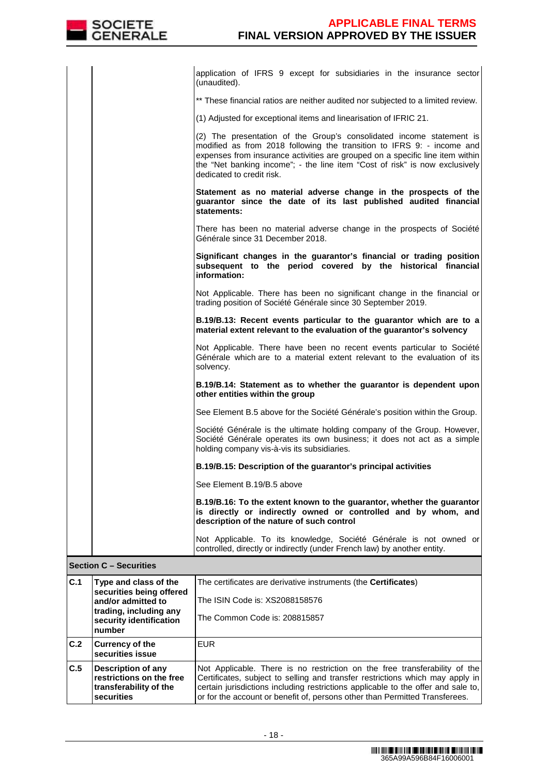|     |                                                                                        | application of IFRS 9 except for subsidiaries in the insurance sector<br>(unaudited).                                                                                                                                                                                                                                                       |
|-----|----------------------------------------------------------------------------------------|---------------------------------------------------------------------------------------------------------------------------------------------------------------------------------------------------------------------------------------------------------------------------------------------------------------------------------------------|
|     |                                                                                        | ** These financial ratios are neither audited nor subjected to a limited review.                                                                                                                                                                                                                                                            |
|     |                                                                                        | (1) Adjusted for exceptional items and linearisation of IFRIC 21.                                                                                                                                                                                                                                                                           |
|     |                                                                                        | (2) The presentation of the Group's consolidated income statement is<br>modified as from 2018 following the transition to IFRS 9: - income and<br>expenses from insurance activities are grouped on a specific line item within<br>the "Net banking income"; - the line item "Cost of risk" is now exclusively<br>dedicated to credit risk. |
|     |                                                                                        | Statement as no material adverse change in the prospects of the<br>guarantor since the date of its last published audited financial<br>statements:                                                                                                                                                                                          |
|     |                                                                                        | There has been no material adverse change in the prospects of Société<br>Générale since 31 December 2018.                                                                                                                                                                                                                                   |
|     |                                                                                        | Significant changes in the guarantor's financial or trading position<br>subsequent to the period covered by the historical financial<br>information:                                                                                                                                                                                        |
|     |                                                                                        | Not Applicable. There has been no significant change in the financial or<br>trading position of Société Générale since 30 September 2019.                                                                                                                                                                                                   |
|     |                                                                                        | B.19/B.13: Recent events particular to the guarantor which are to a<br>material extent relevant to the evaluation of the guarantor's solvency                                                                                                                                                                                               |
|     |                                                                                        | Not Applicable. There have been no recent events particular to Société<br>Générale which are to a material extent relevant to the evaluation of its<br>solvency.                                                                                                                                                                            |
|     |                                                                                        | B.19/B.14: Statement as to whether the guarantor is dependent upon<br>other entities within the group                                                                                                                                                                                                                                       |
|     |                                                                                        | See Element B.5 above for the Société Générale's position within the Group.                                                                                                                                                                                                                                                                 |
|     |                                                                                        | Société Générale is the ultimate holding company of the Group. However,<br>Société Générale operates its own business; it does not act as a simple<br>holding company vis-à-vis its subsidiaries.                                                                                                                                           |
|     |                                                                                        | B.19/B.15: Description of the guarantor's principal activities                                                                                                                                                                                                                                                                              |
|     |                                                                                        | See Element B.19/B.5 above                                                                                                                                                                                                                                                                                                                  |
|     |                                                                                        | B.19/B.16: To the extent known to the guarantor, whether the guarantor<br>is directly or indirectly owned or controlled and by whom, and<br>description of the nature of such control                                                                                                                                                       |
|     |                                                                                        | Not Applicable. To its knowledge, Société Générale is not owned or<br>controlled, directly or indirectly (under French law) by another entity.                                                                                                                                                                                              |
|     | <b>Section C - Securities</b>                                                          |                                                                                                                                                                                                                                                                                                                                             |
| C.1 | Type and class of the<br>securities being offered                                      | The certificates are derivative instruments (the Certificates)                                                                                                                                                                                                                                                                              |
|     | and/or admitted to                                                                     | The ISIN Code is: XS2088158576                                                                                                                                                                                                                                                                                                              |
|     | trading, including any<br>security identification<br>number                            | The Common Code is: 208815857                                                                                                                                                                                                                                                                                                               |
| C.2 | <b>Currency of the</b><br>securities issue                                             | <b>EUR</b>                                                                                                                                                                                                                                                                                                                                  |
| C.5 | Description of any<br>restrictions on the free<br>transferability of the<br>securities | Not Applicable. There is no restriction on the free transferability of the<br>Certificates, subject to selling and transfer restrictions which may apply in<br>certain jurisdictions including restrictions applicable to the offer and sale to,<br>or for the account or benefit of, persons other than Permitted Transferees.             |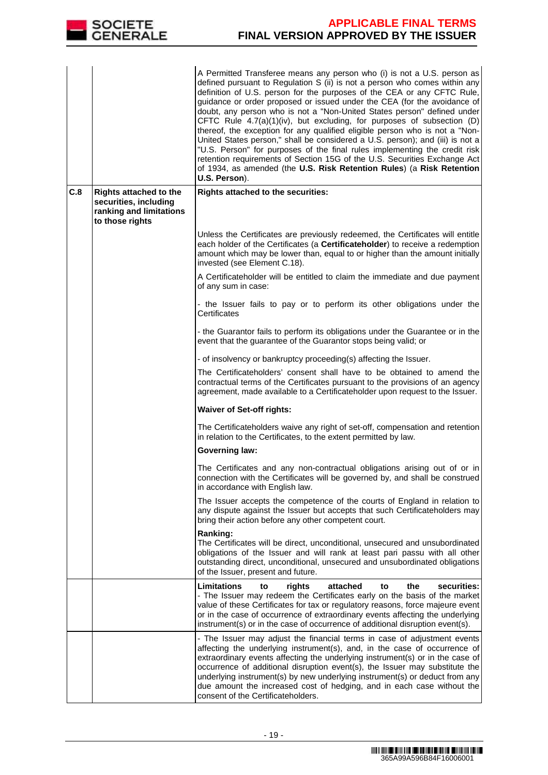

|     |                                                                                                      | A Permitted Transferee means any person who (i) is not a U.S. person as<br>defined pursuant to Regulation S (ii) is not a person who comes within any<br>definition of U.S. person for the purposes of the CEA or any CFTC Rule,<br>guidance or order proposed or issued under the CEA (for the avoidance of<br>doubt, any person who is not a "Non-United States person" defined under<br>CFTC Rule 4.7(a)(1)(iv), but excluding, for purposes of subsection (D)<br>thereof, the exception for any qualified eligible person who is not a "Non-<br>United States person," shall be considered a U.S. person); and (iii) is not a<br>"U.S. Person" for purposes of the final rules implementing the credit risk<br>retention requirements of Section 15G of the U.S. Securities Exchange Act<br>of 1934, as amended (the U.S. Risk Retention Rules) (a Risk Retention<br>U.S. Person). |
|-----|------------------------------------------------------------------------------------------------------|----------------------------------------------------------------------------------------------------------------------------------------------------------------------------------------------------------------------------------------------------------------------------------------------------------------------------------------------------------------------------------------------------------------------------------------------------------------------------------------------------------------------------------------------------------------------------------------------------------------------------------------------------------------------------------------------------------------------------------------------------------------------------------------------------------------------------------------------------------------------------------------|
| C.8 | <b>Rights attached to the</b><br>securities, including<br>ranking and limitations<br>to those rights | Rights attached to the securities:                                                                                                                                                                                                                                                                                                                                                                                                                                                                                                                                                                                                                                                                                                                                                                                                                                                     |
|     |                                                                                                      | Unless the Certificates are previously redeemed, the Certificates will entitle<br>each holder of the Certificates (a Certificateholder) to receive a redemption<br>amount which may be lower than, equal to or higher than the amount initially<br>invested (see Element C.18).                                                                                                                                                                                                                                                                                                                                                                                                                                                                                                                                                                                                        |
|     |                                                                                                      | A Certificateholder will be entitled to claim the immediate and due payment<br>of any sum in case:                                                                                                                                                                                                                                                                                                                                                                                                                                                                                                                                                                                                                                                                                                                                                                                     |
|     |                                                                                                      | - the Issuer fails to pay or to perform its other obligations under the<br>Certificates                                                                                                                                                                                                                                                                                                                                                                                                                                                                                                                                                                                                                                                                                                                                                                                                |
|     |                                                                                                      | - the Guarantor fails to perform its obligations under the Guarantee or in the<br>event that the guarantee of the Guarantor stops being valid; or                                                                                                                                                                                                                                                                                                                                                                                                                                                                                                                                                                                                                                                                                                                                      |
|     |                                                                                                      | - of insolvency or bankruptcy proceeding(s) affecting the Issuer.                                                                                                                                                                                                                                                                                                                                                                                                                                                                                                                                                                                                                                                                                                                                                                                                                      |
|     |                                                                                                      | The Certificateholders' consent shall have to be obtained to amend the<br>contractual terms of the Certificates pursuant to the provisions of an agency<br>agreement, made available to a Certificateholder upon request to the Issuer.                                                                                                                                                                                                                                                                                                                                                                                                                                                                                                                                                                                                                                                |
|     |                                                                                                      | <b>Waiver of Set-off rights:</b>                                                                                                                                                                                                                                                                                                                                                                                                                                                                                                                                                                                                                                                                                                                                                                                                                                                       |
|     |                                                                                                      | The Certificateholders waive any right of set-off, compensation and retention<br>in relation to the Certificates, to the extent permitted by law.                                                                                                                                                                                                                                                                                                                                                                                                                                                                                                                                                                                                                                                                                                                                      |
|     |                                                                                                      | <b>Governing law:</b>                                                                                                                                                                                                                                                                                                                                                                                                                                                                                                                                                                                                                                                                                                                                                                                                                                                                  |
|     |                                                                                                      | The Certificates and any non-contractual obligations arising out of or in<br>connection with the Certificates will be governed by, and shall be construed<br>in accordance with English law.                                                                                                                                                                                                                                                                                                                                                                                                                                                                                                                                                                                                                                                                                           |
|     |                                                                                                      | The Issuer accepts the competence of the courts of England in relation to<br>any dispute against the Issuer but accepts that such Certificateholders may<br>bring their action before any other competent court.                                                                                                                                                                                                                                                                                                                                                                                                                                                                                                                                                                                                                                                                       |
|     |                                                                                                      | Ranking:<br>The Certificates will be direct, unconditional, unsecured and unsubordinated<br>obligations of the Issuer and will rank at least pari passu with all other<br>outstanding direct, unconditional, unsecured and unsubordinated obligations<br>of the Issuer, present and future.                                                                                                                                                                                                                                                                                                                                                                                                                                                                                                                                                                                            |
|     |                                                                                                      | <b>Limitations</b><br>securities:<br>rights<br>attached<br>the<br>to<br>to<br>- The Issuer may redeem the Certificates early on the basis of the market<br>value of these Certificates for tax or regulatory reasons, force majeure event<br>or in the case of occurrence of extraordinary events affecting the underlying<br>instrument(s) or in the case of occurrence of additional disruption event(s).                                                                                                                                                                                                                                                                                                                                                                                                                                                                            |
|     |                                                                                                      | - The Issuer may adjust the financial terms in case of adjustment events<br>affecting the underlying instrument(s), and, in the case of occurrence of<br>extraordinary events affecting the underlying instrument(s) or in the case of<br>occurrence of additional disruption event(s), the Issuer may substitute the<br>underlying instrument(s) by new underlying instrument(s) or deduct from any<br>due amount the increased cost of hedging, and in each case without the<br>consent of the Certificateholders.                                                                                                                                                                                                                                                                                                                                                                   |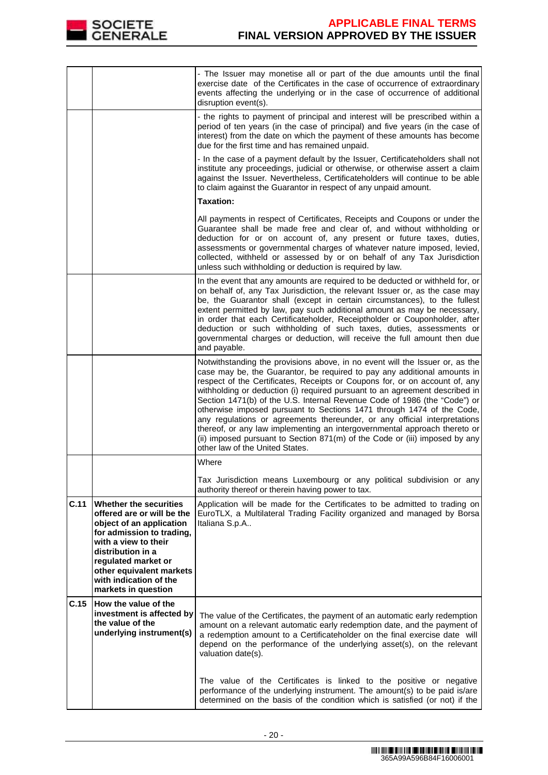

|      |                                                                                                                                                                                                                                                                       | - The Issuer may monetise all or part of the due amounts until the final<br>exercise date of the Certificates in the case of occurrence of extraordinary<br>events affecting the underlying or in the case of occurrence of additional<br>disruption event(s).                                                                                                                                                                                                                                                                                                                                                                                                                                                                                           |
|------|-----------------------------------------------------------------------------------------------------------------------------------------------------------------------------------------------------------------------------------------------------------------------|----------------------------------------------------------------------------------------------------------------------------------------------------------------------------------------------------------------------------------------------------------------------------------------------------------------------------------------------------------------------------------------------------------------------------------------------------------------------------------------------------------------------------------------------------------------------------------------------------------------------------------------------------------------------------------------------------------------------------------------------------------|
|      |                                                                                                                                                                                                                                                                       | - the rights to payment of principal and interest will be prescribed within a<br>period of ten years (in the case of principal) and five years (in the case of<br>interest) from the date on which the payment of these amounts has become<br>due for the first time and has remained unpaid.                                                                                                                                                                                                                                                                                                                                                                                                                                                            |
|      |                                                                                                                                                                                                                                                                       | - In the case of a payment default by the Issuer, Certificateholders shall not<br>institute any proceedings, judicial or otherwise, or otherwise assert a claim<br>against the Issuer. Nevertheless, Certificateholders will continue to be able<br>to claim against the Guarantor in respect of any unpaid amount.                                                                                                                                                                                                                                                                                                                                                                                                                                      |
|      |                                                                                                                                                                                                                                                                       | <b>Taxation:</b>                                                                                                                                                                                                                                                                                                                                                                                                                                                                                                                                                                                                                                                                                                                                         |
|      |                                                                                                                                                                                                                                                                       | All payments in respect of Certificates, Receipts and Coupons or under the<br>Guarantee shall be made free and clear of, and without withholding or<br>deduction for or on account of, any present or future taxes, duties,<br>assessments or governmental charges of whatever nature imposed, levied,<br>collected, withheld or assessed by or on behalf of any Tax Jurisdiction<br>unless such withholding or deduction is required by law.                                                                                                                                                                                                                                                                                                            |
|      |                                                                                                                                                                                                                                                                       | In the event that any amounts are required to be deducted or withheld for, or<br>on behalf of, any Tax Jurisdiction, the relevant Issuer or, as the case may<br>be, the Guarantor shall (except in certain circumstances), to the fullest<br>extent permitted by law, pay such additional amount as may be necessary,<br>in order that each Certificateholder, Receiptholder or Couponholder, after<br>deduction or such withholding of such taxes, duties, assessments or<br>governmental charges or deduction, will receive the full amount then due<br>and payable.                                                                                                                                                                                   |
|      |                                                                                                                                                                                                                                                                       | Notwithstanding the provisions above, in no event will the Issuer or, as the<br>case may be, the Guarantor, be required to pay any additional amounts in<br>respect of the Certificates, Receipts or Coupons for, or on account of, any<br>withholding or deduction (i) required pursuant to an agreement described in<br>Section 1471(b) of the U.S. Internal Revenue Code of 1986 (the "Code") or<br>otherwise imposed pursuant to Sections 1471 through 1474 of the Code,<br>any regulations or agreements thereunder, or any official interpretations<br>thereof, or any law implementing an intergovernmental approach thereto or<br>(ii) imposed pursuant to Section 871(m) of the Code or (iii) imposed by any<br>other law of the United States. |
|      |                                                                                                                                                                                                                                                                       | Where                                                                                                                                                                                                                                                                                                                                                                                                                                                                                                                                                                                                                                                                                                                                                    |
|      |                                                                                                                                                                                                                                                                       | Tax Jurisdiction means Luxembourg or any political subdivision or any<br>authority thereof or therein having power to tax.                                                                                                                                                                                                                                                                                                                                                                                                                                                                                                                                                                                                                               |
| C.11 | <b>Whether the securities</b><br>offered are or will be the<br>object of an application<br>for admission to trading,<br>with a view to their<br>distribution in a<br>regulated market or<br>other equivalent markets<br>with indication of the<br>markets in question | Application will be made for the Certificates to be admitted to trading on<br>EuroTLX, a Multilateral Trading Facility organized and managed by Borsa<br>Italiana S.p.A                                                                                                                                                                                                                                                                                                                                                                                                                                                                                                                                                                                  |
| C.15 | How the value of the<br>investment is affected by<br>the value of the<br>underlying instrument(s)                                                                                                                                                                     | The value of the Certificates, the payment of an automatic early redemption<br>amount on a relevant automatic early redemption date, and the payment of<br>a redemption amount to a Certificateholder on the final exercise date will<br>depend on the performance of the underlying asset(s), on the relevant<br>valuation date(s).                                                                                                                                                                                                                                                                                                                                                                                                                     |
|      |                                                                                                                                                                                                                                                                       | The value of the Certificates is linked to the positive or negative<br>performance of the underlying instrument. The amount(s) to be paid is/are<br>determined on the basis of the condition which is satisfied (or not) if the                                                                                                                                                                                                                                                                                                                                                                                                                                                                                                                          |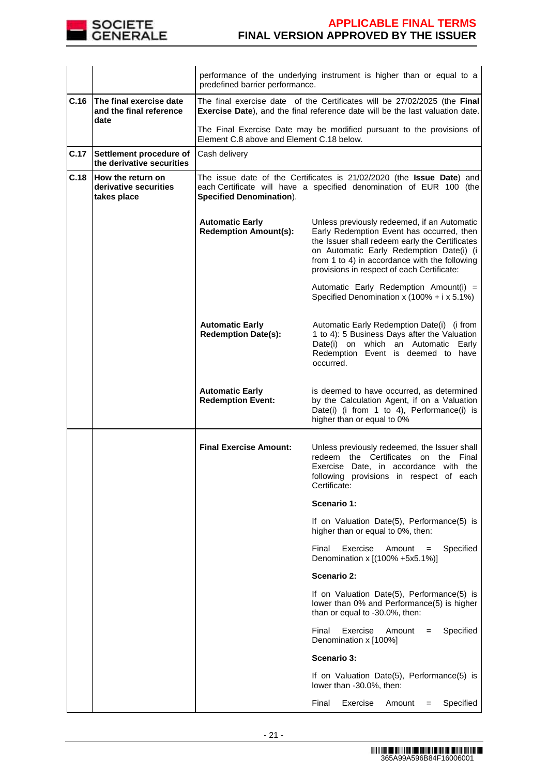

|      |                                                            | performance of the underlying instrument is higher than or equal to a<br>predefined barrier performance.                                                   |                                                                                                                                                                                                                                                                                       |  |
|------|------------------------------------------------------------|------------------------------------------------------------------------------------------------------------------------------------------------------------|---------------------------------------------------------------------------------------------------------------------------------------------------------------------------------------------------------------------------------------------------------------------------------------|--|
| C.16 | The final exercise date<br>and the final reference<br>date | The final exercise date of the Certificates will be 27/02/2025 (the Final<br>Exercise Date), and the final reference date will be the last valuation date. |                                                                                                                                                                                                                                                                                       |  |
|      |                                                            | Element C.8 above and Element C.18 below.                                                                                                                  | The Final Exercise Date may be modified pursuant to the provisions of                                                                                                                                                                                                                 |  |
| C.17 | Settlement procedure of<br>the derivative securities       | Cash delivery                                                                                                                                              |                                                                                                                                                                                                                                                                                       |  |
| C.18 | How the return on<br>derivative securities<br>takes place  | <b>Specified Denomination).</b>                                                                                                                            | The issue date of the Certificates is 21/02/2020 (the Issue Date) and<br>each Certificate will have a specified denomination of EUR 100 (the                                                                                                                                          |  |
|      |                                                            | <b>Automatic Early</b><br><b>Redemption Amount(s):</b>                                                                                                     | Unless previously redeemed, if an Automatic<br>Early Redemption Event has occurred, then<br>the Issuer shall redeem early the Certificates<br>on Automatic Early Redemption Date(i) (i<br>from 1 to 4) in accordance with the following<br>provisions in respect of each Certificate: |  |
|      |                                                            |                                                                                                                                                            | Automatic Early Redemption Amount(i) =<br>Specified Denomination x $(100\% + i \times 5.1\%)$                                                                                                                                                                                         |  |
|      |                                                            | <b>Automatic Early</b><br><b>Redemption Date(s):</b>                                                                                                       | Automatic Early Redemption Date(i) (i from<br>1 to 4): 5 Business Days after the Valuation<br>Date(i) on which an Automatic Early<br>Redemption Event is deemed to have<br>occurred.                                                                                                  |  |
|      |                                                            | <b>Automatic Early</b><br><b>Redemption Event:</b>                                                                                                         | is deemed to have occurred, as determined<br>by the Calculation Agent, if on a Valuation<br>Date(i) (i from 1 to 4), Performance(i) is<br>higher than or equal to 0%                                                                                                                  |  |
|      |                                                            | <b>Final Exercise Amount:</b>                                                                                                                              | Unless previously redeemed, the Issuer shall<br>redeem the Certificates on the Final<br>Exercise Date, in accordance with the<br>following provisions in respect of each<br>Certificate:                                                                                              |  |
|      |                                                            |                                                                                                                                                            | Scenario 1:                                                                                                                                                                                                                                                                           |  |
|      |                                                            |                                                                                                                                                            | If on Valuation Date(5), Performance(5) is<br>higher than or equal to 0%, then:                                                                                                                                                                                                       |  |
|      |                                                            |                                                                                                                                                            | Final<br>Exercise<br>Specified<br>Amount<br>$=$<br>Denomination x [(100% +5x5.1%)]                                                                                                                                                                                                    |  |
|      |                                                            |                                                                                                                                                            | <b>Scenario 2:</b>                                                                                                                                                                                                                                                                    |  |
|      |                                                            |                                                                                                                                                            | If on Valuation Date(5), Performance(5) is<br>lower than 0% and Performance(5) is higher<br>than or equal to -30.0%, then:                                                                                                                                                            |  |
|      |                                                            |                                                                                                                                                            | Specified<br>Final<br>Exercise<br>Amount<br>$=$<br>Denomination x [100%]                                                                                                                                                                                                              |  |
|      |                                                            |                                                                                                                                                            | Scenario 3:                                                                                                                                                                                                                                                                           |  |
|      |                                                            |                                                                                                                                                            | If on Valuation Date(5), Performance(5) is<br>lower than -30.0%, then:                                                                                                                                                                                                                |  |
|      |                                                            |                                                                                                                                                            | Specified<br>Final<br>Exercise<br>Amount<br>$=$                                                                                                                                                                                                                                       |  |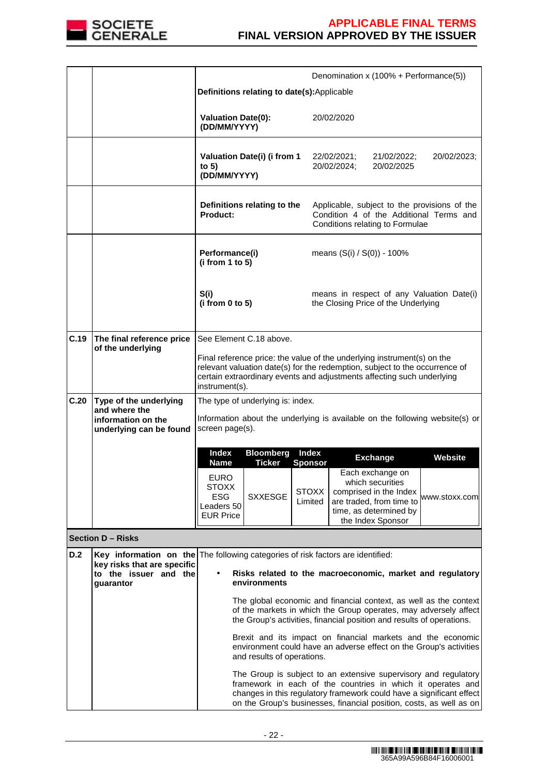

|      |                                                                                                                                                      |                                                                                                                                                                                                                                                    |                |                         |                            | Denomination x (100% + Performance(5))                                                                                |                                                                                                                                                                                                                                                                               |
|------|------------------------------------------------------------------------------------------------------------------------------------------------------|----------------------------------------------------------------------------------------------------------------------------------------------------------------------------------------------------------------------------------------------------|----------------|-------------------------|----------------------------|-----------------------------------------------------------------------------------------------------------------------|-------------------------------------------------------------------------------------------------------------------------------------------------------------------------------------------------------------------------------------------------------------------------------|
|      |                                                                                                                                                      | Definitions relating to date(s):Applicable                                                                                                                                                                                                         |                |                         |                            |                                                                                                                       |                                                                                                                                                                                                                                                                               |
|      |                                                                                                                                                      |                                                                                                                                                                                                                                                    |                |                         |                            |                                                                                                                       |                                                                                                                                                                                                                                                                               |
|      |                                                                                                                                                      | <b>Valuation Date(0):</b><br>(DD/MM/YYYY)                                                                                                                                                                                                          |                |                         | 20/02/2020                 |                                                                                                                       |                                                                                                                                                                                                                                                                               |
|      |                                                                                                                                                      | Valuation Date(i) (i from 1<br>to $5)$<br>(DD/MM/YYYY)                                                                                                                                                                                             |                |                         | 22/02/2021;<br>20/02/2024; | 21/02/2022;<br>20/02/2025                                                                                             | 20/02/2023:                                                                                                                                                                                                                                                                   |
|      |                                                                                                                                                      | Definitions relating to the<br><b>Product:</b>                                                                                                                                                                                                     |                |                         |                            | Conditions relating to Formulae                                                                                       | Applicable, subject to the provisions of the<br>Condition 4 of the Additional Terms and                                                                                                                                                                                       |
|      |                                                                                                                                                      | Performance(i)<br>(i from 1 to 5)                                                                                                                                                                                                                  |                |                         |                            | means (S(i) / S(0)) - 100%                                                                                            |                                                                                                                                                                                                                                                                               |
|      |                                                                                                                                                      | S(i)<br>(i from 0 to 5)                                                                                                                                                                                                                            |                |                         |                            | the Closing Price of the Underlying                                                                                   | means in respect of any Valuation Date(i)                                                                                                                                                                                                                                     |
| C.19 | The final reference price                                                                                                                            | See Element C.18 above.                                                                                                                                                                                                                            |                |                         |                            |                                                                                                                       |                                                                                                                                                                                                                                                                               |
|      | of the underlying                                                                                                                                    | Final reference price: the value of the underlying instrument(s) on the<br>relevant valuation date(s) for the redemption, subject to the occurrence of<br>certain extraordinary events and adjustments affecting such underlying<br>instrument(s). |                |                         |                            |                                                                                                                       |                                                                                                                                                                                                                                                                               |
| C.20 | Type of the underlying                                                                                                                               | The type of underlying is: index.                                                                                                                                                                                                                  |                |                         |                            |                                                                                                                       |                                                                                                                                                                                                                                                                               |
|      | and where the<br>information on the<br>underlying can be found                                                                                       | Information about the underlying is available on the following website(s) or<br>screen page(s).                                                                                                                                                    |                |                         |                            |                                                                                                                       |                                                                                                                                                                                                                                                                               |
|      |                                                                                                                                                      | <b>Index</b><br><b>Bloomberg</b><br><b>Index</b>                                                                                                                                                                                                   |                |                         |                            |                                                                                                                       |                                                                                                                                                                                                                                                                               |
|      |                                                                                                                                                      | <b>Name</b>                                                                                                                                                                                                                                        | <b>Ticker</b>  | <b>Sponsor</b>          |                            | <b>Exchange</b><br>Each exchange on                                                                                   | <b>Website</b>                                                                                                                                                                                                                                                                |
|      |                                                                                                                                                      | <b>EURO</b><br><b>STOXX</b><br><b>ESG</b><br>Leaders 50<br><b>EUR Price</b>                                                                                                                                                                        | <b>SXXESGE</b> | <b>STOXX</b><br>Limited |                            | which securities<br>comprised in the Index<br>are traded, from time to<br>time, as determined by<br>the Index Sponsor | www.stoxx.com                                                                                                                                                                                                                                                                 |
|      | <b>Section D - Risks</b>                                                                                                                             |                                                                                                                                                                                                                                                    |                |                         |                            |                                                                                                                       |                                                                                                                                                                                                                                                                               |
| D.2  | Key information on the The following categories of risk factors are identified:<br>key risks that are specific<br>to the issuer and the<br>guarantor |                                                                                                                                                                                                                                                    | environments   |                         |                            | the Group's activities, financial position and results of operations.                                                 | Risks related to the macroeconomic, market and regulatory<br>The global economic and financial context, as well as the context<br>of the markets in which the Group operates, may adversely affect                                                                            |
|      |                                                                                                                                                      | Brexit and its impact on financial markets and the economic<br>environment could have an adverse effect on the Group's activities<br>and results of operations.                                                                                    |                |                         |                            |                                                                                                                       |                                                                                                                                                                                                                                                                               |
|      |                                                                                                                                                      |                                                                                                                                                                                                                                                    |                |                         |                            |                                                                                                                       | The Group is subject to an extensive supervisory and regulatory<br>framework in each of the countries in which it operates and<br>changes in this regulatory framework could have a significant effect<br>on the Group's businesses, financial position, costs, as well as on |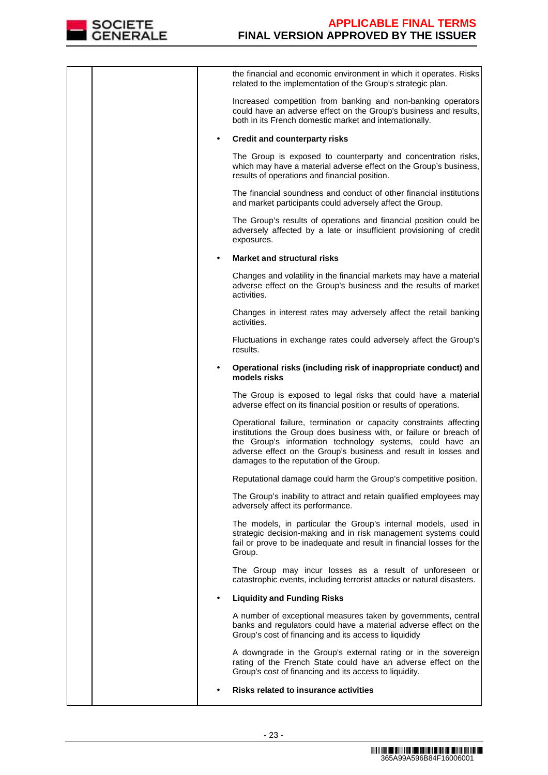

| the financial and economic environment in which it operates. Risks<br>related to the implementation of the Group's strategic plan.                                                                                                                                                                                  |
|---------------------------------------------------------------------------------------------------------------------------------------------------------------------------------------------------------------------------------------------------------------------------------------------------------------------|
| Increased competition from banking and non-banking operators<br>could have an adverse effect on the Group's business and results,<br>both in its French domestic market and internationally.                                                                                                                        |
| <b>Credit and counterparty risks</b>                                                                                                                                                                                                                                                                                |
| The Group is exposed to counterparty and concentration risks,<br>which may have a material adverse effect on the Group's business,<br>results of operations and financial position.                                                                                                                                 |
| The financial soundness and conduct of other financial institutions<br>and market participants could adversely affect the Group.                                                                                                                                                                                    |
| The Group's results of operations and financial position could be<br>adversely affected by a late or insufficient provisioning of credit<br>exposures.                                                                                                                                                              |
| <b>Market and structural risks</b>                                                                                                                                                                                                                                                                                  |
| Changes and volatility in the financial markets may have a material<br>adverse effect on the Group's business and the results of market<br>activities.                                                                                                                                                              |
| Changes in interest rates may adversely affect the retail banking<br>activities.                                                                                                                                                                                                                                    |
| Fluctuations in exchange rates could adversely affect the Group's<br>results.                                                                                                                                                                                                                                       |
| Operational risks (including risk of inappropriate conduct) and<br>models risks                                                                                                                                                                                                                                     |
| The Group is exposed to legal risks that could have a material<br>adverse effect on its financial position or results of operations.                                                                                                                                                                                |
| Operational failure, termination or capacity constraints affecting<br>institutions the Group does business with, or failure or breach of<br>the Group's information technology systems, could have an<br>adverse effect on the Group's business and result in losses and<br>damages to the reputation of the Group. |
| Reputational damage could harm the Group's competitive position.                                                                                                                                                                                                                                                    |
| The Group's inability to attract and retain qualified employees may<br>adversely affect its performance.                                                                                                                                                                                                            |
| The models, in particular the Group's internal models, used in<br>strategic decision-making and in risk management systems could<br>fail or prove to be inadequate and result in financial losses for the<br>Group.                                                                                                 |
| The Group may incur losses as a result of unforeseen or<br>catastrophic events, including terrorist attacks or natural disasters.                                                                                                                                                                                   |
| <b>Liquidity and Funding Risks</b>                                                                                                                                                                                                                                                                                  |
| A number of exceptional measures taken by governments, central<br>banks and regulators could have a material adverse effect on the<br>Group's cost of financing and its access to liquididy                                                                                                                         |
| A downgrade in the Group's external rating or in the sovereign<br>rating of the French State could have an adverse effect on the<br>Group's cost of financing and its access to liquidity.                                                                                                                          |
| <b>Risks related to insurance activities</b>                                                                                                                                                                                                                                                                        |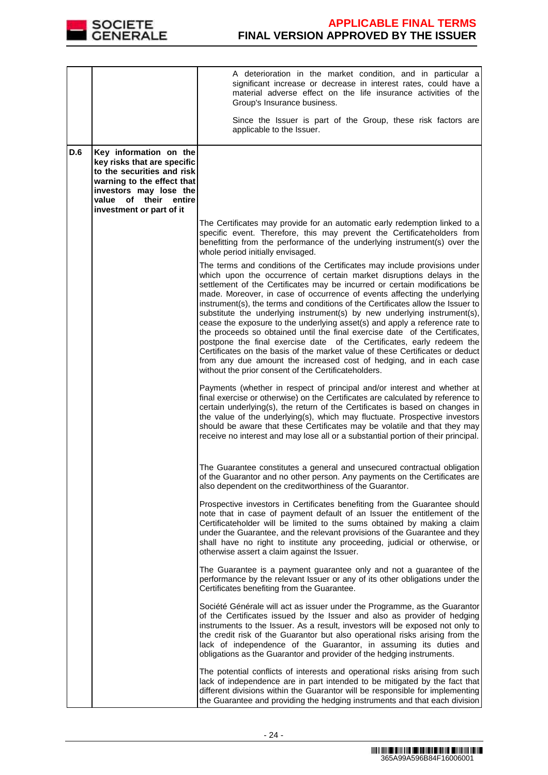

|            |                                                                                                                                                                                                     | A deterioration in the market condition, and in particular a<br>significant increase or decrease in interest rates, could have a<br>material adverse effect on the life insurance activities of the<br>Group's Insurance business.<br>Since the Issuer is part of the Group, these risk factors are                                                                                                                                                                                                                                                                                                                                                                                                                                                                                                                                                                                                                                 |
|------------|-----------------------------------------------------------------------------------------------------------------------------------------------------------------------------------------------------|-------------------------------------------------------------------------------------------------------------------------------------------------------------------------------------------------------------------------------------------------------------------------------------------------------------------------------------------------------------------------------------------------------------------------------------------------------------------------------------------------------------------------------------------------------------------------------------------------------------------------------------------------------------------------------------------------------------------------------------------------------------------------------------------------------------------------------------------------------------------------------------------------------------------------------------|
|            |                                                                                                                                                                                                     | applicable to the Issuer.                                                                                                                                                                                                                                                                                                                                                                                                                                                                                                                                                                                                                                                                                                                                                                                                                                                                                                           |
| <b>D.6</b> | Key information on the<br>key risks that are specific<br>to the securities and risk<br>warning to the effect that<br>investors may lose the<br>value of their<br>entire<br>investment or part of it |                                                                                                                                                                                                                                                                                                                                                                                                                                                                                                                                                                                                                                                                                                                                                                                                                                                                                                                                     |
|            |                                                                                                                                                                                                     | The Certificates may provide for an automatic early redemption linked to a<br>specific event. Therefore, this may prevent the Certificateholders from<br>benefitting from the performance of the underlying instrument(s) over the<br>whole period initially envisaged.                                                                                                                                                                                                                                                                                                                                                                                                                                                                                                                                                                                                                                                             |
|            |                                                                                                                                                                                                     | The terms and conditions of the Certificates may include provisions under<br>which upon the occurrence of certain market disruptions delays in the<br>settlement of the Certificates may be incurred or certain modifications be<br>made. Moreover, in case of occurrence of events affecting the underlying<br>instrument(s), the terms and conditions of the Certificates allow the Issuer to<br>substitute the underlying instrument(s) by new underlying instrument(s),<br>cease the exposure to the underlying asset(s) and apply a reference rate to<br>the proceeds so obtained until the final exercise date of the Certificates,<br>postpone the final exercise date of the Certificates, early redeem the<br>Certificates on the basis of the market value of these Certificates or deduct<br>from any due amount the increased cost of hedging, and in each case<br>without the prior consent of the Certificateholders. |
|            |                                                                                                                                                                                                     | Payments (whether in respect of principal and/or interest and whether at<br>final exercise or otherwise) on the Certificates are calculated by reference to<br>certain underlying(s), the return of the Certificates is based on changes in<br>the value of the underlying(s), which may fluctuate. Prospective investors<br>should be aware that these Certificates may be volatile and that they may<br>receive no interest and may lose all or a substantial portion of their principal.                                                                                                                                                                                                                                                                                                                                                                                                                                         |
|            |                                                                                                                                                                                                     | The Guarantee constitutes a general and unsecured contractual obligation<br>of the Guarantor and no other person. Any payments on the Certificates are<br>also dependent on the creditworthiness of the Guarantor.                                                                                                                                                                                                                                                                                                                                                                                                                                                                                                                                                                                                                                                                                                                  |
|            |                                                                                                                                                                                                     | Prospective investors in Certificates benefiting from the Guarantee should<br>note that in case of payment default of an Issuer the entitlement of the<br>Certificateholder will be limited to the sums obtained by making a claim<br>under the Guarantee, and the relevant provisions of the Guarantee and they<br>shall have no right to institute any proceeding, judicial or otherwise, or<br>otherwise assert a claim against the Issuer.                                                                                                                                                                                                                                                                                                                                                                                                                                                                                      |
|            |                                                                                                                                                                                                     | The Guarantee is a payment guarantee only and not a guarantee of the<br>performance by the relevant Issuer or any of its other obligations under the<br>Certificates benefiting from the Guarantee.                                                                                                                                                                                                                                                                                                                                                                                                                                                                                                                                                                                                                                                                                                                                 |
|            |                                                                                                                                                                                                     | Société Générale will act as issuer under the Programme, as the Guarantor<br>of the Certificates issued by the Issuer and also as provider of hedging<br>instruments to the Issuer. As a result, investors will be exposed not only to<br>the credit risk of the Guarantor but also operational risks arising from the<br>lack of independence of the Guarantor, in assuming its duties and<br>obligations as the Guarantor and provider of the hedging instruments.                                                                                                                                                                                                                                                                                                                                                                                                                                                                |
|            |                                                                                                                                                                                                     | The potential conflicts of interests and operational risks arising from such<br>lack of independence are in part intended to be mitigated by the fact that<br>different divisions within the Guarantor will be responsible for implementing<br>the Guarantee and providing the hedging instruments and that each division                                                                                                                                                                                                                                                                                                                                                                                                                                                                                                                                                                                                           |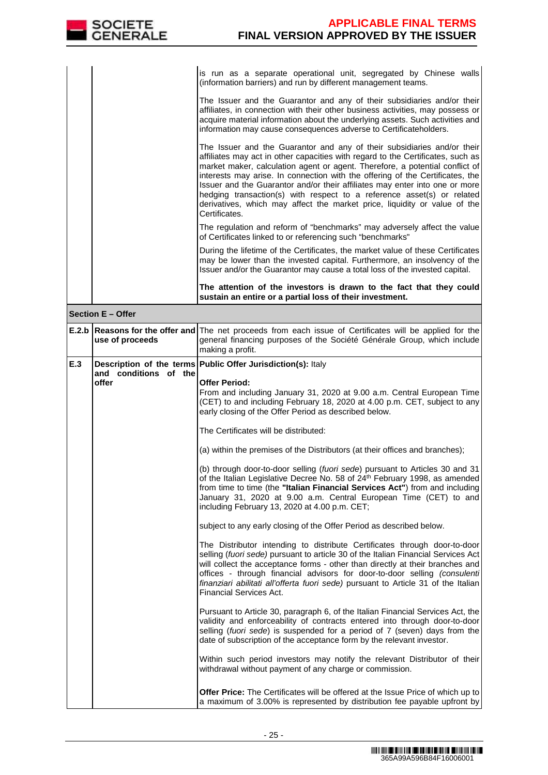| SOCIETE<br><b>GENERALE</b> | <b>APPLICABLE FINAL TERMS</b><br><b>FINAL VERSION APPROVED BY THE ISSUER</b>                                                                                                                                                                                                                                                                                                                                                                                                                                                                                                       |
|----------------------------|------------------------------------------------------------------------------------------------------------------------------------------------------------------------------------------------------------------------------------------------------------------------------------------------------------------------------------------------------------------------------------------------------------------------------------------------------------------------------------------------------------------------------------------------------------------------------------|
|                            |                                                                                                                                                                                                                                                                                                                                                                                                                                                                                                                                                                                    |
|                            | is run as a separate operational unit, segregated by Chinese walls<br>(information barriers) and run by different management teams.                                                                                                                                                                                                                                                                                                                                                                                                                                                |
|                            | The Issuer and the Guarantor and any of their subsidiaries and/or their<br>affiliates, in connection with their other business activities, may possess or<br>acquire material information about the underlying assets. Such activities and<br>information may cause consequences adverse to Certificateholders.                                                                                                                                                                                                                                                                    |
|                            | The Issuer and the Guarantor and any of their subsidiaries and/or their<br>affiliates may act in other capacities with regard to the Certificates, such as<br>market maker, calculation agent or agent. Therefore, a potential conflict of<br>interests may arise. In connection with the offering of the Certificates, the<br>Issuer and the Guarantor and/or their affiliates may enter into one or more<br>hedging transaction(s) with respect to a reference asset(s) or related<br>derivatives, which may affect the market price, liquidity or value of the<br>Certificates. |
|                            | The regulation and reform of "benchmarks" may adversely affect the value<br>of Certificates linked to or referencing such "benchmarks"                                                                                                                                                                                                                                                                                                                                                                                                                                             |
|                            | During the lifetime of the Certificates, the market value of these Certificates<br>may be lower than the invested capital. Furthermore, an insolvency of the<br>Issuer and/or the Guarantor may cause a total loss of the invested capital.                                                                                                                                                                                                                                                                                                                                        |
|                            | The attention of the investors is drawn to the fact that they could<br>sustain an entire or a partial loss of their investment.                                                                                                                                                                                                                                                                                                                                                                                                                                                    |

|     | <b>Section E - Offer</b>       |                                                                                                                                                                                                                                                                                                                                                                                                                                                             |
|-----|--------------------------------|-------------------------------------------------------------------------------------------------------------------------------------------------------------------------------------------------------------------------------------------------------------------------------------------------------------------------------------------------------------------------------------------------------------------------------------------------------------|
|     | use of proceeds                | <b>E.2.b Reasons for the offer and The net proceeds from each issue of Certificates will be applied for the</b><br>general financing purposes of the Société Générale Group, which include<br>making a profit.                                                                                                                                                                                                                                              |
| E.3 |                                | Description of the terms Public Offer Jurisdiction(s): Italy                                                                                                                                                                                                                                                                                                                                                                                                |
|     | and conditions of the<br>offer | <b>Offer Period:</b><br>From and including January 31, 2020 at 9.00 a.m. Central European Time<br>(CET) to and including February 18, 2020 at 4.00 p.m. CET, subject to any<br>early closing of the Offer Period as described below.                                                                                                                                                                                                                        |
|     |                                | The Certificates will be distributed:                                                                                                                                                                                                                                                                                                                                                                                                                       |
|     |                                | (a) within the premises of the Distributors (at their offices and branches);                                                                                                                                                                                                                                                                                                                                                                                |
|     |                                | (b) through door-to-door selling (fuori sede) pursuant to Articles 30 and 31<br>of the Italian Legislative Decree No. 58 of 24th February 1998, as amended<br>from time to time (the "Italian Financial Services Act") from and including<br>January 31, 2020 at 9.00 a.m. Central European Time (CET) to and<br>including February 13, 2020 at 4.00 p.m. CET;                                                                                              |
|     |                                | subject to any early closing of the Offer Period as described below.                                                                                                                                                                                                                                                                                                                                                                                        |
|     |                                | The Distributor intending to distribute Certificates through door-to-door<br>selling (fuori sede) pursuant to article 30 of the Italian Financial Services Act<br>will collect the acceptance forms - other than directly at their branches and<br>offices - through financial advisors for door-to-door selling <i>(consulenti</i><br>finanziari abilitati all'offerta fuori sede) pursuant to Article 31 of the Italian<br><b>Financial Services Act.</b> |
|     |                                | Pursuant to Article 30, paragraph 6, of the Italian Financial Services Act, the<br>validity and enforceability of contracts entered into through door-to-door<br>selling (fuori sede) is suspended for a period of 7 (seven) days from the<br>date of subscription of the acceptance form by the relevant investor.                                                                                                                                         |
|     |                                | Within such period investors may notify the relevant Distributor of their<br>withdrawal without payment of any charge or commission.                                                                                                                                                                                                                                                                                                                        |
|     |                                | <b>Offer Price:</b> The Certificates will be offered at the Issue Price of which up to<br>a maximum of 3.00% is represented by distribution fee payable upfront by                                                                                                                                                                                                                                                                                          |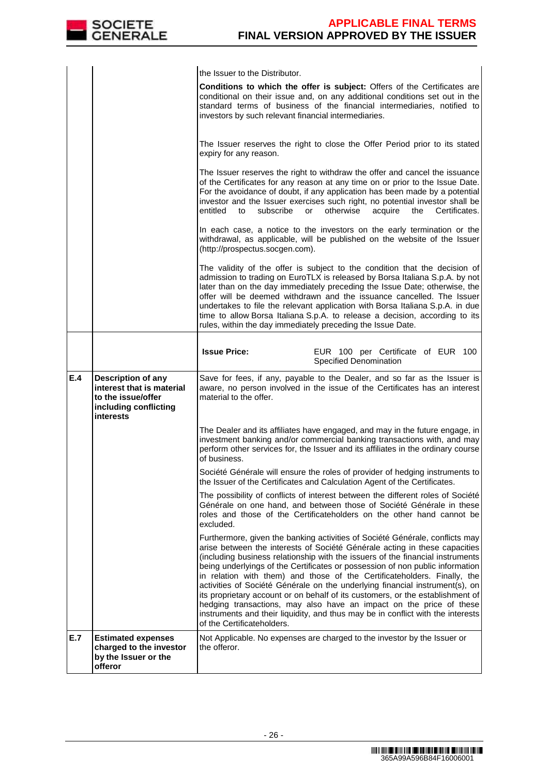|     | SOCIETE<br>GENERALE                                                                                                | <b>APPLICABLE FINAL TERMS</b><br>FINAL VERSION APPROVED BY THE ISSUER                                                                                                                                                                                                                                                                                                                                                                                                                                                                                                                                                                                                                                                                                               |
|-----|--------------------------------------------------------------------------------------------------------------------|---------------------------------------------------------------------------------------------------------------------------------------------------------------------------------------------------------------------------------------------------------------------------------------------------------------------------------------------------------------------------------------------------------------------------------------------------------------------------------------------------------------------------------------------------------------------------------------------------------------------------------------------------------------------------------------------------------------------------------------------------------------------|
|     |                                                                                                                    |                                                                                                                                                                                                                                                                                                                                                                                                                                                                                                                                                                                                                                                                                                                                                                     |
|     |                                                                                                                    | the Issuer to the Distributor.<br>Conditions to which the offer is subject: Offers of the Certificates are<br>conditional on their issue and, on any additional conditions set out in the<br>standard terms of business of the financial intermediaries, notified to<br>investors by such relevant financial intermediaries.                                                                                                                                                                                                                                                                                                                                                                                                                                        |
|     |                                                                                                                    | The Issuer reserves the right to close the Offer Period prior to its stated<br>expiry for any reason.                                                                                                                                                                                                                                                                                                                                                                                                                                                                                                                                                                                                                                                               |
|     |                                                                                                                    | The Issuer reserves the right to withdraw the offer and cancel the issuance<br>of the Certificates for any reason at any time on or prior to the Issue Date.<br>For the avoidance of doubt, if any application has been made by a potential<br>investor and the Issuer exercises such right, no potential investor shall be<br>entitled<br>subscribe<br>otherwise<br>acquire<br>the<br>Certificates.<br>to<br>or                                                                                                                                                                                                                                                                                                                                                    |
|     |                                                                                                                    | In each case, a notice to the investors on the early termination or the<br>withdrawal, as applicable, will be published on the website of the Issuer<br>(http://prospectus.socgen.com).                                                                                                                                                                                                                                                                                                                                                                                                                                                                                                                                                                             |
|     |                                                                                                                    | The validity of the offer is subject to the condition that the decision of<br>admission to trading on EuroTLX is released by Borsa Italiana S.p.A. by not<br>later than on the day immediately preceding the Issue Date; otherwise, the<br>offer will be deemed withdrawn and the issuance cancelled. The Issuer<br>undertakes to file the relevant application with Borsa Italiana S.p.A. in due<br>time to allow Borsa Italiana S.p.A. to release a decision, according to its<br>rules, within the day immediately preceding the Issue Date.                                                                                                                                                                                                                     |
|     |                                                                                                                    | <b>Issue Price:</b><br>EUR 100 per Certificate of EUR 100<br><b>Specified Denomination</b>                                                                                                                                                                                                                                                                                                                                                                                                                                                                                                                                                                                                                                                                          |
| E.4 | <b>Description of any</b><br>interest that is material<br>to the issue/offer<br>including conflicting<br>interests | Save for fees, if any, payable to the Dealer, and so far as the Issuer is<br>aware, no person involved in the issue of the Certificates has an interest<br>material to the offer.                                                                                                                                                                                                                                                                                                                                                                                                                                                                                                                                                                                   |
|     |                                                                                                                    | The Dealer and its affiliates have engaged, and may in the future engage, in<br>investment banking and/or commercial banking transactions with, and may<br>perform other services for, the Issuer and its affiliates in the ordinary course<br>of business.                                                                                                                                                                                                                                                                                                                                                                                                                                                                                                         |
|     |                                                                                                                    | Société Générale will ensure the roles of provider of hedging instruments to<br>the Issuer of the Certificates and Calculation Agent of the Certificates.                                                                                                                                                                                                                                                                                                                                                                                                                                                                                                                                                                                                           |
|     |                                                                                                                    | The possibility of conflicts of interest between the different roles of Société<br>Générale on one hand, and between those of Société Générale in these<br>roles and those of the Certificateholders on the other hand cannot be<br>excluded.                                                                                                                                                                                                                                                                                                                                                                                                                                                                                                                       |
|     |                                                                                                                    | Furthermore, given the banking activities of Société Générale, conflicts may<br>arise between the interests of Société Générale acting in these capacities<br>(including business relationship with the issuers of the financial instruments<br>being underlyings of the Certificates or possession of non public information<br>in relation with them) and those of the Certificateholders. Finally, the<br>activities of Société Générale on the underlying financial instrument(s), on<br>its proprietary account or on behalf of its customers, or the establishment of<br>hedging transactions, may also have an impact on the price of these<br>instruments and their liquidity, and thus may be in conflict with the interests<br>of the Certificateholders. |
| E.7 | <b>Estimated expenses</b><br>charged to the investor<br>by the Issuer or the<br>offeror                            | Not Applicable. No expenses are charged to the investor by the Issuer or<br>the offeror.                                                                                                                                                                                                                                                                                                                                                                                                                                                                                                                                                                                                                                                                            |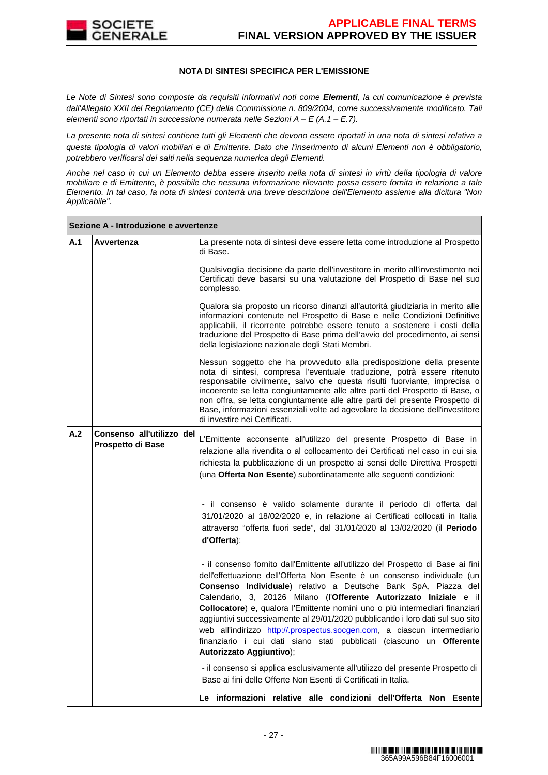

#### **NOTA DI SINTESI SPECIFICA PER L'EMISSIONE**

Le Note di Sintesi sono composte da requisiti informativi noti come **Elementi**, la cui comunicazione è prevista dall'Allegato XXII del Regolamento (CE) della Commissione n. 809/2004, come successivamente modificato. Tali elementi sono riportati in successione numerata nelle Sezioni  $A - E(A.1 - E.7)$ .

La presente nota di sintesi contiene tutti gli Elementi che devono essere riportati in una nota di sintesi relativa a questa tipologia di valori mobiliari e di Emittente. Dato che l'inserimento di alcuni Elementi non è obbligatorio, potrebbero verificarsi dei salti nella sequenza numerica degli Elementi.

Anche nel caso in cui un Elemento debba essere inserito nella nota di sintesi in virtù della tipologia di valore mobiliare e di Emittente, è possibile che nessuna informazione rilevante possa essere fornita in relazione a tale Elemento. In tal caso, la nota di sintesi conterrà una breve descrizione dell'Elemento assieme alla dicitura "Non Applicabile".

|     | Sezione A - Introduzione e avvertenze          |                                                                                                                                                                                                                                                                                                                                                                                                                                                                                                                                                                                                                                                       |
|-----|------------------------------------------------|-------------------------------------------------------------------------------------------------------------------------------------------------------------------------------------------------------------------------------------------------------------------------------------------------------------------------------------------------------------------------------------------------------------------------------------------------------------------------------------------------------------------------------------------------------------------------------------------------------------------------------------------------------|
| A.1 | Avvertenza                                     | La presente nota di sintesi deve essere letta come introduzione al Prospetto<br>di Base.                                                                                                                                                                                                                                                                                                                                                                                                                                                                                                                                                              |
|     |                                                | Qualsivoglia decisione da parte dell'investitore in merito all'investimento nei<br>Certificati deve basarsi su una valutazione del Prospetto di Base nel suo<br>complesso.                                                                                                                                                                                                                                                                                                                                                                                                                                                                            |
|     |                                                | Qualora sia proposto un ricorso dinanzi all'autorità giudiziaria in merito alle<br>informazioni contenute nel Prospetto di Base e nelle Condizioni Definitive<br>applicabili, il ricorrente potrebbe essere tenuto a sostenere i costi della<br>traduzione del Prospetto di Base prima dell'avvio del procedimento, ai sensi<br>della legislazione nazionale degli Stati Membri.                                                                                                                                                                                                                                                                      |
|     |                                                | Nessun soggetto che ha provveduto alla predisposizione della presente<br>nota di sintesi, compresa l'eventuale traduzione, potrà essere ritenuto<br>responsabile civilmente, salvo che questa risulti fuorviante, imprecisa o<br>incoerente se letta congiuntamente alle altre parti del Prospetto di Base, o<br>non offra, se letta congiuntamente alle altre parti del presente Prospetto di<br>Base, informazioni essenziali volte ad agevolare la decisione dell'investitore<br>di investire nei Certificati.                                                                                                                                     |
| A.2 | Consenso all'utilizzo del<br>Prospetto di Base | L'Emittente acconsente all'utilizzo del presente Prospetto di Base in<br>relazione alla rivendita o al collocamento dei Certificati nel caso in cui sia<br>richiesta la pubblicazione di un prospetto ai sensi delle Direttiva Prospetti<br>(una Offerta Non Esente) subordinatamente alle seguenti condizioni:                                                                                                                                                                                                                                                                                                                                       |
|     |                                                | - il consenso è valido solamente durante il periodo di offerta dal<br>31/01/2020 al 18/02/2020 e, in relazione ai Certificati collocati in Italia<br>attraverso "offerta fuori sede", dal 31/01/2020 al 13/02/2020 (il Periodo<br>d'Offerta);                                                                                                                                                                                                                                                                                                                                                                                                         |
|     |                                                | - il consenso fornito dall'Emittente all'utilizzo del Prospetto di Base ai fini<br>dell'effettuazione dell'Offerta Non Esente è un consenso individuale (un<br>Consenso Individuale) relativo a Deutsche Bank SpA, Piazza del<br>Calendario, 3, 20126 Milano (l'Offerente Autorizzato Iniziale e il<br>Collocatore) e, qualora l'Emittente nomini uno o più intermediari finanziari<br>aggiuntivi successivamente al 29/01/2020 pubblicando i loro dati sul suo sito<br>web all'indirizzo http://.prospectus.socgen.com, a ciascun intermediario.<br>finanziario i cui dati siano stati pubblicati (ciascuno un Offerente<br>Autorizzato Aggiuntivo); |
|     |                                                | - il consenso si applica esclusivamente all'utilizzo del presente Prospetto di<br>Base ai fini delle Offerte Non Esenti di Certificati in Italia.                                                                                                                                                                                                                                                                                                                                                                                                                                                                                                     |
|     |                                                | Le informazioni relative alle condizioni dell'Offerta Non Esente                                                                                                                                                                                                                                                                                                                                                                                                                                                                                                                                                                                      |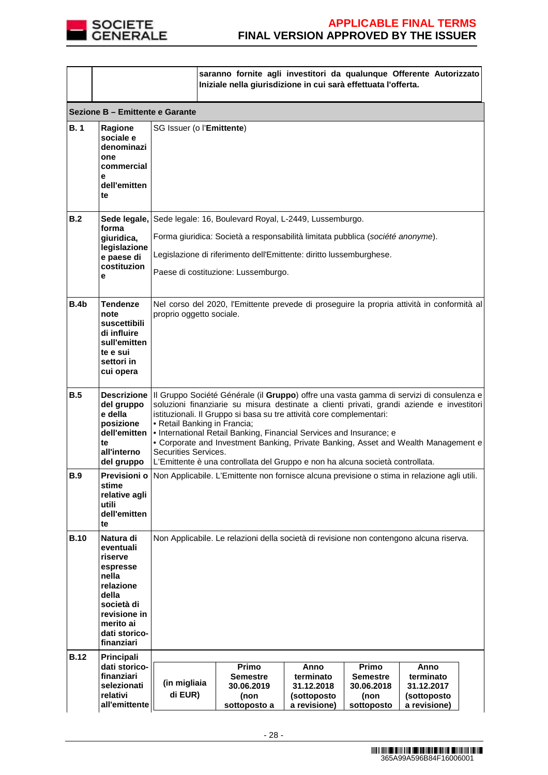

|             |                                                                                                                                                        |                                                                                                                                                                                                                                                                                                                                                                                                                                                                                                                                                                                  | saranno fornite agli investitori da qualunque Offerente Autorizzato<br>Iniziale nella giurisdizione in cui sarà effettuata l'offerta. |                                                                |                                                              |                                                                |  |
|-------------|--------------------------------------------------------------------------------------------------------------------------------------------------------|----------------------------------------------------------------------------------------------------------------------------------------------------------------------------------------------------------------------------------------------------------------------------------------------------------------------------------------------------------------------------------------------------------------------------------------------------------------------------------------------------------------------------------------------------------------------------------|---------------------------------------------------------------------------------------------------------------------------------------|----------------------------------------------------------------|--------------------------------------------------------------|----------------------------------------------------------------|--|
|             | Sezione B - Emittente e Garante                                                                                                                        |                                                                                                                                                                                                                                                                                                                                                                                                                                                                                                                                                                                  |                                                                                                                                       |                                                                |                                                              |                                                                |  |
| <b>B.1</b>  | Ragione<br>sociale e<br>denominazi<br>one<br>commercial<br>е<br>dell'emitten<br>te                                                                     | SG Issuer (o l'Emittente)                                                                                                                                                                                                                                                                                                                                                                                                                                                                                                                                                        |                                                                                                                                       |                                                                |                                                              |                                                                |  |
| B.2         | forma                                                                                                                                                  |                                                                                                                                                                                                                                                                                                                                                                                                                                                                                                                                                                                  | Sede legale, Sede legale: 16, Boulevard Royal, L-2449, Lussemburgo.                                                                   |                                                                |                                                              |                                                                |  |
|             | giuridica,<br>legislazione                                                                                                                             |                                                                                                                                                                                                                                                                                                                                                                                                                                                                                                                                                                                  | Forma giuridica: Società a responsabilità limitata pubblica (société anonyme).                                                        |                                                                |                                                              |                                                                |  |
|             | e paese di<br>costituzion                                                                                                                              |                                                                                                                                                                                                                                                                                                                                                                                                                                                                                                                                                                                  | Legislazione di riferimento dell'Emittente: diritto lussemburghese.                                                                   |                                                                |                                                              |                                                                |  |
|             | е                                                                                                                                                      |                                                                                                                                                                                                                                                                                                                                                                                                                                                                                                                                                                                  | Paese di costituzione: Lussemburgo.                                                                                                   |                                                                |                                                              |                                                                |  |
| B.4b        | Tendenze<br>note<br>suscettibili<br>di influire<br>sull'emitten<br>te e sui<br>settori in<br>cui opera                                                 | Nel corso del 2020, l'Emittente prevede di proseguire la propria attività in conformità al<br>proprio oggetto sociale.                                                                                                                                                                                                                                                                                                                                                                                                                                                           |                                                                                                                                       |                                                                |                                                              |                                                                |  |
| B.5         | del gruppo<br>e della<br>posizione<br>dell'emitten<br>te<br>all'interno<br>del gruppo                                                                  | Descrizione   Il Gruppo Société Générale (il Gruppo) offre una vasta gamma di servizi di consulenza e<br>soluzioni finanziarie su misura destinate a clienti privati, grandi aziende e investitori<br>istituzionali. Il Gruppo si basa su tre attività core complementari:<br>• Retail Banking in Francia;<br>• International Retail Banking, Financial Services and Insurance; e<br>• Corporate and Investment Banking, Private Banking, Asset and Wealth Management e<br>Securities Services.<br>L'Emittente è una controllata del Gruppo e non ha alcuna società controllata. |                                                                                                                                       |                                                                |                                                              |                                                                |  |
| <b>B.9</b>  | stime<br>relative agli<br>utili<br>dell'emitten<br>te                                                                                                  | Previsioni o Non Applicabile. L'Emittente non fornisce alcuna previsione o stima in relazione agli utili.                                                                                                                                                                                                                                                                                                                                                                                                                                                                        |                                                                                                                                       |                                                                |                                                              |                                                                |  |
| <b>B.10</b> | Natura di<br>eventuali<br>riserve<br>espresse<br>nella<br>relazione<br>della<br>società di<br>revisione in<br>merito ai<br>dati storico-<br>finanziari | Non Applicabile. Le relazioni della società di revisione non contengono alcuna riserva.                                                                                                                                                                                                                                                                                                                                                                                                                                                                                          |                                                                                                                                       |                                                                |                                                              |                                                                |  |
| <b>B.12</b> | Principali                                                                                                                                             |                                                                                                                                                                                                                                                                                                                                                                                                                                                                                                                                                                                  |                                                                                                                                       |                                                                |                                                              |                                                                |  |
|             | dati storico-<br>finanziari<br>selezionati<br>relativi<br>all'emittente                                                                                | (in migliaia<br>di EUR)                                                                                                                                                                                                                                                                                                                                                                                                                                                                                                                                                          | Primo<br><b>Semestre</b><br>30.06.2019<br>(non<br>sottoposto a                                                                        | Anno<br>terminato<br>31.12.2018<br>(sottoposto<br>a revisione) | Primo<br><b>Semestre</b><br>30.06.2018<br>(non<br>sottoposto | Anno<br>terminato<br>31.12.2017<br>(sottoposto<br>a revisione) |  |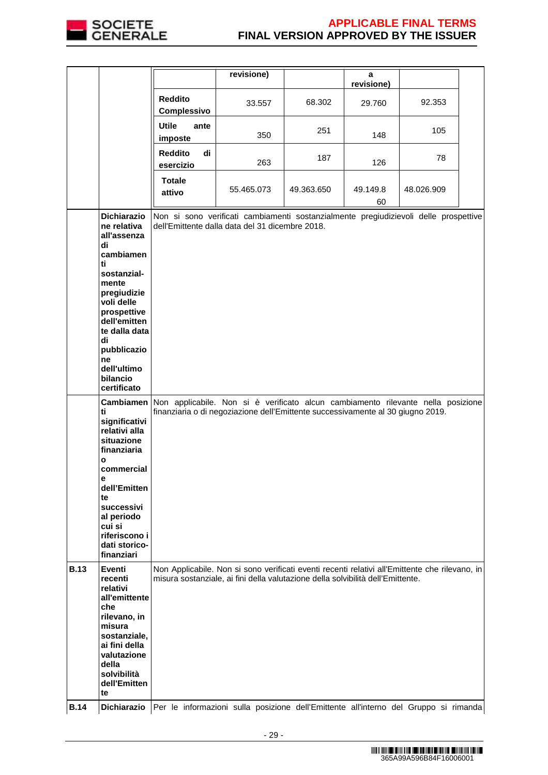

|             |                                                                                                                |                                                                                                                                                                     | revisione)                                                                                                                                                                        |            | a              |            |  |
|-------------|----------------------------------------------------------------------------------------------------------------|---------------------------------------------------------------------------------------------------------------------------------------------------------------------|-----------------------------------------------------------------------------------------------------------------------------------------------------------------------------------|------------|----------------|------------|--|
|             |                                                                                                                |                                                                                                                                                                     |                                                                                                                                                                                   |            | revisione)     |            |  |
|             |                                                                                                                | <b>Reddito</b><br>Complessivo                                                                                                                                       | 33.557                                                                                                                                                                            | 68.302     | 29.760         | 92.353     |  |
|             |                                                                                                                | <b>Utile</b><br>ante<br>imposte                                                                                                                                     | 350                                                                                                                                                                               | 251        | 148            | 105        |  |
|             |                                                                                                                | <b>Reddito</b><br>di<br>esercizio                                                                                                                                   | 263                                                                                                                                                                               | 187        | 126            | 78         |  |
|             |                                                                                                                | <b>Totale</b><br>attivo                                                                                                                                             | 55.465.073                                                                                                                                                                        | 49.363.650 | 49.149.8<br>60 | 48.026.909 |  |
|             | <b>Dichiarazio</b><br>ne relativa<br>all'assenza<br>di                                                         |                                                                                                                                                                     | Non si sono verificati cambiamenti sostanzialmente pregiudizievoli delle prospettive<br>dell'Emittente dalla data del 31 dicembre 2018.                                           |            |                |            |  |
|             | cambiamen<br>ti                                                                                                |                                                                                                                                                                     |                                                                                                                                                                                   |            |                |            |  |
|             | sostanzial-<br>mente<br>pregiudizie<br>voli delle<br>prospettive<br>dell'emitten                               |                                                                                                                                                                     |                                                                                                                                                                                   |            |                |            |  |
|             | te dalla data<br>di<br>pubblicazio                                                                             |                                                                                                                                                                     |                                                                                                                                                                                   |            |                |            |  |
|             | ne<br>dell'ultimo<br>bilancio<br>certificato                                                                   |                                                                                                                                                                     |                                                                                                                                                                                   |            |                |            |  |
|             | <b>Cambiamen</b><br>ti<br>significativi<br>relativi alla<br>situazione<br>finanziaria                          | Non applicabile. Non si è verificato alcun cambiamento rilevante nella posizione<br>finanziaria o di negoziazione dell'Emittente successivamente al 30 giugno 2019. |                                                                                                                                                                                   |            |                |            |  |
|             | $\mathbf{o}$<br>commercial<br>е<br>dell'Emitten                                                                |                                                                                                                                                                     |                                                                                                                                                                                   |            |                |            |  |
|             | te<br>successivi<br>al periodo<br>cui si<br>riferiscono i<br>dati storico-<br>finanziari                       |                                                                                                                                                                     |                                                                                                                                                                                   |            |                |            |  |
| <b>B.13</b> | Eventi<br>recenti<br>relativi<br>all'emittente<br>che                                                          |                                                                                                                                                                     | Non Applicabile. Non si sono verificati eventi recenti relativi all'Emittente che rilevano, in<br>misura sostanziale, ai fini della valutazione della solvibilità dell'Emittente. |            |                |            |  |
|             | rilevano, in<br>misura<br>sostanziale,<br>ai fini della<br>valutazione<br>della<br>solvibilità<br>dell'Emitten |                                                                                                                                                                     |                                                                                                                                                                                   |            |                |            |  |
| <b>B.14</b> | te<br>Dichiarazio                                                                                              |                                                                                                                                                                     | Per le informazioni sulla posizione dell'Emittente all'interno del Gruppo si rimanda                                                                                              |            |                |            |  |

- 29 -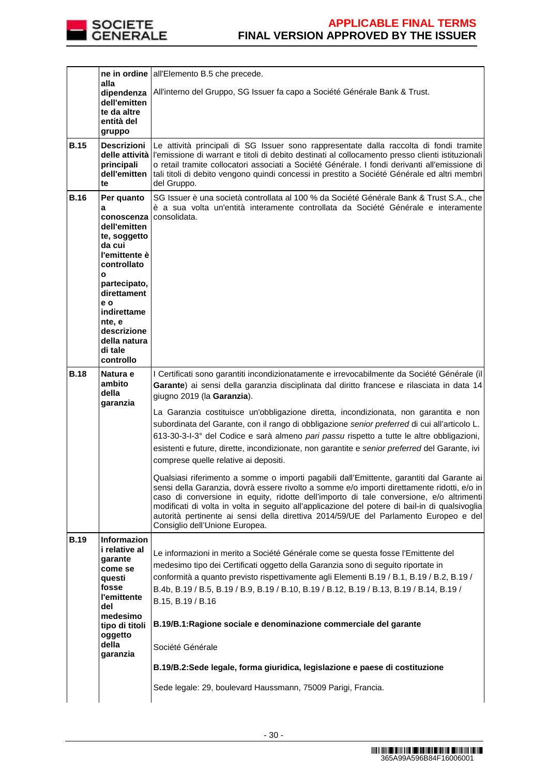

|             | alla                                                                                                                                        | ne in ordine all'Elemento B.5 che precede.                                                                                                                                                                                                                                                                                                                                                                                                                                                                      |
|-------------|---------------------------------------------------------------------------------------------------------------------------------------------|-----------------------------------------------------------------------------------------------------------------------------------------------------------------------------------------------------------------------------------------------------------------------------------------------------------------------------------------------------------------------------------------------------------------------------------------------------------------------------------------------------------------|
|             | dipendenza                                                                                                                                  | All'interno del Gruppo, SG Issuer fa capo a Société Générale Bank & Trust.                                                                                                                                                                                                                                                                                                                                                                                                                                      |
|             | dell'emitten<br>te da altre                                                                                                                 |                                                                                                                                                                                                                                                                                                                                                                                                                                                                                                                 |
|             | entità del                                                                                                                                  |                                                                                                                                                                                                                                                                                                                                                                                                                                                                                                                 |
|             | gruppo                                                                                                                                      |                                                                                                                                                                                                                                                                                                                                                                                                                                                                                                                 |
| <b>B.15</b> | Descrizioni  <br>principali<br>dell'emitten<br>te                                                                                           | Le attività principali di SG Issuer sono rappresentate dalla raccolta di fondi tramite<br>delle attività l'emissione di warrant e titoli di debito destinati al collocamento presso clienti istituzionali<br>o retail tramite collocatori associati a Société Générale. I fondi derivanti all'emissione di<br>tali titoli di debito vengono quindi concessi in prestito a Société Générale ed altri membri<br>del Gruppo.                                                                                       |
| <b>B.16</b> | Per quanto                                                                                                                                  | SG Issuer è una società controllata al 100 % da Société Générale Bank & Trust S.A., che<br>è a sua volta un'entità interamente controllata da Société Générale e interamente                                                                                                                                                                                                                                                                                                                                    |
|             | a<br>conoscenza l<br>dell'emitten<br>te, soggetto<br>da cui<br>l'emittente è<br>controllato                                                 | consolidata.                                                                                                                                                                                                                                                                                                                                                                                                                                                                                                    |
|             | $\mathbf{o}$<br>partecipato,                                                                                                                |                                                                                                                                                                                                                                                                                                                                                                                                                                                                                                                 |
|             | direttament<br>e o<br>indirettame                                                                                                           |                                                                                                                                                                                                                                                                                                                                                                                                                                                                                                                 |
|             | nte, e<br>descrizione<br>della natura<br>di tale<br>controllo                                                                               |                                                                                                                                                                                                                                                                                                                                                                                                                                                                                                                 |
| <b>B.18</b> | Natura e                                                                                                                                    | I Certificati sono garantiti incondizionatamente e irrevocabilmente da Société Générale (il                                                                                                                                                                                                                                                                                                                                                                                                                     |
|             | ambito<br>della                                                                                                                             | Garante) ai sensi della garanzia disciplinata dal diritto francese e rilasciata in data 14<br>giugno 2019 (la Garanzia).                                                                                                                                                                                                                                                                                                                                                                                        |
|             | garanzia                                                                                                                                    | La Garanzia costituisce un'obbligazione diretta, incondizionata, non garantita e non<br>subordinata del Garante, con il rango di obbligazione senior preferred di cui all'articolo L.<br>613-30-3-I-3° del Codice e sarà almeno pari passu rispetto a tutte le altre obbligazioni,<br>esistenti e future, dirette, incondizionate, non garantite e senior preferred del Garante, ivi<br>comprese quelle relative ai depositi.                                                                                   |
|             |                                                                                                                                             | Qualsiasi riferimento a somme o importi pagabili dall'Emittente, garantiti dal Garante ai<br>sensi della Garanzia, dovrà essere rivolto a somme e/o importi direttamente ridotti, e/o in<br>caso di conversione in equity, ridotte dell'importo di tale conversione, e/o altrimenti<br>modificati di volta in volta in seguito all'applicazione del potere di bail-in di qualsivoglia<br>autorità pertinente ai sensi della direttiva 2014/59/UE del Parlamento Europeo e del<br>Consiglio dell'Unione Europea. |
| <b>B.19</b> | <b>Informazion</b><br>i relative al<br>garante<br>come se<br>questi<br>fosse<br>l'emittente<br>del<br>medesimo<br>tipo di titoli<br>oggetto | Le informazioni in merito a Société Générale come se questa fosse l'Emittente del<br>medesimo tipo dei Certificati oggetto della Garanzia sono di seguito riportate in<br>conformità a quanto previsto rispettivamente agli Elementi B.19 / B.1, B.19 / B.2, B.19 /<br>B.4b, B.19 / B.5, B.19 / B.9, B.19 / B.10, B.19 / B.12, B.19 / B.13, B.19 / B.14, B.19 /<br>B.15, B.19 / B.16<br>B.19/B.1: Ragione sociale e denominazione commerciale del garante                                                       |
|             | della<br>garanzia                                                                                                                           | Société Générale                                                                                                                                                                                                                                                                                                                                                                                                                                                                                                |
|             |                                                                                                                                             | B.19/B.2:Sede legale, forma giuridica, legislazione e paese di costituzione                                                                                                                                                                                                                                                                                                                                                                                                                                     |
|             |                                                                                                                                             | Sede legale: 29, boulevard Haussmann, 75009 Parigi, Francia.                                                                                                                                                                                                                                                                                                                                                                                                                                                    |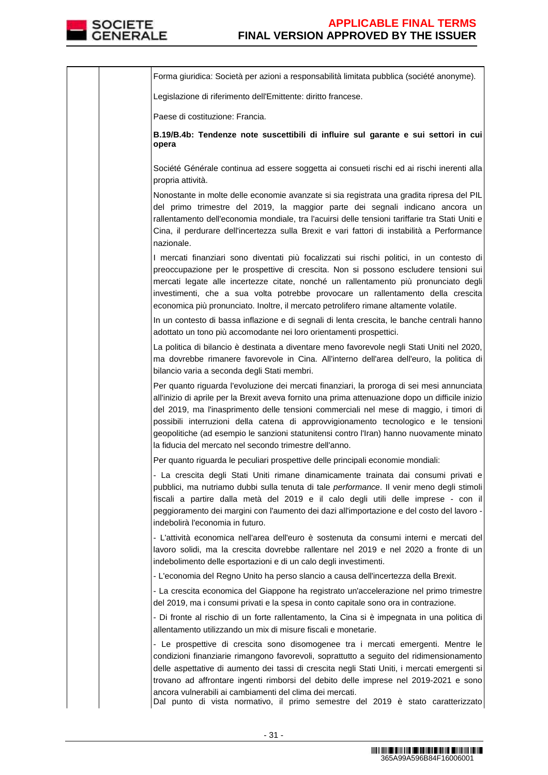

Forma giuridica: Società per azioni a responsabilità limitata pubblica (société anonyme). Legislazione di riferimento dell'Emittente: diritto francese. Paese di costituzione: Francia. **B.19/B.4b: Tendenze note suscettibili di influire sul garante e sui settori in cui opera**  Société Générale continua ad essere soggetta ai consueti rischi ed ai rischi inerenti alla propria attività. Nonostante in molte delle economie avanzate si sia registrata una gradita ripresa del PIL del primo trimestre del 2019, la maggior parte dei segnali indicano ancora un rallentamento dell'economia mondiale, tra l'acuirsi delle tensioni tariffarie tra Stati Uniti e Cina, il perdurare dell'incertezza sulla Brexit e vari fattori di instabilità a Performance nazionale. I mercati finanziari sono diventati più focalizzati sui rischi politici, in un contesto di preoccupazione per le prospettive di crescita. Non si possono escludere tensioni sui mercati legate alle incertezze citate, nonché un rallentamento più pronunciato degli investimenti, che a sua volta potrebbe provocare un rallentamento della crescita economica più pronunciato. Inoltre, il mercato petrolifero rimane altamente volatile. In un contesto di bassa inflazione e di segnali di lenta crescita, le banche centrali hanno adottato un tono più accomodante nei loro orientamenti prospettici. La politica di bilancio è destinata a diventare meno favorevole negli Stati Uniti nel 2020, ma dovrebbe rimanere favorevole in Cina. All'interno dell'area dell'euro, la politica di bilancio varia a seconda degli Stati membri. Per quanto riguarda l'evoluzione dei mercati finanziari, la proroga di sei mesi annunciata all'inizio di aprile per la Brexit aveva fornito una prima attenuazione dopo un difficile inizio del 2019, ma l'inasprimento delle tensioni commerciali nel mese di maggio, i timori di possibili interruzioni della catena di approvvigionamento tecnologico e le tensioni geopolitiche (ad esempio le sanzioni statunitensi contro l'Iran) hanno nuovamente minato la fiducia del mercato nel secondo trimestre dell'anno. Per quanto riguarda le peculiari prospettive delle principali economie mondiali: - La crescita degli Stati Uniti rimane dinamicamente trainata dai consumi privati e pubblici, ma nutriamo dubbi sulla tenuta di tale performance. Il venir meno degli stimoli fiscali a partire dalla metà del 2019 e il calo degli utili delle imprese - con il peggioramento dei margini con l'aumento dei dazi all'importazione e del costo del lavoro indebolirà l'economia in futuro. - L'attività economica nell'area dell'euro è sostenuta da consumi interni e mercati del lavoro solidi, ma la crescita dovrebbe rallentare nel 2019 e nel 2020 a fronte di un indebolimento delle esportazioni e di un calo degli investimenti. - L'economia del Regno Unito ha perso slancio a causa dell'incertezza della Brexit. - La crescita economica del Giappone ha registrato un'accelerazione nel primo trimestre del 2019, ma i consumi privati e la spesa in conto capitale sono ora in contrazione. - Di fronte al rischio di un forte rallentamento, la Cina si è impegnata in una politica di allentamento utilizzando un mix di misure fiscali e monetarie. - Le prospettive di crescita sono disomogenee tra i mercati emergenti. Mentre le condizioni finanziarie rimangono favorevoli, soprattutto a seguito del ridimensionamento delle aspettative di aumento dei tassi di crescita negli Stati Uniti, i mercati emergenti si trovano ad affrontare ingenti rimborsi del debito delle imprese nel 2019-2021 e sono ancora vulnerabili ai cambiamenti del clima dei mercati. Dal punto di vista normativo, il primo semestre del 2019 è stato caratterizzato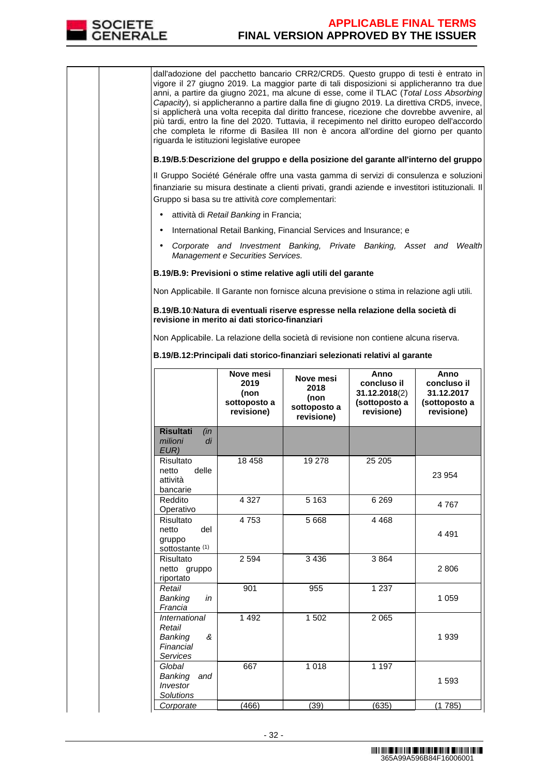

dall'adozione del pacchetto bancario CRR2/CRD5. Questo gruppo di testi è entrato in vigore il 27 giugno 2019. La maggior parte di tali disposizioni si applicheranno tra due anni, a partire da giugno 2021, ma alcune di esse, come il TLAC (Total Loss Absorbing Capacity), si applicheranno a partire dalla fine di giugno 2019. La direttiva CRD5, invece, si applicherà una volta recepita dal diritto francese, ricezione che dovrebbe avvenire, al più tardi, entro la fine del 2020. Tuttavia, il recepimento nel diritto europeo dell'accordo che completa le riforme di Basilea III non è ancora all'ordine del giorno per quanto riguarda le istituzioni legislative europee **B.19/B.5**:**Descrizione del gruppo e della posizione del garante all'interno del gruppo** Il Gruppo Société Générale offre una vasta gamma di servizi di consulenza e soluzioni finanziarie su misura destinate a clienti privati, grandi aziende e investitori istituzionali. Il Gruppo si basa su tre attività core complementari: • attività di Retail Banking in Francia; • International Retail Banking, Financial Services and Insurance; e • Corporate and Investment Banking, Private Banking, Asset and Wealth Management e Securities Services. **B.19/B.9: Previsioni o stime relative agli utili del garante**  Non Applicabile. Il Garante non fornisce alcuna previsione o stima in relazione agli utili. **B.19/B.10**:**Natura di eventuali riserve espresse nella relazione della società di revisione in merito ai dati storico-finanziari** Non Applicabile. La relazione della società di revisione non contiene alcuna riserva. **B.19/B.12:Principali dati storico-finanziari selezionati relativi al garante Nove mesi 2019 (non sottoposto a revisione) Nove mesi 2018 (non sottoposto a revisione) Anno concluso il 31.12.2018**(2) **(sottoposto a revisione) Anno concluso il 31.12.2017 (sottoposto a revisione) Risultati** (in milioni di EUR) Risultato<br>netto delle netto attività bancarie 18 458 19 278 25 205 23 954 Reddito Operativo 4 327 | 5 163 | 6 269 | 4 767 **Risultato** netto del gruppo sottostante<sup>(1)</sup> 4 753 5 668 4 468 4 491 Risultato netto gruppo riportato 2 594 3 436 3 864 2 806 Retail Banking in Francia 901 955 1237 1 059 **International** Retail Banking & Financial Services 1 492 1 502 2 065 1 939 **Global** Banking and Investor **Solutions** 667 1 018 1 197 1 593 Corporate (466) (39) (635) (1 785)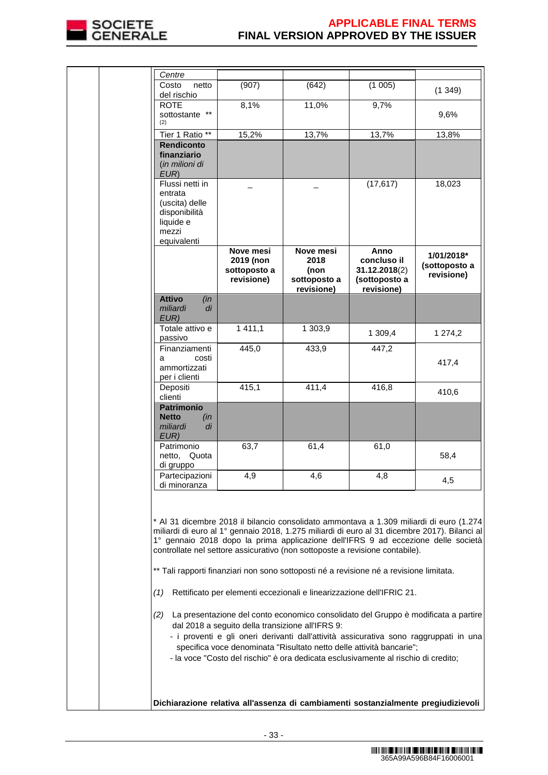

| (907)<br>netto                                       | (642)                                                   | (1005)                                                              | (1349)                                                                                                                                                                                                                                                                                                                                                                                                                                                                                                                                                                                                                                                                                                                                                                                                       |
|------------------------------------------------------|---------------------------------------------------------|---------------------------------------------------------------------|--------------------------------------------------------------------------------------------------------------------------------------------------------------------------------------------------------------------------------------------------------------------------------------------------------------------------------------------------------------------------------------------------------------------------------------------------------------------------------------------------------------------------------------------------------------------------------------------------------------------------------------------------------------------------------------------------------------------------------------------------------------------------------------------------------------|
|                                                      |                                                         |                                                                     |                                                                                                                                                                                                                                                                                                                                                                                                                                                                                                                                                                                                                                                                                                                                                                                                              |
|                                                      |                                                         |                                                                     | 9,6%                                                                                                                                                                                                                                                                                                                                                                                                                                                                                                                                                                                                                                                                                                                                                                                                         |
| Tier 1 Ratio **<br>15,2%                             | 13,7%                                                   | 13,7%                                                               | 13,8%                                                                                                                                                                                                                                                                                                                                                                                                                                                                                                                                                                                                                                                                                                                                                                                                        |
|                                                      |                                                         |                                                                     |                                                                                                                                                                                                                                                                                                                                                                                                                                                                                                                                                                                                                                                                                                                                                                                                              |
|                                                      |                                                         | (17, 617)                                                           | 18,023                                                                                                                                                                                                                                                                                                                                                                                                                                                                                                                                                                                                                                                                                                                                                                                                       |
| Nove mesi<br>2019 (non<br>sottoposto a<br>revisione) | Nove mesi<br>2018<br>(non<br>sottoposto a<br>revisione) | Anno<br>concluso il<br>31.12.2018(2)<br>(sottoposto a<br>revisione) | 1/01/2018*<br>(sottoposto a<br>revisione)                                                                                                                                                                                                                                                                                                                                                                                                                                                                                                                                                                                                                                                                                                                                                                    |
| (in<br>di                                            |                                                         |                                                                     |                                                                                                                                                                                                                                                                                                                                                                                                                                                                                                                                                                                                                                                                                                                                                                                                              |
| 1411,1<br>Totale attivo e                            | 1 303,9                                                 | 1 309,4                                                             | 1 274,2                                                                                                                                                                                                                                                                                                                                                                                                                                                                                                                                                                                                                                                                                                                                                                                                      |
| 445,0<br>Finanziamenti<br>costi                      | 433,9                                                   | 447,2                                                               | 417,4                                                                                                                                                                                                                                                                                                                                                                                                                                                                                                                                                                                                                                                                                                                                                                                                        |
|                                                      |                                                         |                                                                     |                                                                                                                                                                                                                                                                                                                                                                                                                                                                                                                                                                                                                                                                                                                                                                                                              |
|                                                      |                                                         |                                                                     | 410,6                                                                                                                                                                                                                                                                                                                                                                                                                                                                                                                                                                                                                                                                                                                                                                                                        |
| (in<br>di                                            |                                                         |                                                                     |                                                                                                                                                                                                                                                                                                                                                                                                                                                                                                                                                                                                                                                                                                                                                                                                              |
| 63,7<br>netto, Quota                                 | 61,4                                                    | 61,0                                                                | 58,4                                                                                                                                                                                                                                                                                                                                                                                                                                                                                                                                                                                                                                                                                                                                                                                                         |
| 4.9<br>Partecipazioni                                | 4.6                                                     | 4.8                                                                 | 4,5                                                                                                                                                                                                                                                                                                                                                                                                                                                                                                                                                                                                                                                                                                                                                                                                          |
|                                                      |                                                         |                                                                     |                                                                                                                                                                                                                                                                                                                                                                                                                                                                                                                                                                                                                                                                                                                                                                                                              |
|                                                      |                                                         |                                                                     |                                                                                                                                                                                                                                                                                                                                                                                                                                                                                                                                                                                                                                                                                                                                                                                                              |
|                                                      |                                                         |                                                                     |                                                                                                                                                                                                                                                                                                                                                                                                                                                                                                                                                                                                                                                                                                                                                                                                              |
|                                                      |                                                         |                                                                     |                                                                                                                                                                                                                                                                                                                                                                                                                                                                                                                                                                                                                                                                                                                                                                                                              |
|                                                      | 8,1%<br>415,1                                           | 11,0%<br>411,4<br>dal 2018 a seguito della transizione all'IFRS 9:  | 9,7%<br>416,8<br>* Al 31 dicembre 2018 il bilancio consolidato ammontava a 1.309 miliardi di euro (1.274<br>miliardi di euro al 1º gennaio 2018, 1.275 miliardi di euro al 31 dicembre 2017). Bilanci al<br>1° gennaio 2018 dopo la prima applicazione dell'IFRS 9 ad eccezione delle società<br>controllate nel settore assicurativo (non sottoposte a revisione contabile).<br>** Tali rapporti finanziari non sono sottoposti né a revisione né a revisione limitata.<br>Rettificato per elementi eccezionali e linearizzazione dell'IFRIC 21.<br>(2) La presentazione del conto economico consolidato del Gruppo è modificata a partire<br>- i proventi e gli oneri derivanti dall'attività assicurativa sono raggruppati in una<br>specifica voce denominata "Risultato netto delle attività bancarie"; |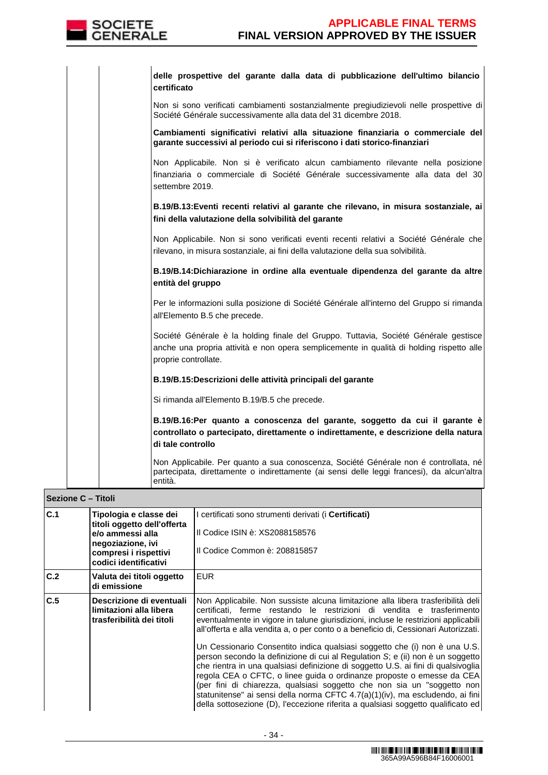

| delle prospettive del garante dalla data di pubblicazione dell'ultimo bilancio<br>certificato                                                                                                            |
|----------------------------------------------------------------------------------------------------------------------------------------------------------------------------------------------------------|
| Non si sono verificati cambiamenti sostanzialmente pregiudizievoli nelle prospettive di<br>Société Générale successivamente alla data del 31 dicembre 2018.                                              |
| Cambiamenti significativi relativi alla situazione finanziaria o commerciale del<br>garante successivi al periodo cui si riferiscono i dati storico-finanziari                                           |
| Non Applicabile. Non si è verificato alcun cambiamento rilevante nella posizione<br>finanziaria o commerciale di Société Générale successivamente alla data del 30<br>settembre 2019.                    |
| B.19/B.13: Eventi recenti relativi al garante che rilevano, in misura sostanziale, ai<br>fini della valutazione della solvibilità del garante                                                            |
| Non Applicabile. Non si sono verificati eventi recenti relativi a Société Générale che<br>rilevano, in misura sostanziale, ai fini della valutazione della sua solvibilità.                              |
| B.19/B.14:Dichiarazione in ordine alla eventuale dipendenza del garante da altre<br>entità del gruppo                                                                                                    |
| Per le informazioni sulla posizione di Société Générale all'interno del Gruppo si rimanda<br>all'Elemento B.5 che precede.                                                                               |
| Société Générale è la holding finale del Gruppo. Tuttavia, Société Générale gestisce<br>anche una propria attività e non opera semplicemente in qualità di holding rispetto alle<br>proprie controllate. |
| B.19/B.15:Descrizioni delle attività principali del garante                                                                                                                                              |
| Si rimanda all'Elemento B.19/B.5 che precede.                                                                                                                                                            |
| B.19/B.16:Per quanto a conoscenza del garante, soggetto da cui il garante è<br>controllato o partecipato, direttamente o indirettamente, e descrizione della natura<br>di tale controllo                 |
| Non Applicabile. Per quanto a sua conoscenza, Société Générale non é controllata, né<br>partecipata, direttamente o indirettamente (ai sensi delle leggi francesi), da alcun'altra<br>entità.            |

|     | Sezione C - Titoli                                                                                                                               |                                                                                                                                                                                                                                                                                                                                                                                                                                                                                                                                                                                                                                                                                                                                                                                                                                                                                                                       |  |  |  |
|-----|--------------------------------------------------------------------------------------------------------------------------------------------------|-----------------------------------------------------------------------------------------------------------------------------------------------------------------------------------------------------------------------------------------------------------------------------------------------------------------------------------------------------------------------------------------------------------------------------------------------------------------------------------------------------------------------------------------------------------------------------------------------------------------------------------------------------------------------------------------------------------------------------------------------------------------------------------------------------------------------------------------------------------------------------------------------------------------------|--|--|--|
| C.1 | Tipologia e classe dei<br>titoli oggetto dell'offerta<br>e/o ammessi alla<br>negoziazione, ivi<br>compresi i rispettivi<br>codici identificativi | I certificati sono strumenti derivati (i <b>Certificati)</b><br>Il Codice ISIN è: XS2088158576<br>Il Codice Common è: 208815857                                                                                                                                                                                                                                                                                                                                                                                                                                                                                                                                                                                                                                                                                                                                                                                       |  |  |  |
| C.2 | Valuta dei titoli oggetto<br>di emissione                                                                                                        | <b>EUR</b>                                                                                                                                                                                                                                                                                                                                                                                                                                                                                                                                                                                                                                                                                                                                                                                                                                                                                                            |  |  |  |
| C.5 | Descrizione di eventuali<br>limitazioni alla libera<br>trasferibilità dei titoli                                                                 | Non Applicabile. Non sussiste alcuna limitazione alla libera trasferibilità deli<br>certificati, ferme restando le restrizioni di vendita e trasferimento<br>eventualmente in vigore in talune giurisdizioni, incluse le restrizioni applicabili<br>all'offerta e alla vendita a, o per conto o a beneficio di, Cessionari Autorizzati.<br>Un Cessionario Consentito indica qualsiasi soggetto che (i) non è una U.S.<br>person secondo la definizione di cui al Regulation S; e (ii) non è un soggetto<br>che rientra in una qualsiasi definizione di soggetto U.S. ai fini di qualsivoglia<br>regola CEA o CFTC, o linee guida o ordinanze proposte o emesse da CEA<br>(per fini di chiarezza, qualsiasi soggetto che non sia un "soggetto non<br>statunitense" ai sensi della norma CFTC 4.7(a)(1)(iv), ma escludendo, ai fini<br>della sottosezione (D), l'eccezione riferita a qualsiasi soggetto qualificato ed |  |  |  |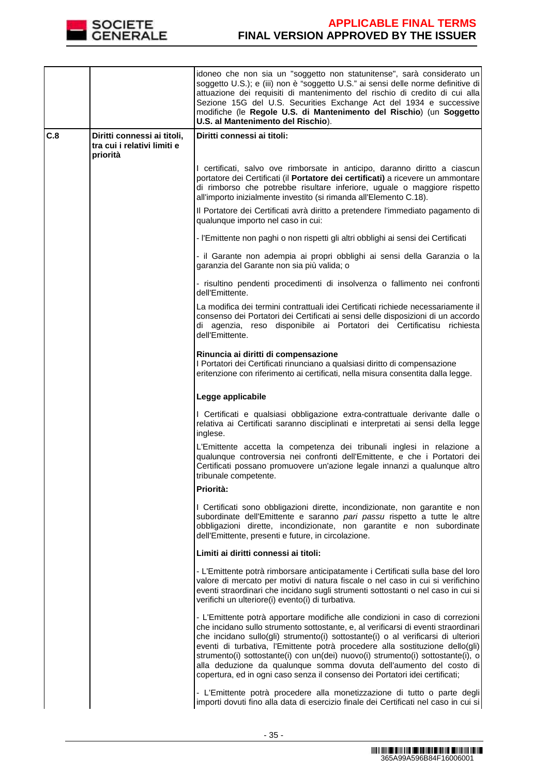

|     |                                         | idoneo che non sia un "soggetto non statunitense", sarà considerato un<br>soggetto U.S.); e (iii) non è "soggetto U.S." ai sensi delle norme definitive di<br>attuazione dei requisiti di mantenimento del rischio di credito di cui alla<br>Sezione 15G del U.S. Securities Exchange Act del 1934 e successive<br>modifiche (le Regole U.S. di Mantenimento del Rischio) (un Soggetto<br>U.S. al Mantenimento del Rischio).                                                                                                                                                       |
|-----|-----------------------------------------|------------------------------------------------------------------------------------------------------------------------------------------------------------------------------------------------------------------------------------------------------------------------------------------------------------------------------------------------------------------------------------------------------------------------------------------------------------------------------------------------------------------------------------------------------------------------------------|
| C.8 | Diritti connessi ai titoli,             | Diritti connessi ai titoli:                                                                                                                                                                                                                                                                                                                                                                                                                                                                                                                                                        |
|     | tra cui i relativi limiti e<br>priorità |                                                                                                                                                                                                                                                                                                                                                                                                                                                                                                                                                                                    |
|     |                                         | I certificati, salvo ove rimborsate in anticipo, daranno diritto a ciascun<br>portatore dei Certificati (il Portatore dei certificati) a ricevere un ammontare<br>di rimborso che potrebbe risultare inferiore, uguale o maggiore rispetto<br>all'importo inizialmente investito (si rimanda all'Elemento C.18).                                                                                                                                                                                                                                                                   |
|     |                                         | Il Portatore dei Certificati avrà diritto a pretendere l'immediato pagamento di<br>qualunque importo nel caso in cui:                                                                                                                                                                                                                                                                                                                                                                                                                                                              |
|     |                                         | - l'Emittente non paghi o non rispetti gli altri obblighi ai sensi dei Certificati                                                                                                                                                                                                                                                                                                                                                                                                                                                                                                 |
|     |                                         | - il Garante non adempia ai propri obblighi ai sensi della Garanzia o la<br>garanzia del Garante non sia più valida; o                                                                                                                                                                                                                                                                                                                                                                                                                                                             |
|     |                                         | - risultino pendenti procedimenti di insolvenza o fallimento nei confronti<br>dell'Emittente.                                                                                                                                                                                                                                                                                                                                                                                                                                                                                      |
|     |                                         | La modifica dei termini contrattuali idei Certificati richiede necessariamente il<br>consenso dei Portatori dei Certificati ai sensi delle disposizioni di un accordo<br>di agenzia, reso disponibile ai Portatori dei Certificatisu richiesta<br>dell'Emittente.                                                                                                                                                                                                                                                                                                                  |
|     |                                         | Rinuncia ai diritti di compensazione<br>I Portatori dei Certificati rinunciano a qualsiasi diritto di compensazione<br>eritenzione con riferimento ai certificati, nella misura consentita dalla legge.                                                                                                                                                                                                                                                                                                                                                                            |
|     |                                         | Legge applicabile                                                                                                                                                                                                                                                                                                                                                                                                                                                                                                                                                                  |
|     |                                         | I Certificati e qualsiasi obbligazione extra-contrattuale derivante dalle o<br>relativa ai Certificati saranno disciplinati e interpretati ai sensi della legge<br>inglese.                                                                                                                                                                                                                                                                                                                                                                                                        |
|     |                                         | L'Emittente accetta la competenza dei tribunali inglesi in relazione a<br>qualunque controversia nei confronti dell'Emittente, e che i Portatori dei<br>Certificati possano promuovere un'azione legale innanzi a qualunque altro<br>tribunale competente.                                                                                                                                                                                                                                                                                                                         |
|     |                                         | Priorità:                                                                                                                                                                                                                                                                                                                                                                                                                                                                                                                                                                          |
|     |                                         | I Certificati sono obbligazioni dirette, incondizionate, non garantite e non<br>subordinate dell'Emittente e saranno pari passu rispetto a tutte le altre<br>obbligazioni dirette, incondizionate, non garantite e non subordinate<br>dell'Emittente, presenti e future, in circolazione.                                                                                                                                                                                                                                                                                          |
|     |                                         | Limiti ai diritti connessi ai titoli:                                                                                                                                                                                                                                                                                                                                                                                                                                                                                                                                              |
|     |                                         | - L'Emittente potrà rimborsare anticipatamente i Certificati sulla base del loro<br>valore di mercato per motivi di natura fiscale o nel caso in cui si verifichino<br>eventi straordinari che incidano sugli strumenti sottostanti o nel caso in cui si<br>verifichi un ulteriore(i) evento(i) di turbativa.                                                                                                                                                                                                                                                                      |
|     |                                         | - L'Emittente potrà apportare modifiche alle condizioni in caso di correzioni<br>che incidano sullo strumento sottostante, e, al verificarsi di eventi straordinari<br>che incidano sullo(gli) strumento(i) sottostante(i) o al verificarsi di ulteriori<br>eventi di turbativa, l'Emittente potrà procedere alla sostituzione dello(gli)<br>strumento(i) sottostante(i) con un(dei) nuovo(i) strumento(i) sottostante(i), o<br>alla deduzione da qualunque somma dovuta dell'aumento del costo di<br>copertura, ed in ogni caso senza il consenso dei Portatori idei certificati; |
|     |                                         | - L'Emittente potrà procedere alla monetizzazione di tutto o parte degli<br>importi dovuti fino alla data di esercizio finale dei Certificati nel caso in cui si                                                                                                                                                                                                                                                                                                                                                                                                                   |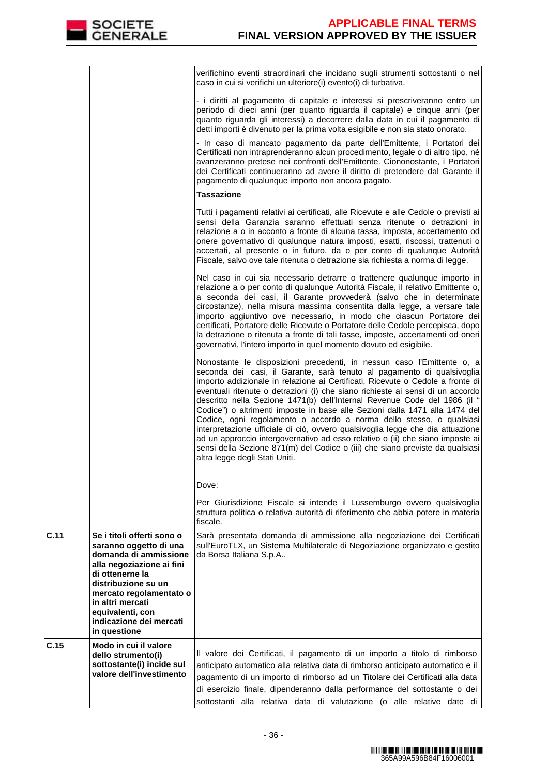|      |                                                                                                                                                                                                                                                                    | verifichino eventi straordinari che incidano sugli strumenti sottostanti o nel<br>caso in cui si verifichi un ulteriore(i) evento(i) di turbativa.                                                                                                                                                                                                                                                                                                                                                                                                                                                                                                                                                                                                                                                                                             |
|------|--------------------------------------------------------------------------------------------------------------------------------------------------------------------------------------------------------------------------------------------------------------------|------------------------------------------------------------------------------------------------------------------------------------------------------------------------------------------------------------------------------------------------------------------------------------------------------------------------------------------------------------------------------------------------------------------------------------------------------------------------------------------------------------------------------------------------------------------------------------------------------------------------------------------------------------------------------------------------------------------------------------------------------------------------------------------------------------------------------------------------|
|      |                                                                                                                                                                                                                                                                    | - i diritti al pagamento di capitale e interessi si prescriveranno entro un<br>periodo di dieci anni (per quanto riguarda il capitale) e cinque anni (per<br>quanto riguarda gli interessi) a decorrere dalla data in cui il pagamento di<br>detti importi è divenuto per la prima volta esigibile e non sia stato onorato.                                                                                                                                                                                                                                                                                                                                                                                                                                                                                                                    |
|      |                                                                                                                                                                                                                                                                    | - In caso di mancato pagamento da parte dell'Emittente, i Portatori dei<br>Certificati non intraprenderanno alcun procedimento, legale o di altro tipo, né<br>avanzeranno pretese nei confronti dell'Emittente. Ciononostante, i Portatori<br>dei Certificati continueranno ad avere il diritto di pretendere dal Garante il<br>pagamento di qualunque importo non ancora pagato.                                                                                                                                                                                                                                                                                                                                                                                                                                                              |
|      |                                                                                                                                                                                                                                                                    | <b>Tassazione</b>                                                                                                                                                                                                                                                                                                                                                                                                                                                                                                                                                                                                                                                                                                                                                                                                                              |
|      |                                                                                                                                                                                                                                                                    | Tutti i pagamenti relativi ai certificati, alle Ricevute e alle Cedole o previsti ai<br>sensi della Garanzia saranno effettuati senza ritenute o detrazioni in<br>relazione a o in acconto a fronte di alcuna tassa, imposta, accertamento od<br>onere governativo di qualunque natura imposti, esatti, riscossi, trattenuti o<br>accertati, al presente o in futuro, da o per conto di qualunque Autorità<br>Fiscale, salvo ove tale ritenuta o detrazione sia richiesta a norma di legge.                                                                                                                                                                                                                                                                                                                                                    |
|      |                                                                                                                                                                                                                                                                    | Nel caso in cui sia necessario detrarre o trattenere qualunque importo in<br>relazione a o per conto di qualunque Autorità Fiscale, il relativo Emittente o,<br>a seconda dei casi, il Garante provvederà (salvo che in determinate<br>circostanze), nella misura massima consentita dalla legge, a versare tale<br>importo aggiuntivo ove necessario, in modo che ciascun Portatore dei<br>certificati, Portatore delle Ricevute o Portatore delle Cedole percepisca, dopo<br>la detrazione o ritenuta a fronte di tali tasse, imposte, accertamenti od oneri<br>governativi, l'intero importo in quel momento dovuto ed esigibile.                                                                                                                                                                                                           |
|      |                                                                                                                                                                                                                                                                    | Nonostante le disposizioni precedenti, in nessun caso l'Emittente o, a<br>seconda dei casi, il Garante, sarà tenuto al pagamento di qualsivoglia<br>importo addizionale in relazione ai Certificati, Ricevute o Cedole a fronte di<br>eventuali ritenute o detrazioni (i) che siano richieste ai sensi di un accordo<br>descritto nella Sezione 1471(b) dell'Internal Revenue Code del 1986 (il "<br>Codice") o altrimenti imposte in base alle Sezioni dalla 1471 alla 1474 del<br>Codice, ogni regolamento o accordo a norma dello stesso, o qualsiasi<br>interpretazione ufficiale di ciò, ovvero qualsivoglia legge che dia attuazione<br>ad un approccio intergovernativo ad esso relativo o (ii) che siano imposte ai<br>sensi della Sezione 871(m) del Codice o (iii) che siano previste da qualsiasi<br>altra legge degli Stati Uniti. |
|      |                                                                                                                                                                                                                                                                    | Dove:                                                                                                                                                                                                                                                                                                                                                                                                                                                                                                                                                                                                                                                                                                                                                                                                                                          |
|      |                                                                                                                                                                                                                                                                    | Per Giurisdizione Fiscale si intende il Lussemburgo ovvero qualsivoglia<br>struttura politica o relativa autorità di riferimento che abbia potere in materia<br>fiscale.                                                                                                                                                                                                                                                                                                                                                                                                                                                                                                                                                                                                                                                                       |
| C.11 | Se i titoli offerti sono o<br>saranno oggetto di una<br>domanda di ammissione<br>alla negoziazione ai fini<br>di ottenerne la<br>distribuzione su un<br>mercato regolamentato o<br>in altri mercati<br>equivalenti, con<br>indicazione dei mercati<br>in questione | Sarà presentata domanda di ammissione alla negoziazione dei Certificati<br>sull'EuroTLX, un Sistema Multilaterale di Negoziazione organizzato e gestito<br>da Borsa Italiana S.p.A                                                                                                                                                                                                                                                                                                                                                                                                                                                                                                                                                                                                                                                             |
| C.15 | Modo in cui il valore<br>dello strumento(i)<br>sottostante(i) incide sul<br>valore dell'investimento                                                                                                                                                               | Il valore dei Certificati, il pagamento di un importo a titolo di rimborso<br>anticipato automatico alla relativa data di rimborso anticipato automatico e il<br>pagamento di un importo di rimborso ad un Titolare dei Certificati alla data<br>di esercizio finale, dipenderanno dalla performance del sottostante o dei<br>sottostanti alla relativa data di valutazione (o alle relative date di                                                                                                                                                                                                                                                                                                                                                                                                                                           |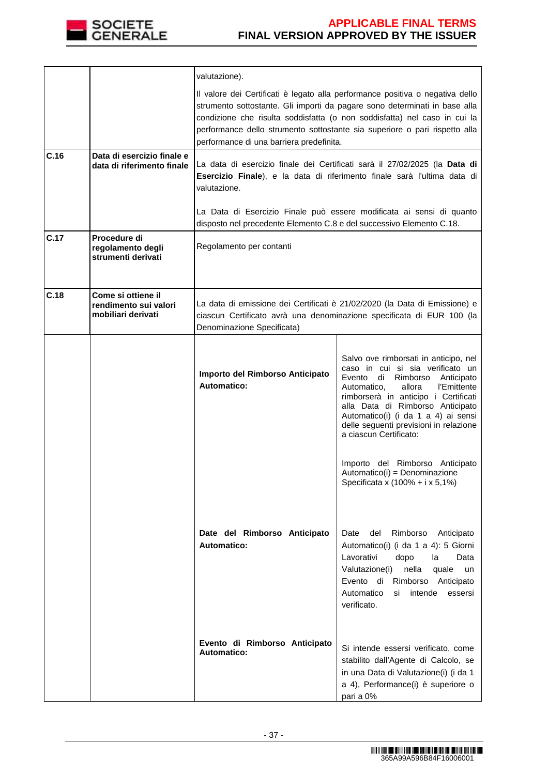

|      |                                                                   | valutazione).                                                                                                                                                                                                                                                                                                                                                      |                                                                                                                                                                                                                                                                                                                                                                                                                                                        |  |
|------|-------------------------------------------------------------------|--------------------------------------------------------------------------------------------------------------------------------------------------------------------------------------------------------------------------------------------------------------------------------------------------------------------------------------------------------------------|--------------------------------------------------------------------------------------------------------------------------------------------------------------------------------------------------------------------------------------------------------------------------------------------------------------------------------------------------------------------------------------------------------------------------------------------------------|--|
|      |                                                                   | Il valore dei Certificati è legato alla performance positiva o negativa dello<br>strumento sottostante. Gli importi da pagare sono determinati in base alla<br>condizione che risulta soddisfatta (o non soddisfatta) nel caso in cui la<br>performance dello strumento sottostante sia superiore o pari rispetto alla<br>performance di una barriera predefinita. |                                                                                                                                                                                                                                                                                                                                                                                                                                                        |  |
| C.16 | Data di esercizio finale e<br>data di riferimento finale          | La data di esercizio finale dei Certificati sarà il 27/02/2025 (la Data di<br>Esercizio Finale), e la data di riferimento finale sarà l'ultima data di<br>valutazione.                                                                                                                                                                                             |                                                                                                                                                                                                                                                                                                                                                                                                                                                        |  |
|      |                                                                   | disposto nel precedente Elemento C.8 e del successivo Elemento C.18.                                                                                                                                                                                                                                                                                               | La Data di Esercizio Finale può essere modificata ai sensi di quanto                                                                                                                                                                                                                                                                                                                                                                                   |  |
| C.17 | Procedure di<br>regolamento degli<br>strumenti derivati           | Regolamento per contanti                                                                                                                                                                                                                                                                                                                                           |                                                                                                                                                                                                                                                                                                                                                                                                                                                        |  |
| C.18 | Come si ottiene il<br>rendimento sui valori<br>mobiliari derivati | Denominazione Specificata)                                                                                                                                                                                                                                                                                                                                         | La data di emissione dei Certificati è 21/02/2020 (la Data di Emissione) e<br>ciascun Certificato avrà una denominazione specificata di EUR 100 (la                                                                                                                                                                                                                                                                                                    |  |
|      |                                                                   | Importo del Rimborso Anticipato<br>Automatico:                                                                                                                                                                                                                                                                                                                     | Salvo ove rimborsati in anticipo, nel<br>caso in cui si sia verificato un<br>di Rimborso<br>Evento<br>Anticipato<br>Automatico,<br>allora<br>l'Emittente<br>rimborserà in anticipo i Certificati<br>alla Data di Rimborso Anticipato<br>Automatico(i) (i da 1 a 4) ai sensi<br>delle seguenti previsioni in relazione<br>a ciascun Certificato:<br>Importo del Rimborso Anticipato<br>Automatico(i) = Denominazione<br>Specificata x (100% + i x 5,1%) |  |
|      |                                                                   | Date del Rimborso Anticipato<br><b>Automatico:</b>                                                                                                                                                                                                                                                                                                                 | Rimborso<br>Date<br>del<br>Anticipato<br>Automatico(i) (i da 1 a 4): 5 Giorni<br>Lavorativi<br>dopo<br>la<br>Data<br>nella<br>Valutazione(i)<br>quale<br>un<br>Evento<br>di<br>Rimborso Anticipato<br>Automatico<br>intende<br>si<br>essersi<br>verificato.                                                                                                                                                                                            |  |
|      |                                                                   | Evento di Rimborso Anticipato<br><b>Automatico:</b>                                                                                                                                                                                                                                                                                                                | Si intende essersi verificato, come<br>stabilito dall'Agente di Calcolo, se<br>in una Data di Valutazione(i) (i da 1<br>a 4), Performance(i) è superiore o<br>pari a 0%                                                                                                                                                                                                                                                                                |  |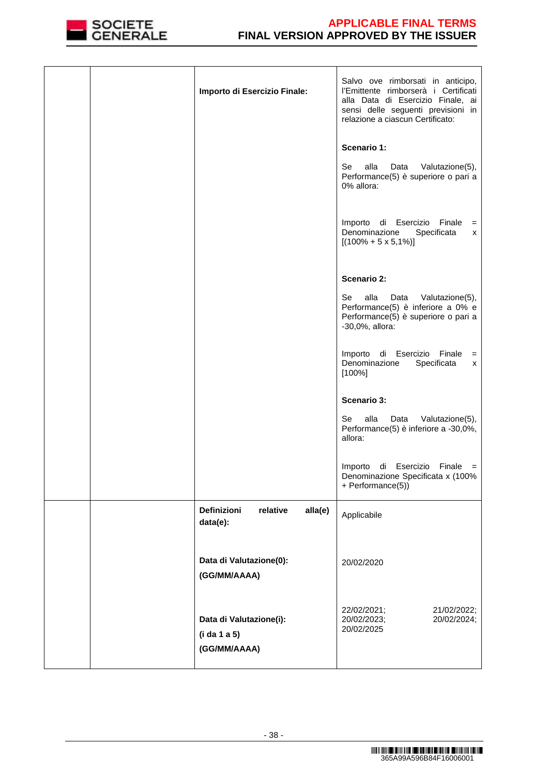

| Importo di Esercizio Finale:                            | Salvo ove rimborsati in anticipo,<br>l'Emittente rimborserà i Certificati<br>alla Data di Esercizio Finale, ai<br>sensi delle seguenti previsioni in<br>relazione a ciascun Certificato: |
|---------------------------------------------------------|------------------------------------------------------------------------------------------------------------------------------------------------------------------------------------------|
|                                                         | Scenario 1:                                                                                                                                                                              |
|                                                         | alla<br>Se<br>Valutazione(5),<br>Data<br>Performance(5) è superiore o pari a<br>0% allora:                                                                                               |
|                                                         | Importo di Esercizio Finale<br>$=$<br>Denominazione<br>Specificata<br>х<br>$[(100\% + 5 \times 5, 1\%)]$                                                                                 |
|                                                         | <b>Scenario 2:</b>                                                                                                                                                                       |
|                                                         |                                                                                                                                                                                          |
|                                                         | alla<br>Se<br>Data<br>Valutazione(5),<br>Performance(5) è inferiore a 0% e<br>Performance(5) è superiore o pari a<br>-30,0%, allora:                                                     |
|                                                         | Importo di Esercizio Finale<br>$=$<br>Denominazione<br>Specificata<br>x<br>$[100\%]$                                                                                                     |
|                                                         | <b>Scenario 3:</b>                                                                                                                                                                       |
|                                                         | alla<br>Se<br>Valutazione(5),<br>Data<br>Performance(5) è inferiore a -30,0%,<br>allora:                                                                                                 |
|                                                         | Importo di Esercizio Finale =<br>Denominazione Specificata x (100%<br>+ Performance(5))                                                                                                  |
| Definizioni<br>alla(e)<br>relative<br>data(e):          | Applicabile                                                                                                                                                                              |
| Data di Valutazione(0):<br>(GG/MM/AAAA)                 | 20/02/2020                                                                                                                                                                               |
| Data di Valutazione(i):<br>(i da 1 a 5)<br>(GG/MM/AAAA) | 22/02/2021;<br>21/02/2022;<br>20/02/2023;<br>20/02/2024;<br>20/02/2025                                                                                                                   |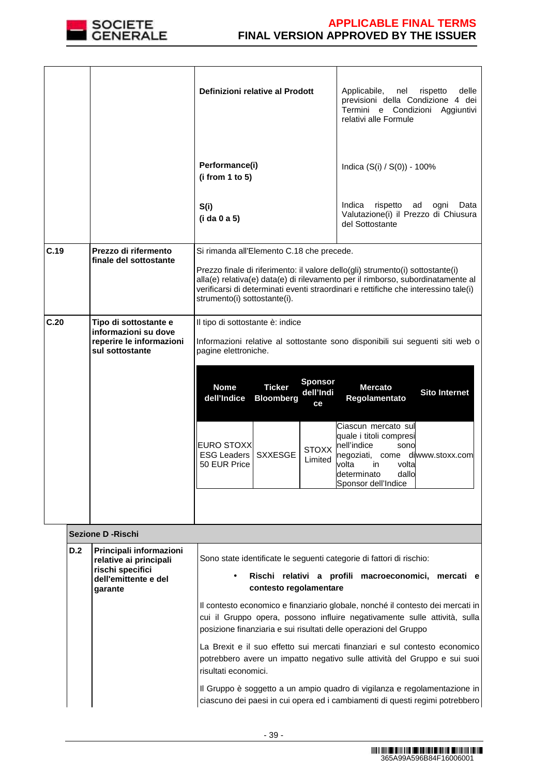

|      |                                                                                                          | Definizioni relative al Prodott                                                                                                                                                                                                                                                                                                       | Applicabile,<br>nel<br>rispetto<br>delle<br>previsioni della Condizione 4 dei<br>Termini e Condizioni Aggiuntivi<br>relativi alle Formule                                          |  |
|------|----------------------------------------------------------------------------------------------------------|---------------------------------------------------------------------------------------------------------------------------------------------------------------------------------------------------------------------------------------------------------------------------------------------------------------------------------------|------------------------------------------------------------------------------------------------------------------------------------------------------------------------------------|--|
|      |                                                                                                          | Performance(i)<br>(i from 1 to 5)                                                                                                                                                                                                                                                                                                     | Indica $(S(i) / S(0)) - 100\%$                                                                                                                                                     |  |
|      |                                                                                                          | S(i)<br>(i da 0 a 5)                                                                                                                                                                                                                                                                                                                  | Indica<br>rispetto<br>ad<br>ogni<br>Data<br>Valutazione(i) il Prezzo di Chiusura<br>del Sottostante                                                                                |  |
| C.19 | Prezzo di rifermento<br>finale del sottostante                                                           | Si rimanda all'Elemento C.18 che precede.<br>Prezzo finale di riferimento: il valore dello(gli) strumento(i) sottostante(i)<br>alla(e) relativa(e) data(e) di rilevamento per il rimborso, subordinatamente al<br>verificarsi di determinati eventi straordinari e rettifiche che interessino tale(i)<br>strumento(i) sottostante(i). |                                                                                                                                                                                    |  |
| C.20 | Tipo di sottostante e<br>informazioni su dove<br>reperire le informazioni<br>sul sottostante             | Il tipo di sottostante è: indice<br>Informazioni relative al sottostante sono disponibili sui seguenti siti web o<br>pagine elettroniche.                                                                                                                                                                                             |                                                                                                                                                                                    |  |
|      |                                                                                                          | <b>Sponsor</b><br><b>Nome</b><br><b>Ticker</b><br>dell'Indi<br>dell'Indice<br><b>Bloomberg</b><br>ce                                                                                                                                                                                                                                  | <b>Mercato</b><br><b>Sito Internet</b><br>Regolamentato                                                                                                                            |  |
|      |                                                                                                          | <b>EURO STOXX</b><br><b>STOXX</b><br><b>ESG Leaders</b><br><b>SXXESGE</b><br>Limited<br>50 EUR Price                                                                                                                                                                                                                                  | Ciascun mercato sul<br>quale i titoli compresi<br>nell'indice<br>sono<br>negoziati,<br>come diwww.stoxx.com<br>volta<br>in<br>volta<br>dallo<br>determinato<br>Sponsor dell'Indice |  |
|      |                                                                                                          |                                                                                                                                                                                                                                                                                                                                       |                                                                                                                                                                                    |  |
|      | <b>Sezione D - Rischi</b>                                                                                |                                                                                                                                                                                                                                                                                                                                       |                                                                                                                                                                                    |  |
| D.2  | Principali informazioni<br>relative ai principali<br>rischi specifici<br>dell'emittente e del<br>garante | Sono state identificate le seguenti categorie di fattori di rischio:<br>Rischi relativi a profili macroeconomici, mercati e<br>contesto regolamentare                                                                                                                                                                                 |                                                                                                                                                                                    |  |
|      |                                                                                                          | posizione finanziaria e sui risultati delle operazioni del Gruppo                                                                                                                                                                                                                                                                     | Il contesto economico e finanziario globale, nonché il contesto dei mercati in<br>cui il Gruppo opera, possono influire negativamente sulle attività, sulla                        |  |
|      |                                                                                                          | risultati economici.                                                                                                                                                                                                                                                                                                                  | La Brexit e il suo effetto sui mercati finanziari e sul contesto economico<br>potrebbero avere un impatto negativo sulle attività del Gruppo e sui suoi                            |  |
|      |                                                                                                          |                                                                                                                                                                                                                                                                                                                                       | Il Gruppo è soggetto a un ampio quadro di vigilanza e regolamentazione in<br>ciascuno dei paesi in cui opera ed i cambiamenti di questi regimi potrebbero                          |  |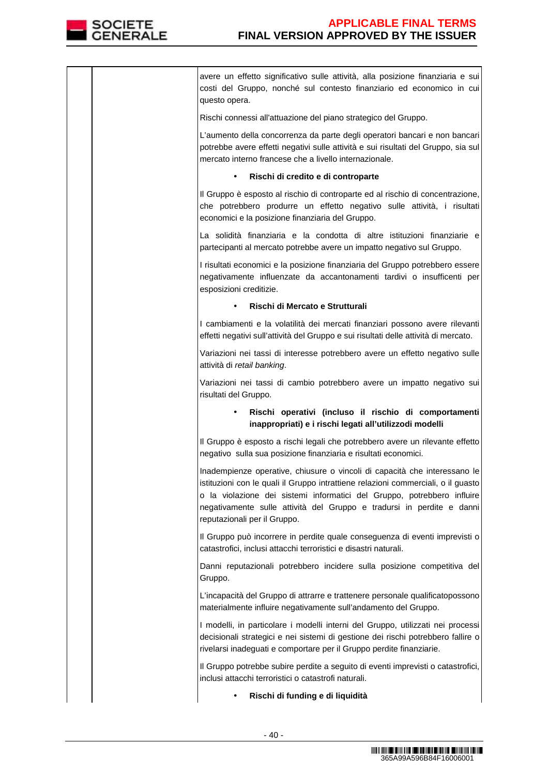

avere un effetto significativo sulle attività, alla posizione finanziaria e sui costi del Gruppo, nonché sul contesto finanziario ed economico in cui questo opera. Rischi connessi all'attuazione del piano strategico del Gruppo. L'aumento della concorrenza da parte degli operatori bancari e non bancari potrebbe avere effetti negativi sulle attività e sui risultati del Gruppo, sia sul mercato interno francese che a livello internazionale. • **Rischi di credito e di controparte**  Il Gruppo è esposto al rischio di controparte ed al rischio di concentrazione, che potrebbero produrre un effetto negativo sulle attività, i risultati economici e la posizione finanziaria del Gruppo. La solidità finanziaria e la condotta di altre istituzioni finanziarie e partecipanti al mercato potrebbe avere un impatto negativo sul Gruppo. I risultati economici e la posizione finanziaria del Gruppo potrebbero essere negativamente influenzate da accantonamenti tardivi o insufficenti per esposizioni creditizie. • **Rischi di Mercato e Strutturali**  I cambiamenti e la volatilità dei mercati finanziari possono avere rilevanti effetti negativi sull'attività del Gruppo e sui risultati delle attività di mercato. Variazioni nei tassi di interesse potrebbero avere un effetto negativo sulle attività di retail banking. Variazioni nei tassi di cambio potrebbero avere un impatto negativo sui risultati del Gruppo. • **Rischi operativi (incluso il rischio di comportamenti inappropriati) e i rischi legati all'utilizzodi modelli**  Il Gruppo è esposto a rischi legali che potrebbero avere un rilevante effetto negativo sulla sua posizione finanziaria e risultati economici. Inadempienze operative, chiusure o vincoli di capacità che interessano le istituzioni con le quali il Gruppo intrattiene relazioni commerciali, o il guasto o la violazione dei sistemi informatici del Gruppo, potrebbero influire negativamente sulle attività del Gruppo e tradursi in perdite e danni reputazionali per il Gruppo. Il Gruppo può incorrere in perdite quale conseguenza di eventi imprevisti o catastrofici, inclusi attacchi terroristici e disastri naturali. Danni reputazionali potrebbero incidere sulla posizione competitiva del Gruppo. L'incapacità del Gruppo di attrarre e trattenere personale qualificatopossono materialmente influire negativamente sull'andamento del Gruppo. I modelli, in particolare i modelli interni del Gruppo, utilizzati nei processi decisionali strategici e nei sistemi di gestione dei rischi potrebbero fallire o rivelarsi inadeguati e comportare per il Gruppo perdite finanziarie. Il Gruppo potrebbe subire perdite a seguito di eventi imprevisti o catastrofici, inclusi attacchi terroristici o catastrofi naturali. • **Rischi di funding e di liquidità**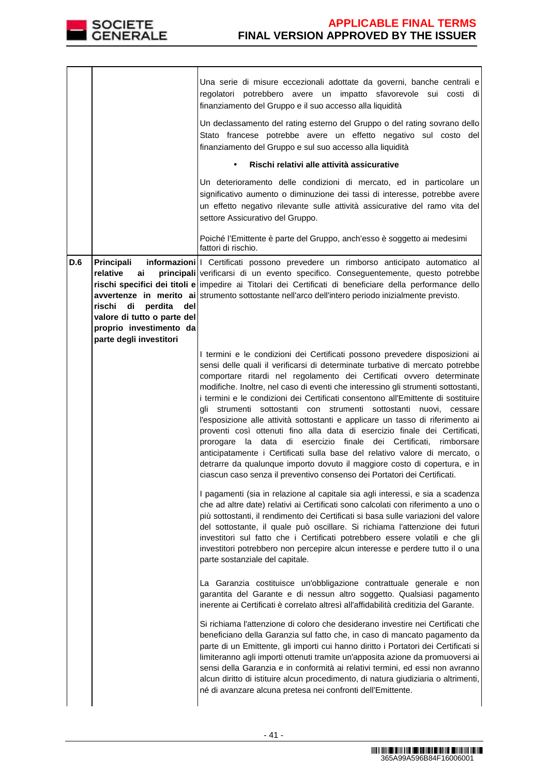

|     |                                                                                                                                                     | Una serie di misure eccezionali adottate da governi, banche centrali e<br>regolatori potrebbero avere un impatto sfavorevole sui costi di<br>finanziamento del Gruppo e il suo accesso alla liquidità                                                                                                                                                                                                                                                                                                                                                                                                                                                                                                                                                                                                                                                                                                                                                               |
|-----|-----------------------------------------------------------------------------------------------------------------------------------------------------|---------------------------------------------------------------------------------------------------------------------------------------------------------------------------------------------------------------------------------------------------------------------------------------------------------------------------------------------------------------------------------------------------------------------------------------------------------------------------------------------------------------------------------------------------------------------------------------------------------------------------------------------------------------------------------------------------------------------------------------------------------------------------------------------------------------------------------------------------------------------------------------------------------------------------------------------------------------------|
|     |                                                                                                                                                     | Un declassamento del rating esterno del Gruppo o del rating sovrano dello<br>Stato francese potrebbe avere un effetto negativo sul costo del<br>finanziamento del Gruppo e sul suo accesso alla liquidità                                                                                                                                                                                                                                                                                                                                                                                                                                                                                                                                                                                                                                                                                                                                                           |
|     |                                                                                                                                                     | Rischi relativi alle attività assicurative                                                                                                                                                                                                                                                                                                                                                                                                                                                                                                                                                                                                                                                                                                                                                                                                                                                                                                                          |
|     |                                                                                                                                                     | Un deterioramento delle condizioni di mercato, ed in particolare un<br>significativo aumento o diminuzione dei tassi di interesse, potrebbe avere<br>un effetto negativo rilevante sulle attività assicurative del ramo vita del<br>settore Assicurativo del Gruppo.                                                                                                                                                                                                                                                                                                                                                                                                                                                                                                                                                                                                                                                                                                |
|     |                                                                                                                                                     | Poiché l'Emittente è parte del Gruppo, anch'esso è soggetto ai medesimi<br>fattori di rischio.                                                                                                                                                                                                                                                                                                                                                                                                                                                                                                                                                                                                                                                                                                                                                                                                                                                                      |
| D.6 | Principali<br>relative<br>ai<br>di<br>perdita<br>rischi<br>del<br>valore di tutto o parte del<br>proprio investimento da<br>parte degli investitori | informazioni   Certificati possono prevedere un rimborso anticipato automatico al<br>principali verificarsi di un evento specifico. Conseguentemente, questo potrebbe<br>rischi specifici dei titoli e impedire ai Titolari dei Certificati di beneficiare della performance dello<br>avvertenze in merito ai strumento sottostante nell'arco dell'intero periodo inizialmente previsto.                                                                                                                                                                                                                                                                                                                                                                                                                                                                                                                                                                            |
|     |                                                                                                                                                     | I termini e le condizioni dei Certificati possono prevedere disposizioni ai<br>sensi delle quali il verificarsi di determinate turbative di mercato potrebbe<br>comportare ritardi nel regolamento dei Certificati ovvero determinate<br>modifiche. Inoltre, nel caso di eventi che interessino gli strumenti sottostanti,<br>i termini e le condizioni dei Certificati consentono all'Emittente di sostituire<br>gli strumenti sottostanti con strumenti sottostanti nuovi, cessare<br>l'esposizione alle attività sottostanti e applicare un tasso di riferimento ai<br>proventi così ottenuti fino alla data di esercizio finale dei Certificati,<br>prorogare la data di esercizio finale dei Certificati,<br>rimborsare<br>anticipatamente i Certificati sulla base del relativo valore di mercato, o<br>detrarre da qualunque importo dovuto il maggiore costo di copertura, e in<br>ciascun caso senza il preventivo consenso dei Portatori dei Certificati. |
|     |                                                                                                                                                     | I pagamenti (sia in relazione al capitale sia agli interessi, e sia a scadenza<br>che ad altre date) relativi ai Certificati sono calcolati con riferimento a uno o<br>più sottostanti, il rendimento dei Certificati si basa sulle variazioni del valore<br>del sottostante, il quale può oscillare. Si richiama l'attenzione dei futuri<br>investitori sul fatto che i Certificati potrebbero essere volatili e che gli<br>investitori potrebbero non percepire alcun interesse e perdere tutto il o una<br>parte sostanziale del capitale.                                                                                                                                                                                                                                                                                                                                                                                                                       |
|     |                                                                                                                                                     | La Garanzia costituisce un'obbligazione contrattuale generale e non<br>garantita del Garante e di nessun altro soggetto. Qualsiasi pagamento<br>inerente ai Certificati è correlato altresì all'affidabilità creditizia del Garante.                                                                                                                                                                                                                                                                                                                                                                                                                                                                                                                                                                                                                                                                                                                                |
|     |                                                                                                                                                     | Si richiama l'attenzione di coloro che desiderano investire nei Certificati che<br>beneficiano della Garanzia sul fatto che, in caso di mancato pagamento da<br>parte di un Emittente, gli importi cui hanno diritto i Portatori dei Certificati si<br>limiteranno agli importi ottenuti tramite un'apposita azione da promuoversi ai<br>sensi della Garanzia e in conformità ai relativi termini, ed essi non avranno<br>alcun diritto di istituire alcun procedimento, di natura giudiziaria o altrimenti,<br>né di avanzare alcuna pretesa nei confronti dell'Emittente.                                                                                                                                                                                                                                                                                                                                                                                         |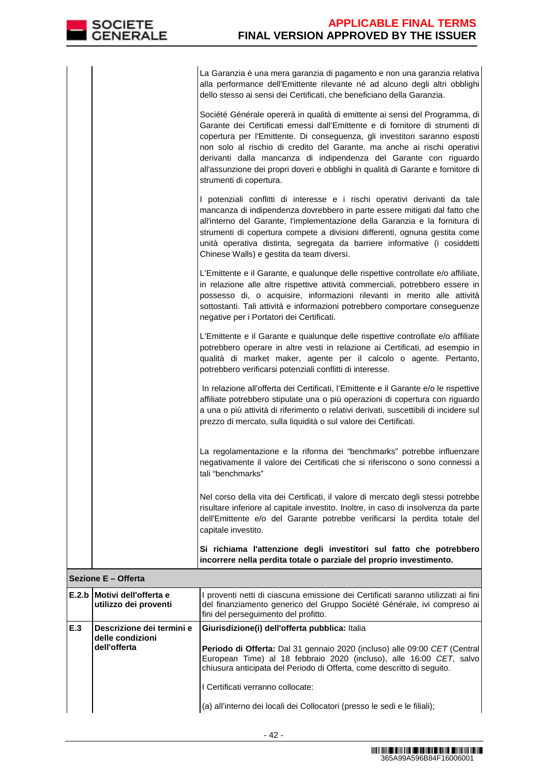La Garanzia è una mera garanzia di pagamento e non una garanzia relativa alla performance dell'Emittente rilevante né ad alcuno degli altri obblighi dello stesso ai sensi dei Certificati, che beneficiano della Garanzia. Société Générale opererà in qualità di emittente ai sensi del Programma, di Garante dei Certificati emessi dall'Emittente e di fornitore di strumenti di copertura per l'Emittente. Di conseguenza, gli investitori saranno esposti non solo al rischio di credito del Garante, ma anche ai rischi operativi derivanti dalla mancanza di indipendenza del Garante con riguardo all'assunzione dei propri doveri e obblighi in qualità di Garante e fornitore di strumenti di copertura.

|                     | E.2.b Motivi dell'offerta e | I proventi netti di ciascuna emissione dei Certificati saranno utilizzati ai fini                                                                                                                                                                                                                                                                                                                                                               |  |  |
|---------------------|-----------------------------|-------------------------------------------------------------------------------------------------------------------------------------------------------------------------------------------------------------------------------------------------------------------------------------------------------------------------------------------------------------------------------------------------------------------------------------------------|--|--|
| Sezione E - Offerta |                             |                                                                                                                                                                                                                                                                                                                                                                                                                                                 |  |  |
|                     |                             | Si richiama l'attenzione degli investitori sul fatto che potrebbero<br>incorrere nella perdita totale o parziale del proprio investimento.                                                                                                                                                                                                                                                                                                      |  |  |
|                     |                             | Nel corso della vita dei Certificati, il valore di mercato degli stessi potrebbe<br>risultare inferiore al capitale investito. Inoltre, in caso di insolvenza da parte<br>dell'Emittente e/o del Garante potrebbe verificarsi la perdita totale del<br>capitale investito.                                                                                                                                                                      |  |  |
|                     |                             | La regolamentazione e la riforma dei "benchmarks" potrebbe influenzare<br>negativamente il valore dei Certificati che si riferiscono o sono connessi a<br>tali "benchmarks"                                                                                                                                                                                                                                                                     |  |  |
|                     |                             | In relazione all'offerta dei Certificati, l'Emittente e il Garante e/o le rispettive<br>affiliate potrebbero stipulate una o più operazioni di copertura con riguardo<br>a una o più attività di riferimento o relativi derivati, suscettibili di incidere sul<br>prezzo di mercato, sulla liquidità o sul valore dei Certificati.                                                                                                              |  |  |
|                     |                             | L'Emittente e il Garante e qualunque delle rispettive controllate e/o affiliate<br>potrebbero operare in altre vesti in relazione ai Certificati, ad esempio in<br>qualità di market maker, agente per il calcolo o agente. Pertanto,<br>potrebbero verificarsi potenziali conflitti di interesse.                                                                                                                                              |  |  |
|                     |                             | L'Emittente e il Garante, e qualunque delle rispettive controllate e/o affiliate,<br>in relazione alle altre rispettive attività commerciali, potrebbero essere in<br>possesso di, o acquisire, informazioni rilevanti in merito alle attività<br>sottostanti. Tali attività e informazioni potrebbero comportare conseguenze<br>negative per i Portatori dei Certificati.                                                                      |  |  |
|                     |                             | I potenziali conflitti di interesse e i rischi operativi derivanti da tale<br>mancanza di indipendenza dovrebbero in parte essere mitigati dal fatto che<br>all'interno del Garante, l'implementazione della Garanzia e la fornitura di<br>strumenti di copertura compete a divisioni differenti, ognuna gestita come<br>unità operativa distinta, segregata da barriere informative (i cosiddetti<br>Chinese Walls) e gestita da team diversi. |  |  |
|                     |                             | all'assunzione dei propri doveri e obblighi in qualità di Garante e fornitore di<br>strumenti di copertura.                                                                                                                                                                                                                                                                                                                                     |  |  |

|     | E.2.b   Motivi dell'offerta e<br>utilizzo dei proventi        | proventi netti di ciascuna emissione dei Certificati saranno utilizzati ai fini<br>del finanziamento generico del Gruppo Société Générale, ivi compreso ai<br>fini del perseguimento del profitto.                                                                                                                                                                                              |
|-----|---------------------------------------------------------------|-------------------------------------------------------------------------------------------------------------------------------------------------------------------------------------------------------------------------------------------------------------------------------------------------------------------------------------------------------------------------------------------------|
| E.3 | Descrizione dei termini e<br>delle condizioni<br>dell'offerta | Giurisdizione(i) dell'offerta pubblica: Italia<br>Periodo di Offerta: Dal 31 gennaio 2020 (incluso) alle 09:00 CET (Central)<br>European Time) al 18 febbraio 2020 (incluso), alle 16:00 CET, salvo<br>chiusura anticipata del Periodo di Offerta, come descritto di seguito.<br>I Certificati verranno collocate:<br>(a) all'interno dei locali dei Collocatori (presso le sedi e le filiali); |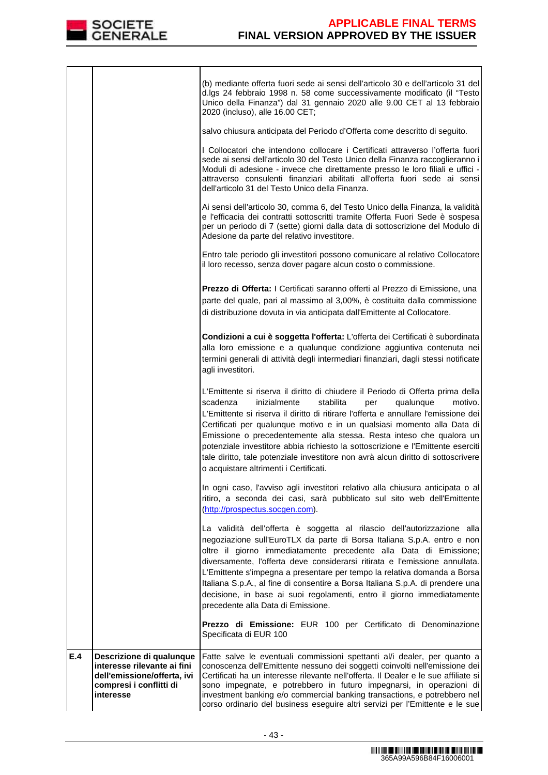

|     |                                                                                                                                | (b) mediante offerta fuori sede ai sensi dell'articolo 30 e dell'articolo 31 del<br>d.lgs 24 febbraio 1998 n. 58 come successivamente modificato (il "Testo<br>Unico della Finanza") dal 31 gennaio 2020 alle 9.00 CET al 13 febbraio<br>2020 (incluso), alle 16.00 CET;                                                                                                                                                                                                                                                                                                                                            |
|-----|--------------------------------------------------------------------------------------------------------------------------------|---------------------------------------------------------------------------------------------------------------------------------------------------------------------------------------------------------------------------------------------------------------------------------------------------------------------------------------------------------------------------------------------------------------------------------------------------------------------------------------------------------------------------------------------------------------------------------------------------------------------|
|     |                                                                                                                                | salvo chiusura anticipata del Periodo d'Offerta come descritto di seguito.                                                                                                                                                                                                                                                                                                                                                                                                                                                                                                                                          |
|     |                                                                                                                                | I Collocatori che intendono collocare i Certificati attraverso l'offerta fuori<br>sede ai sensi dell'articolo 30 del Testo Unico della Finanza raccoglieranno i<br>Moduli di adesione - invece che direttamente presso le loro filiali e uffici -<br>attraverso consulenti finanziari abilitati all'offerta fuori sede ai sensi<br>dell'articolo 31 del Testo Unico della Finanza.                                                                                                                                                                                                                                  |
|     |                                                                                                                                | Ai sensi dell'articolo 30, comma 6, del Testo Unico della Finanza, la validità<br>e l'efficacia dei contratti sottoscritti tramite Offerta Fuori Sede è sospesa<br>per un periodo di 7 (sette) giorni dalla data di sottoscrizione del Modulo di<br>Adesione da parte del relativo investitore.                                                                                                                                                                                                                                                                                                                     |
|     |                                                                                                                                | Entro tale periodo gli investitori possono comunicare al relativo Collocatore<br>il loro recesso, senza dover pagare alcun costo o commissione.                                                                                                                                                                                                                                                                                                                                                                                                                                                                     |
|     |                                                                                                                                | Prezzo di Offerta: I Certificati saranno offerti al Prezzo di Emissione, una<br>parte del quale, pari al massimo al 3,00%, è costituita dalla commissione<br>di distribuzione dovuta in via anticipata dall'Emittente al Collocatore.                                                                                                                                                                                                                                                                                                                                                                               |
|     |                                                                                                                                | Condizioni a cui è soggetta l'offerta: L'offerta dei Certificati è subordinata<br>alla loro emissione e a qualunque condizione aggiuntiva contenuta nei<br>termini generali di attività degli intermediari finanziari, dagli stessi notificate<br>agli investitori.                                                                                                                                                                                                                                                                                                                                                 |
|     |                                                                                                                                | L'Emittente si riserva il diritto di chiudere il Periodo di Offerta prima della<br>scadenza<br>inizialmente<br>stabilita<br>qualunque<br>motivo.<br>per<br>L'Emittente si riserva il diritto di ritirare l'offerta e annullare l'emissione dei<br>Certificati per qualunque motivo e in un qualsiasi momento alla Data di<br>Emissione o precedentemente alla stessa. Resta inteso che qualora un<br>potenziale investitore abbia richiesto la sottoscrizione e l'Emittente eserciti<br>tale diritto, tale potenziale investitore non avrà alcun diritto di sottoscrivere<br>o acquistare altrimenti i Certificati. |
|     |                                                                                                                                | In ogni caso, l'avviso agli investitori relativo alla chiusura anticipata o al<br>ritiro, a seconda dei casi, sarà pubblicato sul sito web dell'Emittente<br>(http://prospectus.socgen.com).                                                                                                                                                                                                                                                                                                                                                                                                                        |
|     |                                                                                                                                | La validità dell'offerta è soggetta al rilascio dell'autorizzazione alla<br>negoziazione sull'EuroTLX da parte di Borsa Italiana S.p.A. entro e non<br>oltre il giorno immediatamente precedente alla Data di Emissione;<br>diversamente, l'offerta deve considerarsi ritirata e l'emissione annullata.<br>L'Emittente s'impegna a presentare per tempo la relativa domanda a Borsa<br>Italiana S.p.A., al fine di consentire a Borsa Italiana S.p.A. di prendere una<br>decisione, in base ai suoi regolamenti, entro il giorno immediatamente<br>precedente alla Data di Emissione.                               |
|     |                                                                                                                                | Prezzo di Emissione: EUR 100 per Certificato di Denominazione<br>Specificata di EUR 100                                                                                                                                                                                                                                                                                                                                                                                                                                                                                                                             |
| E.4 | Descrizione di qualunque<br>interesse rilevante ai fini<br>dell'emissione/offerta, ivi<br>compresi i conflitti di<br>interesse | Fatte salve le eventuali commissioni spettanti al/i dealer, per quanto a<br>conoscenza dell'Emittente nessuno dei soggetti coinvolti nell'emissione dei<br>Certificati ha un interesse rilevante nell'offerta. Il Dealer e le sue affiliate si<br>sono impegnate, e potrebbero in futuro impegnarsi, in operazioni di<br>investment banking e/o commercial banking transactions, e potrebbero nel<br>corso ordinario del business eseguire altri servizi per l'Emittente e le sue                                                                                                                                   |